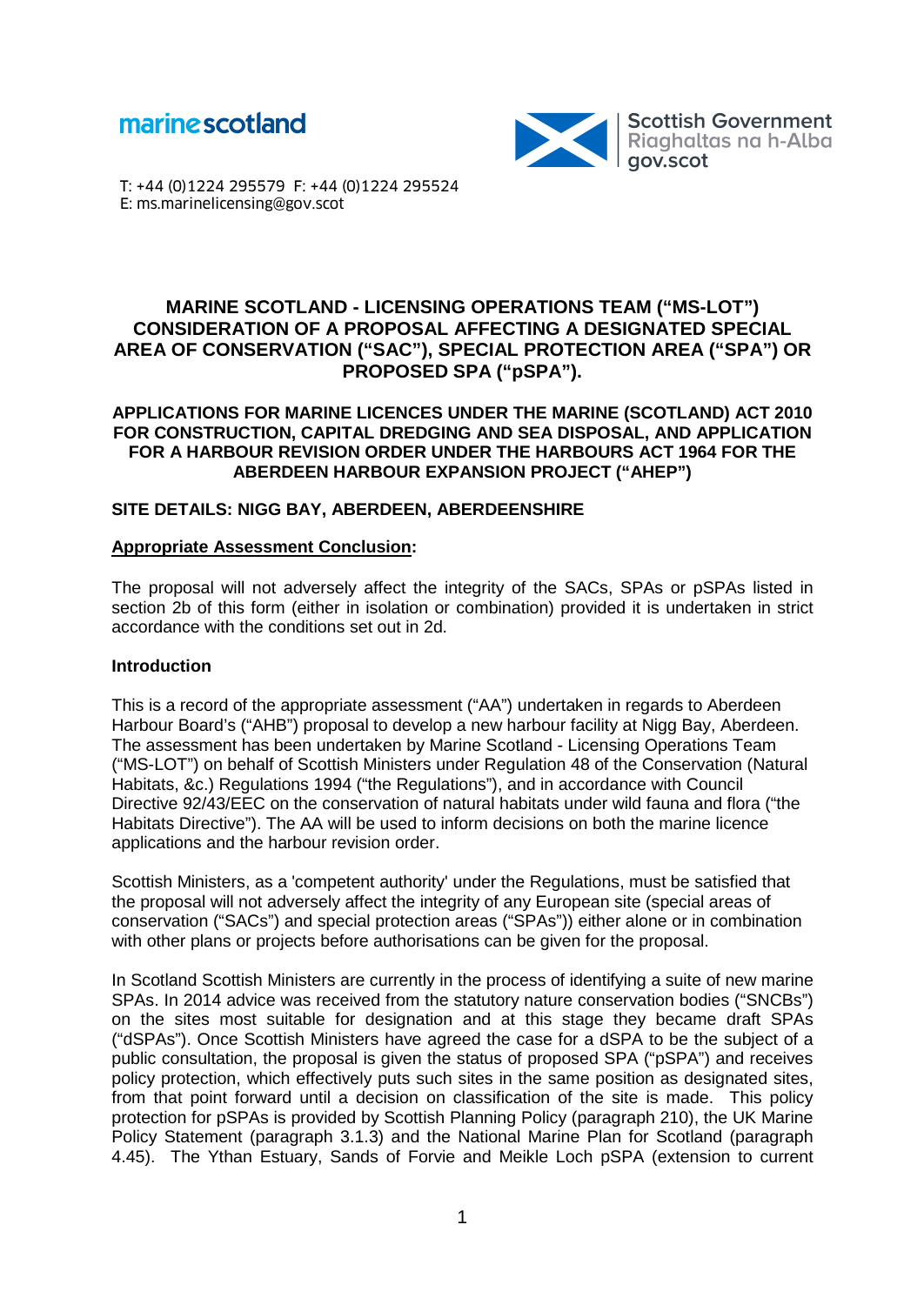



T: +44 (0)1224 295579 F: +44 (0)1224 295524 E: ms.marinelicensing@gov.scot

# **MARINE SCOTLAND - LICENSING OPERATIONS TEAM ("MS-LOT") CONSIDERATION OF A PROPOSAL AFFECTING A DESIGNATED SPECIAL AREA OF CONSERVATION ("SAC"), SPECIAL PROTECTION AREA ("SPA") OR PROPOSED SPA ("pSPA").**

#### **APPLICATIONS FOR MARINE LICENCES UNDER THE MARINE (SCOTLAND) ACT 2010 FOR CONSTRUCTION, CAPITAL DREDGING AND SEA DISPOSAL, AND APPLICATION FOR A HARBOUR REVISION ORDER UNDER THE HARBOURS ACT 1964 FOR THE ABERDEEN HARBOUR EXPANSION PROJECT ("AHEP")**

## **SITE DETAILS: NIGG BAY, ABERDEEN, ABERDEENSHIRE**

#### **Appropriate Assessment Conclusion:**

The proposal will not adversely affect the integrity of the SACs, SPAs or pSPAs listed in section 2b of this form (either in isolation or combination) provided it is undertaken in strict accordance with the conditions set out in 2d.

#### **Introduction**

This is a record of the appropriate assessment ("AA") undertaken in regards to Aberdeen Harbour Board's ("AHB") proposal to develop a new harbour facility at Nigg Bay, Aberdeen. The assessment has been undertaken by Marine Scotland - Licensing Operations Team ("MS-LOT") on behalf of Scottish Ministers under Regulation 48 of the Conservation (Natural Habitats, &c.) Regulations 1994 ("the Regulations"), and in accordance with Council Directive 92/43/EEC on the conservation of natural habitats under wild fauna and flora ("the Habitats Directive"). The AA will be used to inform decisions on both the marine licence applications and the harbour revision order.

Scottish Ministers, as a 'competent authority' under the Regulations, must be satisfied that the proposal will not adversely affect the integrity of any European site (special areas of conservation ("SACs") and special protection areas ("SPAs")) either alone or in combination with other plans or projects before authorisations can be given for the proposal.

In Scotland Scottish Ministers are currently in the process of identifying a suite of new marine SPAs. In 2014 advice was received from the statutory nature conservation bodies ("SNCBs") on the sites most suitable for designation and at this stage they became draft SPAs ("dSPAs"). Once Scottish Ministers have agreed the case for a dSPA to be the subject of a public consultation, the proposal is given the status of proposed SPA ("pSPA") and receives policy protection, which effectively puts such sites in the same position as designated sites, from that point forward until a decision on classification of the site is made. This policy protection for pSPAs is provided by Scottish Planning Policy (paragraph 210), the UK Marine Policy Statement (paragraph 3.1.3) and the National Marine Plan for Scotland (paragraph 4.45). The Ythan Estuary, Sands of Forvie and Meikle Loch pSPA (extension to current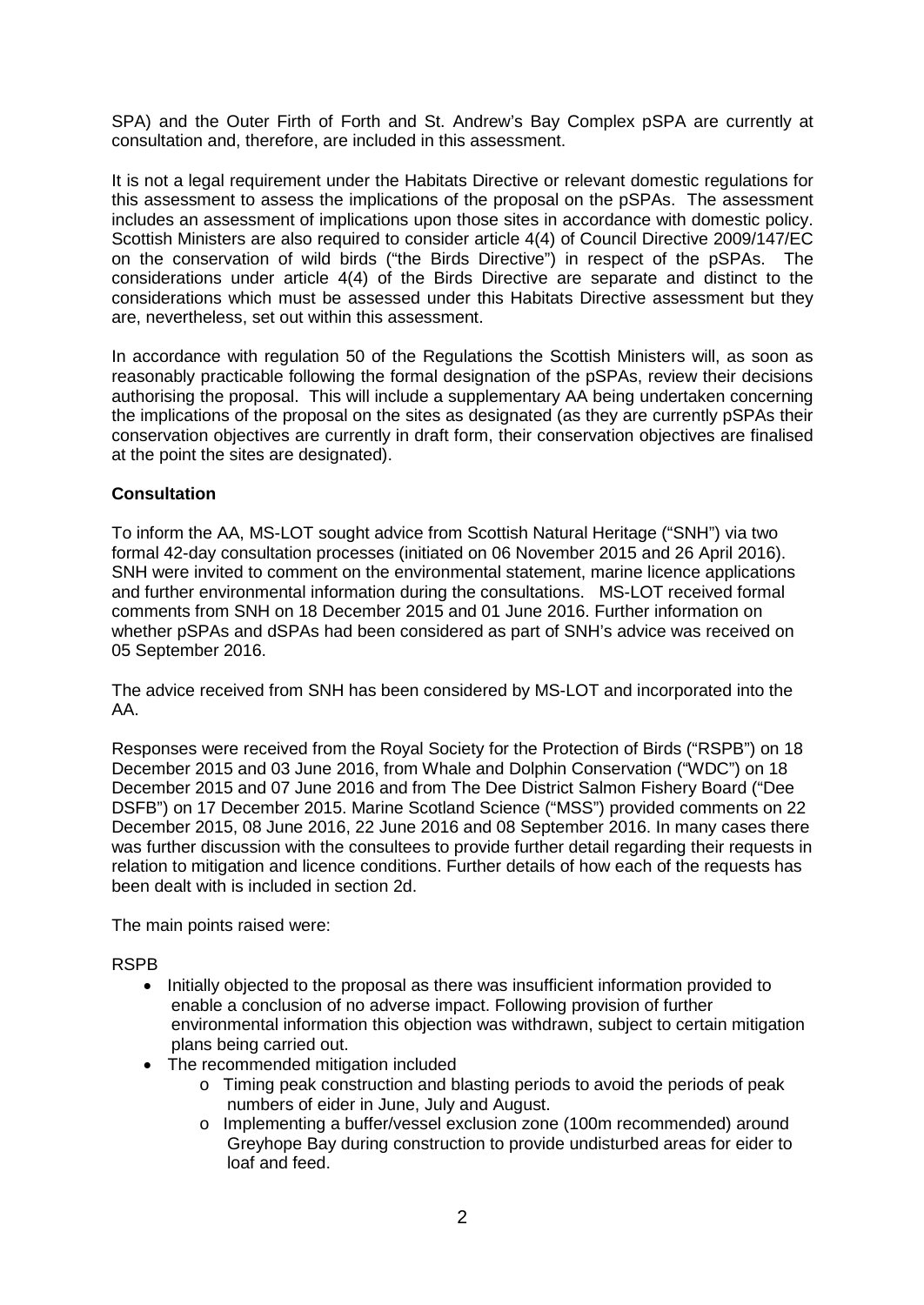SPA) and the Outer Firth of Forth and St. Andrew's Bay Complex pSPA are currently at consultation and, therefore, are included in this assessment.

It is not a legal requirement under the Habitats Directive or relevant domestic regulations for this assessment to assess the implications of the proposal on the pSPAs. The assessment includes an assessment of implications upon those sites in accordance with domestic policy. Scottish Ministers are also required to consider article 4(4) of Council Directive 2009/147/EC on the conservation of wild birds ("the Birds Directive") in respect of the pSPAs. The considerations under article 4(4) of the Birds Directive are separate and distinct to the considerations which must be assessed under this Habitats Directive assessment but they are, nevertheless, set out within this assessment.

In accordance with regulation 50 of the Regulations the Scottish Ministers will, as soon as reasonably practicable following the formal designation of the pSPAs, review their decisions authorising the proposal. This will include a supplementary AA being undertaken concerning the implications of the proposal on the sites as designated (as they are currently pSPAs their conservation objectives are currently in draft form, their conservation objectives are finalised at the point the sites are designated).

## **Consultation**

To inform the AA, MS-LOT sought advice from Scottish Natural Heritage ("SNH") via two formal 42-day consultation processes (initiated on 06 November 2015 and 26 April 2016). SNH were invited to comment on the environmental statement, marine licence applications and further environmental information during the consultations. MS-LOT received formal comments from SNH on 18 December 2015 and 01 June 2016. Further information on whether pSPAs and dSPAs had been considered as part of SNH's advice was received on 05 September 2016.

The advice received from SNH has been considered by MS-LOT and incorporated into the AA.

Responses were received from the Royal Society for the Protection of Birds ("RSPB") on 18 December 2015 and 03 June 2016, from Whale and Dolphin Conservation ("WDC") on 18 December 2015 and 07 June 2016 and from The Dee District Salmon Fishery Board ("Dee DSFB") on 17 December 2015. Marine Scotland Science ("MSS") provided comments on 22 December 2015, 08 June 2016, 22 June 2016 and 08 September 2016. In many cases there was further discussion with the consultees to provide further detail regarding their requests in relation to mitigation and licence conditions. Further details of how each of the requests has been dealt with is included in section 2d.

The main points raised were:

### RSPB

- Initially objected to the proposal as there was insufficient information provided to enable a conclusion of no adverse impact. Following provision of further environmental information this objection was withdrawn, subject to certain mitigation plans being carried out.
- The recommended mitigation included
	- o Timing peak construction and blasting periods to avoid the periods of peak numbers of eider in June, July and August.
	- o Implementing a buffer/vessel exclusion zone (100m recommended) around Greyhope Bay during construction to provide undisturbed areas for eider to loaf and feed.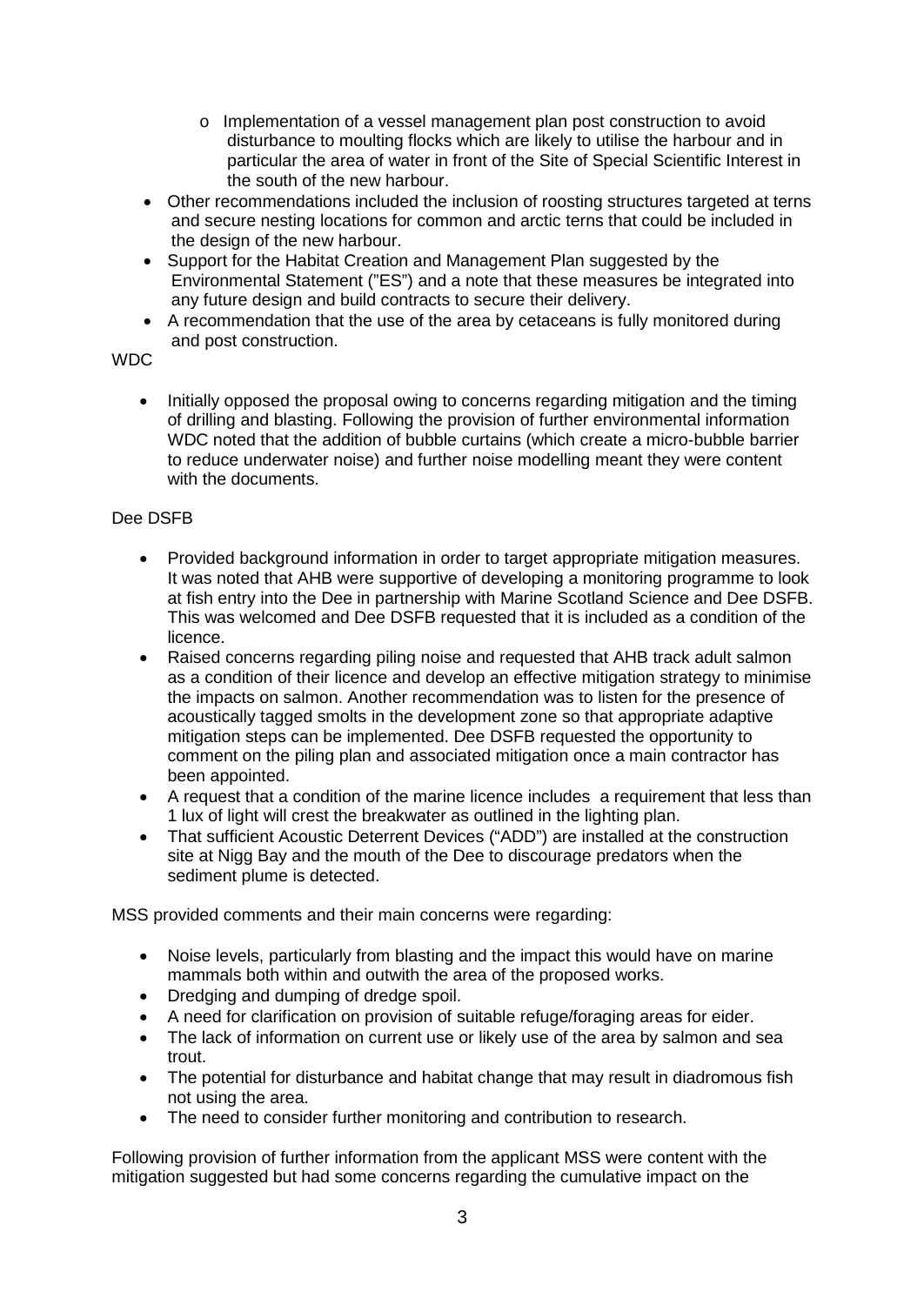- o Implementation of a vessel management plan post construction to avoid disturbance to moulting flocks which are likely to utilise the harbour and in particular the area of water in front of the Site of Special Scientific Interest in the south of the new harbour.
- Other recommendations included the inclusion of roosting structures targeted at terns and secure nesting locations for common and arctic terns that could be included in the design of the new harbour.
- Support for the Habitat Creation and Management Plan suggested by the Environmental Statement ("ES") and a note that these measures be integrated into any future design and build contracts to secure their delivery.
- A recommendation that the use of the area by cetaceans is fully monitored during and post construction.

# WDC

• Initially opposed the proposal owing to concerns regarding mitigation and the timing of drilling and blasting. Following the provision of further environmental information WDC noted that the addition of bubble curtains (which create a micro-bubble barrier to reduce underwater noise) and further noise modelling meant they were content with the documents.

# Dee DSFB

- Provided background information in order to target appropriate mitigation measures. It was noted that AHB were supportive of developing a monitoring programme to look at fish entry into the Dee in partnership with Marine Scotland Science and Dee DSFB. This was welcomed and Dee DSFB requested that it is included as a condition of the licence.
- Raised concerns regarding piling noise and requested that AHB track adult salmon as a condition of their licence and develop an effective mitigation strategy to minimise the impacts on salmon. Another recommendation was to listen for the presence of acoustically tagged smolts in the development zone so that appropriate adaptive mitigation steps can be implemented. Dee DSFB requested the opportunity to comment on the piling plan and associated mitigation once a main contractor has been appointed.
- A request that a condition of the marine licence includes a requirement that less than 1 lux of light will crest the breakwater as outlined in the lighting plan.
- That sufficient Acoustic Deterrent Devices ("ADD") are installed at the construction site at Nigg Bay and the mouth of the Dee to discourage predators when the sediment plume is detected.

MSS provided comments and their main concerns were regarding:

- Noise levels, particularly from blasting and the impact this would have on marine mammals both within and outwith the area of the proposed works.
- Dredging and dumping of dredge spoil.
- A need for clarification on provision of suitable refuge/foraging areas for eider.
- The lack of information on current use or likely use of the area by salmon and sea trout.
- The potential for disturbance and habitat change that may result in diadromous fish not using the area.
- The need to consider further monitoring and contribution to research.

Following provision of further information from the applicant MSS were content with the mitigation suggested but had some concerns regarding the cumulative impact on the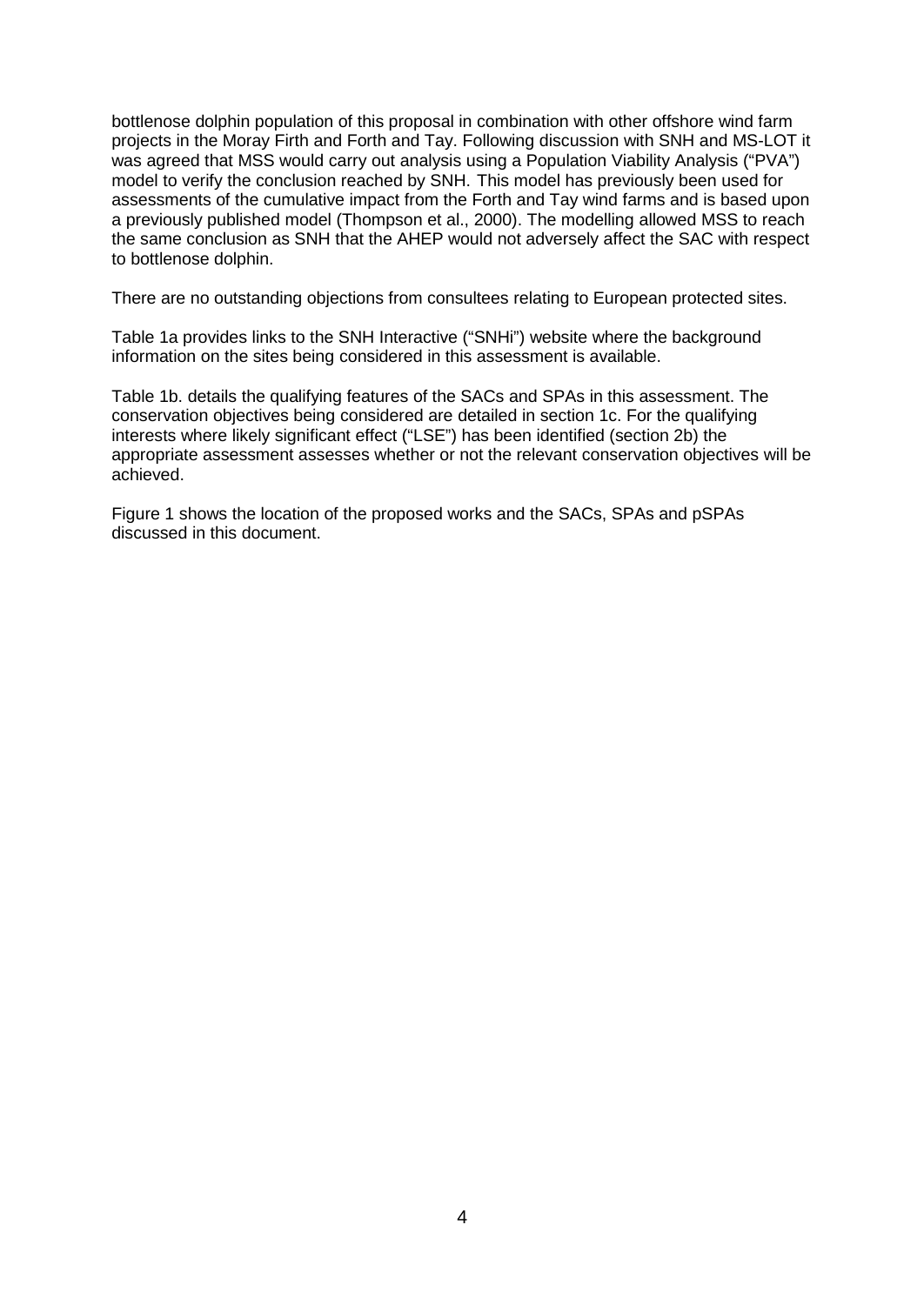bottlenose dolphin population of this proposal in combination with other offshore wind farm projects in the Moray Firth and Forth and Tay. Following discussion with SNH and MS-LOT it was agreed that MSS would carry out analysis using a Population Viability Analysis ("PVA") model to verify the conclusion reached by SNH. This model has previously been used for assessments of the cumulative impact from the Forth and Tay wind farms and is based upon a previously published model (Thompson et al., 2000). The modelling allowed MSS to reach the same conclusion as SNH that the AHEP would not adversely affect the SAC with respect to bottlenose dolphin.

There are no outstanding objections from consultees relating to European protected sites.

Table 1a provides links to the SNH Interactive ("SNHi") website where the background information on the sites being considered in this assessment is available.

Table 1b. details the qualifying features of the SACs and SPAs in this assessment. The conservation objectives being considered are detailed in section 1c. For the qualifying interests where likely significant effect ("LSE") has been identified (section 2b) the appropriate assessment assesses whether or not the relevant conservation objectives will be achieved.

Figure 1 shows the location of the proposed works and the SACs, SPAs and pSPAs discussed in this document.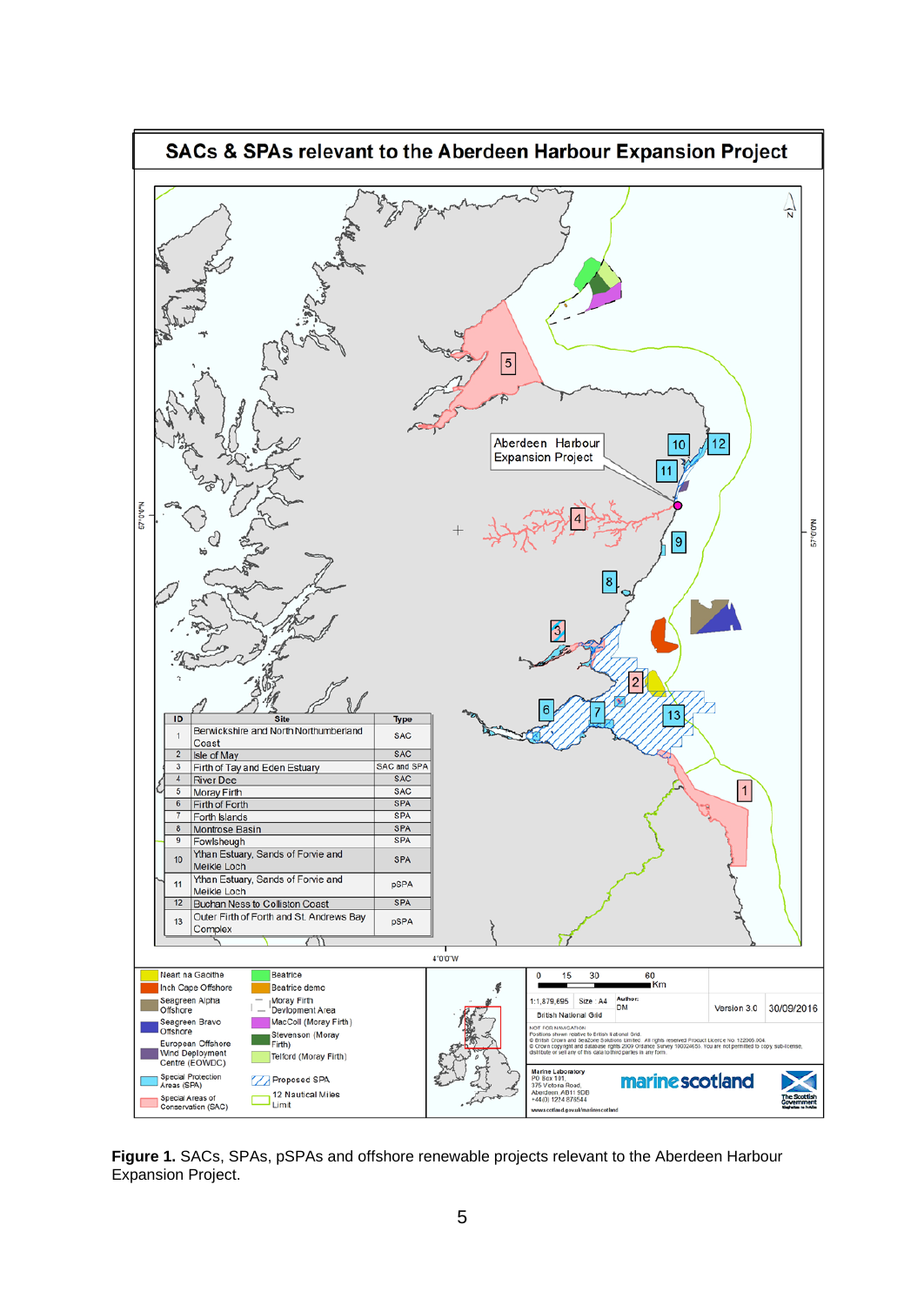

**Figure 1.** SACs, SPAs, pSPAs and offshore renewable projects relevant to the Aberdeen Harbour Expansion Project.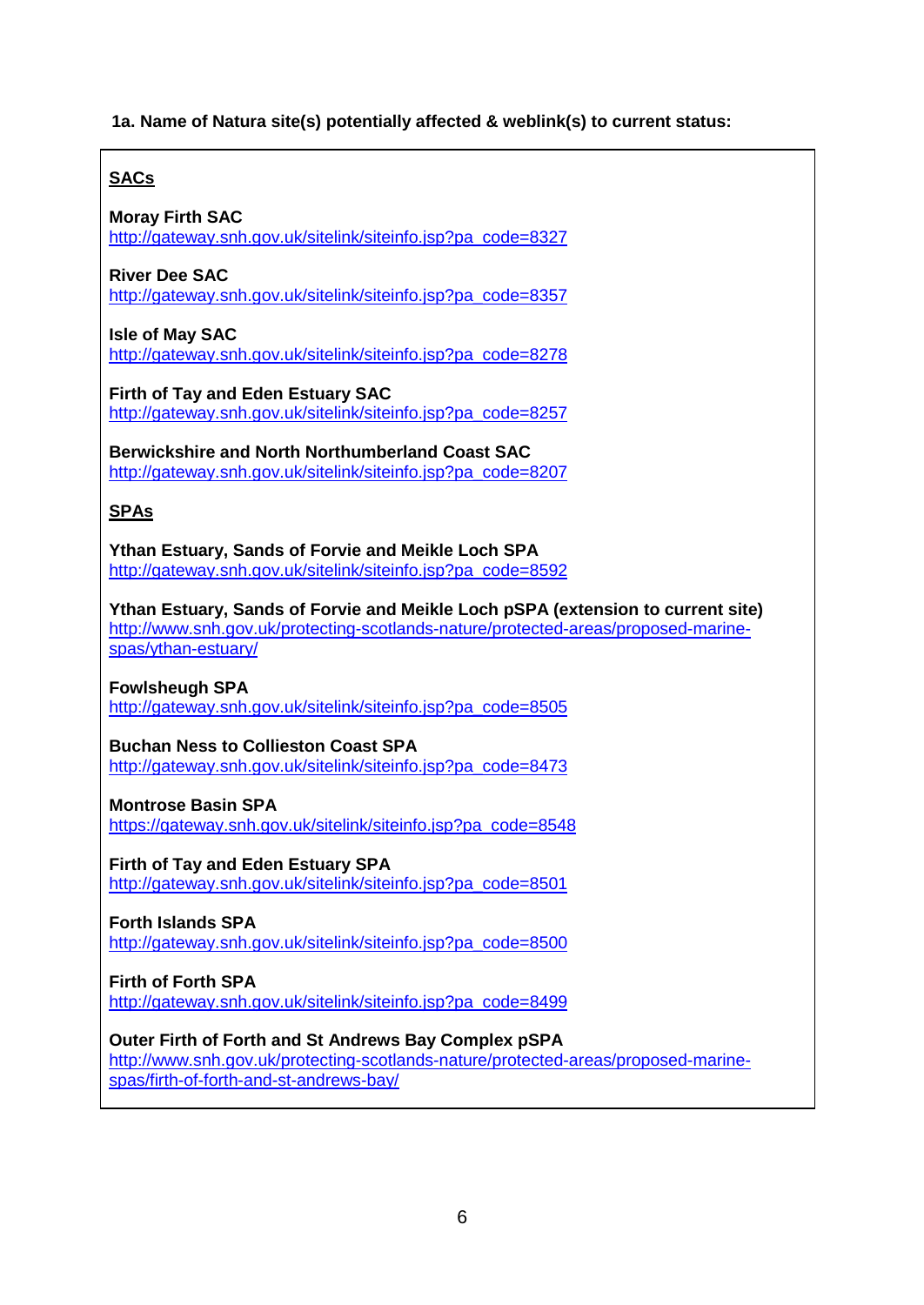## **1a. Name of Natura site(s) potentially affected & weblink(s) to current status:**

# **SACs**

**Moray Firth SAC** [http://gateway.snh.gov.uk/sitelink/siteinfo.jsp?pa\\_code=8327](http://gateway.snh.gov.uk/sitelink/siteinfo.jsp?pa_code=8327)

## **River Dee SAC**

[http://gateway.snh.gov.uk/sitelink/siteinfo.jsp?pa\\_code=8357](http://gateway.snh.gov.uk/sitelink/siteinfo.jsp?pa_code=8357)

### **Isle of May SAC** [http://gateway.snh.gov.uk/sitelink/siteinfo.jsp?pa\\_code=8278](http://gateway.snh.gov.uk/sitelink/siteinfo.jsp?pa_code=8278)

**Firth of Tay and Eden Estuary SAC** [http://gateway.snh.gov.uk/sitelink/siteinfo.jsp?pa\\_code=8257](http://gateway.snh.gov.uk/sitelink/siteinfo.jsp?pa_code=8257)

**Berwickshire and North Northumberland Coast SAC** [http://gateway.snh.gov.uk/sitelink/siteinfo.jsp?pa\\_code=8207](http://gateway.snh.gov.uk/sitelink/siteinfo.jsp?pa_code=8207)

## **SPAs**

**Ythan Estuary, Sands of Forvie and Meikle Loch SPA** [http://gateway.snh.gov.uk/sitelink/siteinfo.jsp?pa\\_code=8592](http://gateway.snh.gov.uk/sitelink/siteinfo.jsp?pa_code=8592)

**Ythan Estuary, Sands of Forvie and Meikle Loch pSPA (extension to current site)** [http://www.snh.gov.uk/protecting-scotlands-nature/protected-areas/proposed-marine](http://www.snh.gov.uk/protecting-scotlands-nature/protected-areas/proposed-marine-spas/ythan-estuary/)[spas/ythan-estuary/](http://www.snh.gov.uk/protecting-scotlands-nature/protected-areas/proposed-marine-spas/ythan-estuary/)

### **Fowlsheugh SPA**

[http://gateway.snh.gov.uk/sitelink/siteinfo.jsp?pa\\_code=8505](http://gateway.snh.gov.uk/sitelink/siteinfo.jsp?pa_code=8505)

## **Buchan Ness to Collieston Coast SPA**

[http://gateway.snh.gov.uk/sitelink/siteinfo.jsp?pa\\_code=8473](http://gateway.snh.gov.uk/sitelink/siteinfo.jsp?pa_code=8473)

### **Montrose Basin SPA**

[https://gateway.snh.gov.uk/sitelink/siteinfo.jsp?pa\\_code=8548](https://gateway.snh.gov.uk/sitelink/siteinfo.jsp?pa_code=8548)

**Firth of Tay and Eden Estuary SPA** [http://gateway.snh.gov.uk/sitelink/siteinfo.jsp?pa\\_code=8501](http://gateway.snh.gov.uk/sitelink/siteinfo.jsp?pa_code=8501)

**Forth Islands SPA** [http://gateway.snh.gov.uk/sitelink/siteinfo.jsp?pa\\_code=8500](http://gateway.snh.gov.uk/sitelink/siteinfo.jsp?pa_code=8500)

**Firth of Forth SPA** [http://gateway.snh.gov.uk/sitelink/siteinfo.jsp?pa\\_code=8499](http://gateway.snh.gov.uk/sitelink/siteinfo.jsp?pa_code=8499)

## **Outer Firth of Forth and St Andrews Bay Complex pSPA** [http://www.snh.gov.uk/protecting-scotlands-nature/protected-areas/proposed-marine](http://www.snh.gov.uk/protecting-scotlands-nature/protected-areas/proposed-marine-spas/firth-of-forth-and-st-andrews-bay/)[spas/firth-of-forth-and-st-andrews-bay/](http://www.snh.gov.uk/protecting-scotlands-nature/protected-areas/proposed-marine-spas/firth-of-forth-and-st-andrews-bay/)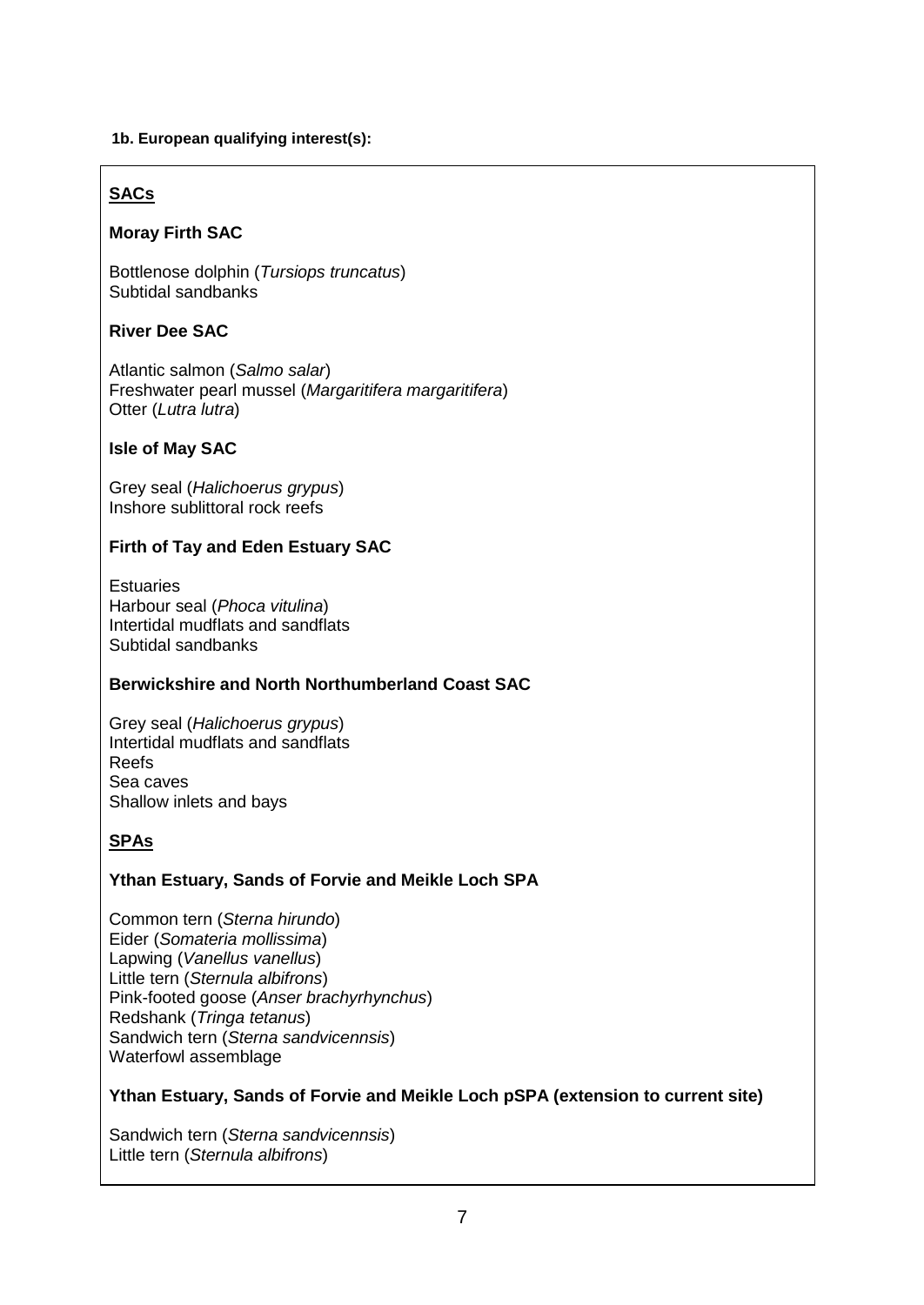## **1b. European qualifying interest(s):**

# **SACs**

# **Moray Firth SAC**

Bottlenose dolphin (*Tursiops truncatus*) Subtidal sandbanks

## **River Dee SAC**

Atlantic salmon (*Salmo salar*) Freshwater pearl mussel (*Margaritifera margaritifera*) Otter (*Lutra lutra*)

## **Isle of May SAC**

Grey seal (*Halichoerus grypus*) Inshore sublittoral rock reefs

# **Firth of Tay and Eden Estuary SAC**

**Estuaries** Harbour seal (*Phoca vitulina*) Intertidal mudflats and sandflats Subtidal sandbanks

## **Berwickshire and North Northumberland Coast SAC**

Grey seal (*Halichoerus grypus*) Intertidal mudflats and sandflats Reefs Sea caves Shallow inlets and bays

# **SPAs**

# **Ythan Estuary, Sands of Forvie and Meikle Loch SPA**

Common tern (*Sterna hirundo*) Eider (*Somateria mollissima*) Lapwing (*Vanellus vanellus*) Little tern (*Sternula albifrons*) Pink-footed goose (*Anser brachyrhynchus*) Redshank (*Tringa tetanus*) Sandwich tern (*Sterna sandvicennsis*) Waterfowl assemblage

## **Ythan Estuary, Sands of Forvie and Meikle Loch pSPA (extension to current site)**

Sandwich tern (*Sterna sandvicennsis*) Little tern (*Sternula albifrons*)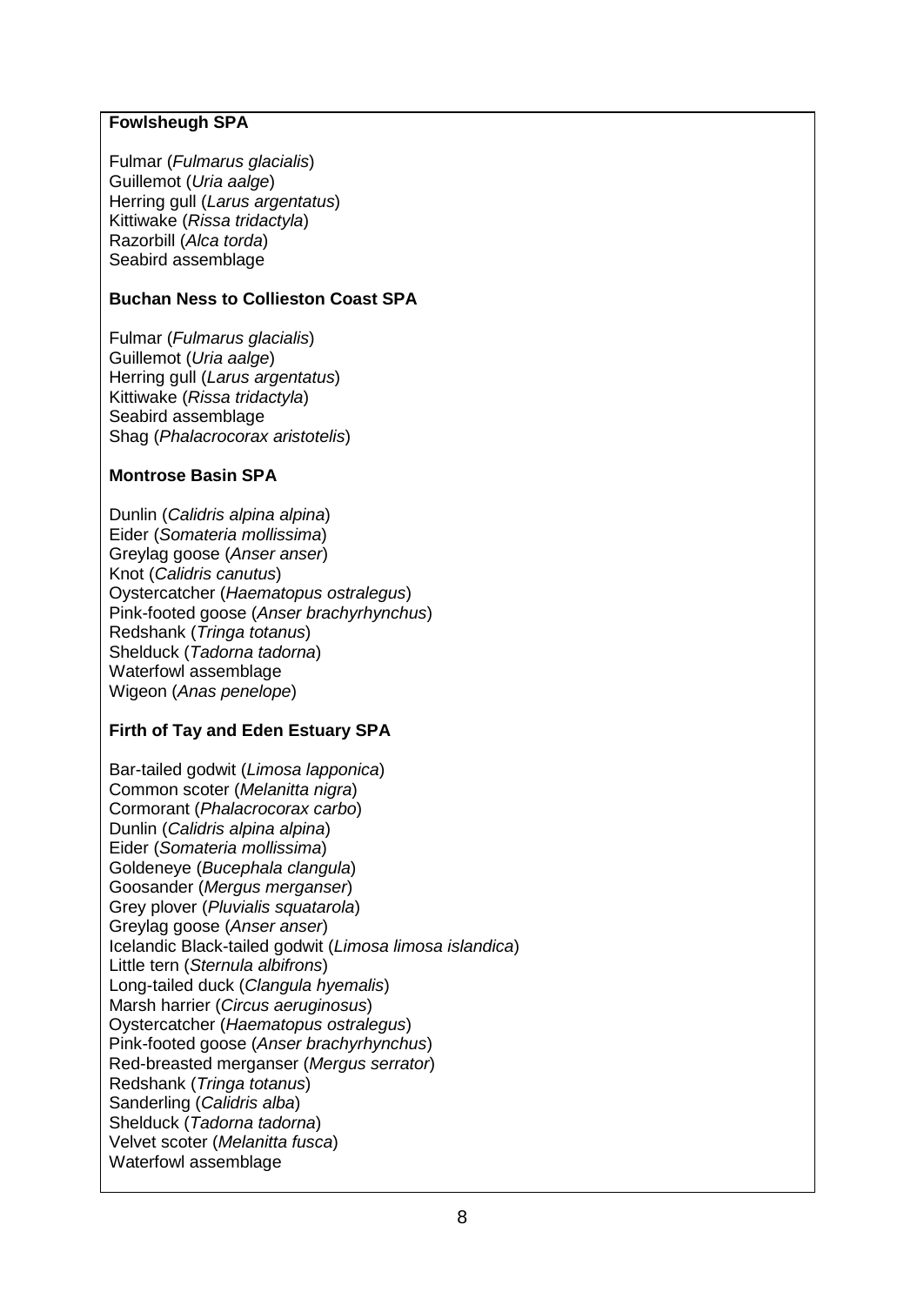### **Fowlsheugh SPA**

Fulmar (*Fulmarus glacialis*) Guillemot (*Uria aalge*) Herring gull (*Larus argentatus*) Kittiwake (*Rissa tridactyla*) Razorbill (*Alca torda*) Seabird assemblage

### **Buchan Ness to Collieston Coast SPA**

Fulmar (*Fulmarus glacialis*) Guillemot (*Uria aalge*) Herring gull (*Larus argentatus*) Kittiwake (*Rissa tridactyla*) Seabird assemblage Shag (*Phalacrocorax aristotelis*)

### **Montrose Basin SPA**

Dunlin (*Calidris alpina alpina*) Eider (*Somateria mollissima*) Greylag goose (*Anser anser*) Knot (*Calidris canutus*) Oystercatcher (*Haematopus ostralegus*) Pink-footed goose (*Anser brachyrhynchus*) Redshank (*Tringa totanus*) Shelduck (*Tadorna tadorna*) Waterfowl assemblage Wigeon (*Anas penelope*)

### **Firth of Tay and Eden Estuary SPA**

Bar-tailed godwit (*Limosa lapponica*) Common scoter (*Melanitta nigra*) Cormorant (*Phalacrocorax carbo*) Dunlin (*Calidris alpina alpina*) Eider (*Somateria mollissima*) Goldeneye (*Bucephala clangula*) Goosander (*Mergus merganser*) Grey plover (*Pluvialis squatarola*) Greylag goose (*Anser anser*) Icelandic Black-tailed godwit (*Limosa limosa islandica*) Little tern (*Sternula albifrons*) Long-tailed duck (*Clangula hyemalis*) Marsh harrier (*Circus aeruginosus*) Oystercatcher (*Haematopus ostralegus*) Pink-footed goose (*Anser brachyrhynchus*) Red-breasted merganser (*Mergus serrator*) Redshank (*Tringa totanus*) Sanderling (*Calidris alba*) Shelduck (*Tadorna tadorna*) Velvet scoter (*Melanitta fusca*) Waterfowl assemblage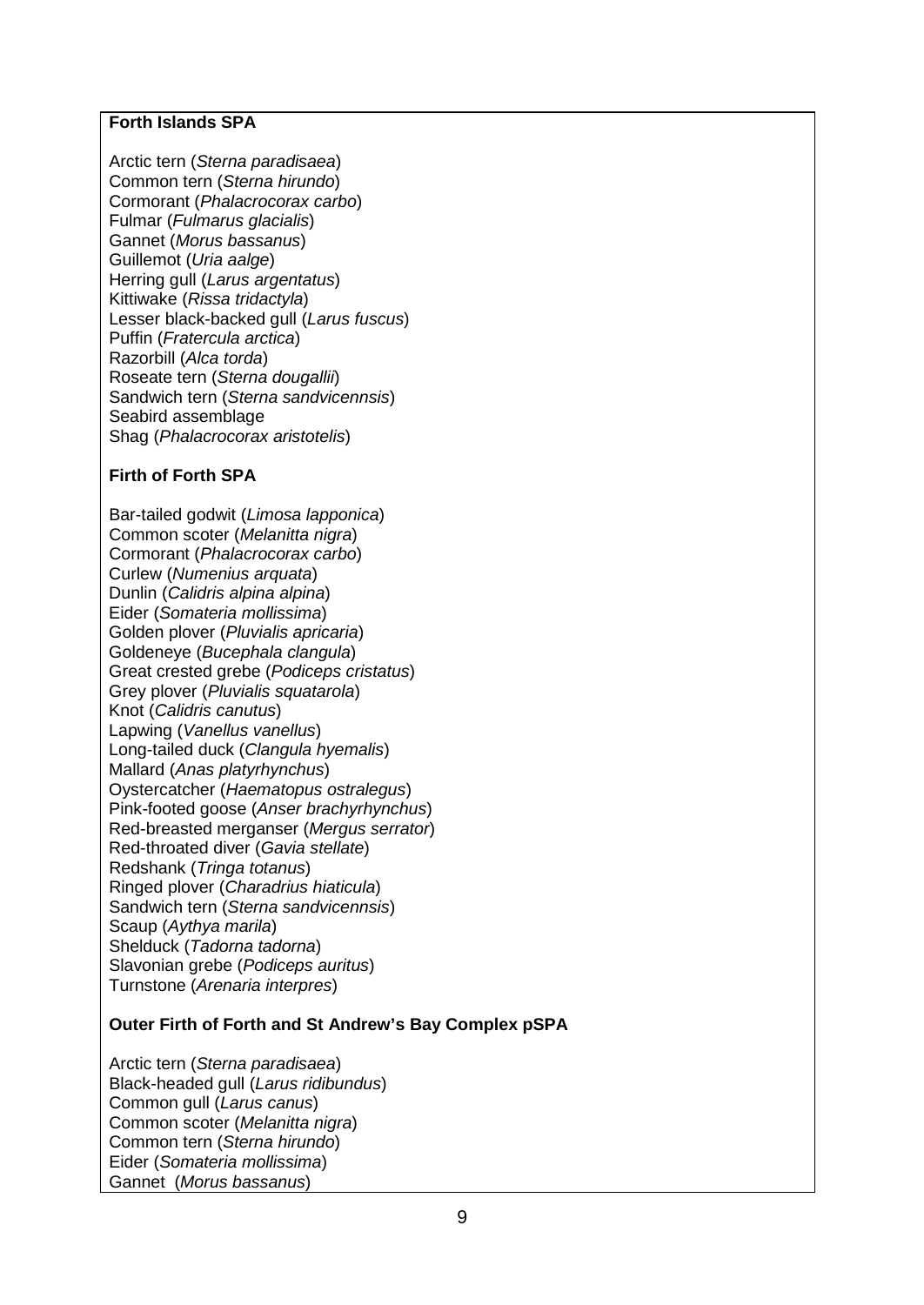### **Forth Islands SPA**

Arctic tern (*Sterna paradisaea*) Common tern (*Sterna hirundo*) Cormorant (*Phalacrocorax carbo*) Fulmar (*Fulmarus glacialis*) Gannet (*Morus bassanus*) Guillemot (*Uria aalge*) Herring gull (*Larus argentatus*) Kittiwake (*Rissa tridactyla*) Lesser black-backed gull (*Larus fuscus*) Puffin (*Fratercula arctica*) Razorbill (*Alca torda*) Roseate tern (*Sterna dougallii*) Sandwich tern (*Sterna sandvicennsis*) Seabird assemblage Shag (*Phalacrocorax aristotelis*)

## **Firth of Forth SPA**

Bar-tailed godwit (*Limosa lapponica*) Common scoter (*Melanitta nigra*) Cormorant (*Phalacrocorax carbo*) Curlew (*Numenius arquata*) Dunlin (*Calidris alpina alpina*) Eider (*Somateria mollissima*) Golden plover (*Pluvialis apricaria*) Goldeneye (*Bucephala clangula*) Great crested grebe (*Podiceps cristatus*) Grey plover (*Pluvialis squatarola*) Knot (*Calidris canutus*) Lapwing (*Vanellus vanellus*) Long-tailed duck (*Clangula hyemalis*) Mallard (*Anas platyrhynchus*) Oystercatcher (*Haematopus ostralegus*) Pink-footed goose (*Anser brachyrhynchus*) Red-breasted merganser (*Mergus serrator*) Red-throated diver (*Gavia stellate*) Redshank (*Tringa totanus*) Ringed plover (*Charadrius hiaticula*) Sandwich tern (*Sterna sandvicennsis*) Scaup (*Aythya marila*) Shelduck (*Tadorna tadorna*) Slavonian grebe (*Podiceps auritus*) Turnstone (*Arenaria interpres*)

## **Outer Firth of Forth and St Andrew's Bay Complex pSPA**

Arctic tern (*Sterna paradisaea*) Black-headed gull (*Larus ridibundus*) Common gull (*Larus canus*) Common scoter (*Melanitta nigra*) Common tern (*Sterna hirundo*) Eider (*Somateria mollissima*) Gannet (*Morus bassanus*)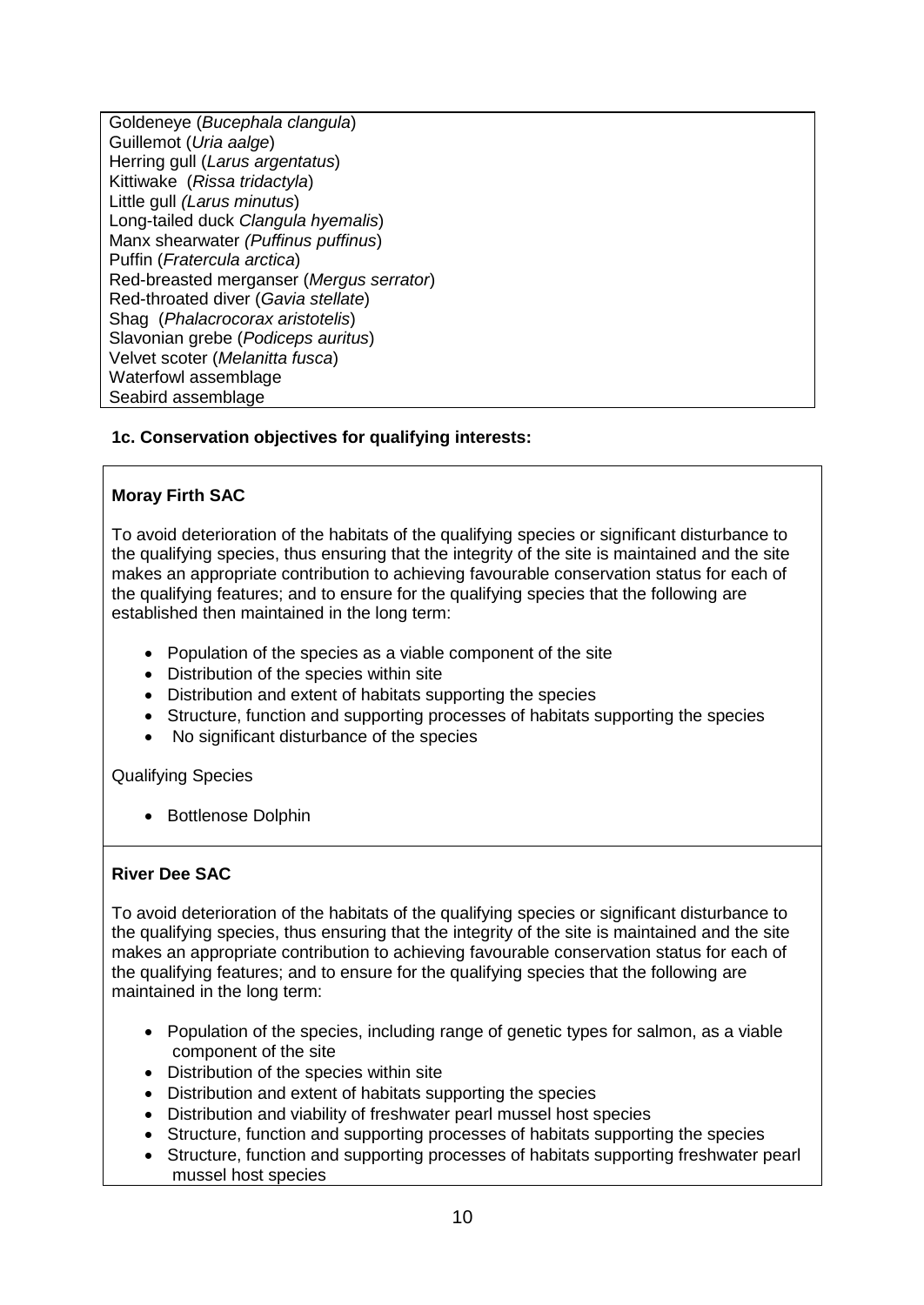Goldeneye (*Bucephala clangula*) Guillemot (*Uria aalge*) Herring gull (*Larus argentatus*) Kittiwake (*Rissa tridactyla*) Little gull *(Larus minutus*) Long-tailed duck *Clangula hyemalis*) Manx shearwater *(Puffinus puffinus*) Puffin (*Fratercula arctica*) Red-breasted merganser (*Mergus serrator*) Red-throated diver (*Gavia stellate*) Shag (*Phalacrocorax aristotelis*) Slavonian grebe (*Podiceps auritus*) Velvet scoter (*Melanitta fusca*) Waterfowl assemblage Seabird assemblage

## **1c. Conservation objectives for qualifying interests:**

## **Moray Firth SAC**

To avoid deterioration of the habitats of the qualifying species or significant disturbance to the qualifying species, thus ensuring that the integrity of the site is maintained and the site makes an appropriate contribution to achieving favourable conservation status for each of the qualifying features; and to ensure for the qualifying species that the following are established then maintained in the long term:

- Population of the species as a viable component of the site
- Distribution of the species within site
- Distribution and extent of habitats supporting the species
- Structure, function and supporting processes of habitats supporting the species
- No significant disturbance of the species

Qualifying Species

• Bottlenose Dolphin

## **River Dee SAC**

To avoid deterioration of the habitats of the qualifying species or significant disturbance to the qualifying species, thus ensuring that the integrity of the site is maintained and the site makes an appropriate contribution to achieving favourable conservation status for each of the qualifying features; and to ensure for the qualifying species that the following are maintained in the long term:

- Population of the species, including range of genetic types for salmon, as a viable component of the site
- Distribution of the species within site
- Distribution and extent of habitats supporting the species
- Distribution and viability of freshwater pearl mussel host species
- Structure, function and supporting processes of habitats supporting the species
- Structure, function and supporting processes of habitats supporting freshwater pearl mussel host species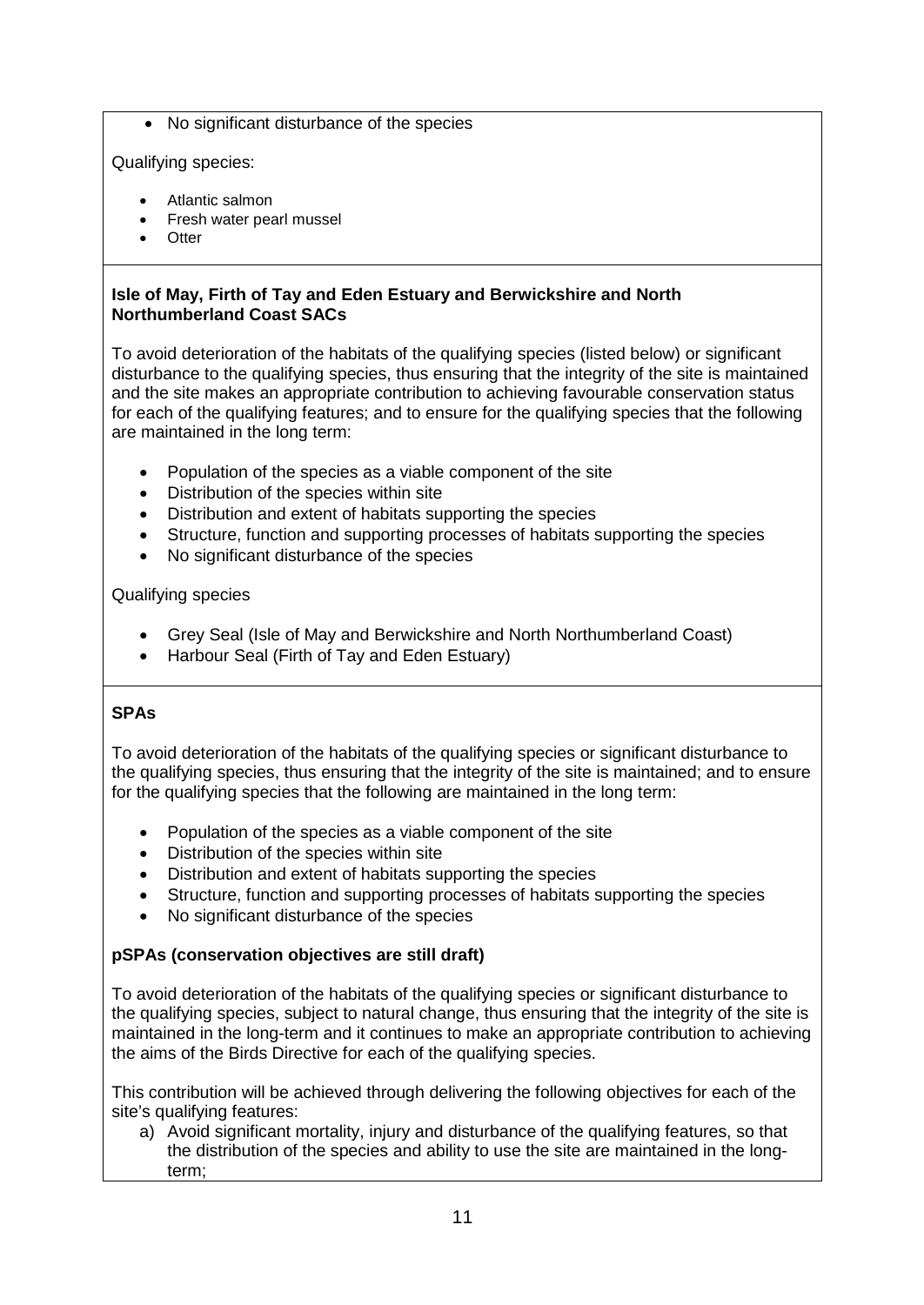• No significant disturbance of the species

Qualifying species:

- Atlantic salmon
- Fresh water pearl mussel
- Otter

## **Isle of May, Firth of Tay and Eden Estuary and Berwickshire and North Northumberland Coast SACs**

To avoid deterioration of the habitats of the qualifying species (listed below) or significant disturbance to the qualifying species, thus ensuring that the integrity of the site is maintained and the site makes an appropriate contribution to achieving favourable conservation status for each of the qualifying features; and to ensure for the qualifying species that the following are maintained in the long term:

- Population of the species as a viable component of the site
- Distribution of the species within site
- Distribution and extent of habitats supporting the species
- Structure, function and supporting processes of habitats supporting the species
- No significant disturbance of the species

Qualifying species

- Grey Seal (Isle of May and Berwickshire and North Northumberland Coast)
- Harbour Seal (Firth of Tay and Eden Estuary)

# **SPAs**

To avoid deterioration of the habitats of the qualifying species or significant disturbance to the qualifying species, thus ensuring that the integrity of the site is maintained; and to ensure for the qualifying species that the following are maintained in the long term:

- Population of the species as a viable component of the site
- Distribution of the species within site
- Distribution and extent of habitats supporting the species
- Structure, function and supporting processes of habitats supporting the species
- No significant disturbance of the species

# **pSPAs (conservation objectives are still draft)**

To avoid deterioration of the habitats of the qualifying species or significant disturbance to the qualifying species, subject to natural change, thus ensuring that the integrity of the site is maintained in the long-term and it continues to make an appropriate contribution to achieving the aims of the Birds Directive for each of the qualifying species.

This contribution will be achieved through delivering the following objectives for each of the site's qualifying features:

a) Avoid significant mortality, injury and disturbance of the qualifying features, so that the distribution of the species and ability to use the site are maintained in the longterm;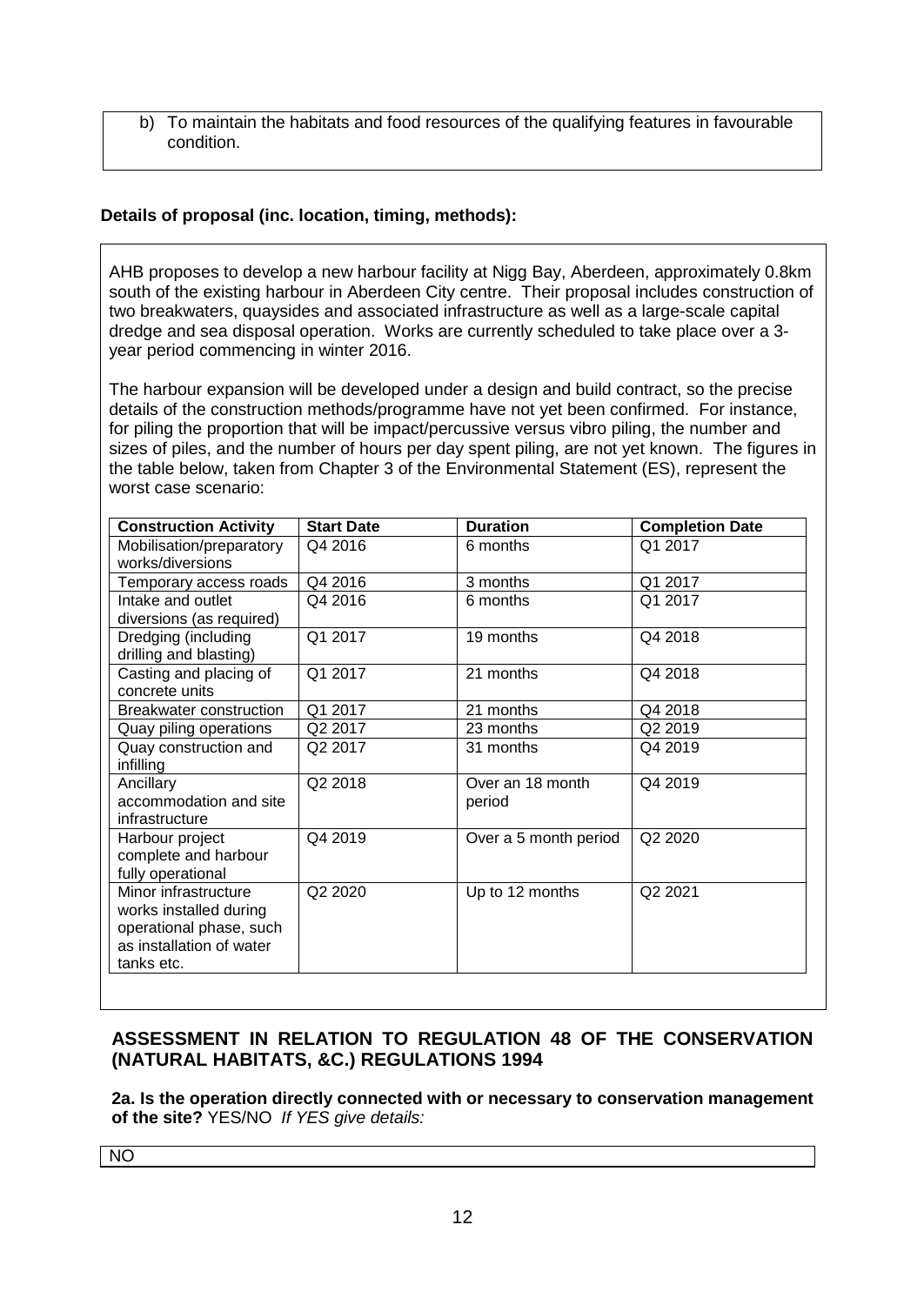b) To maintain the habitats and food resources of the qualifying features in favourable condition.

# **Details of proposal (inc. location, timing, methods):**

AHB proposes to develop a new harbour facility at Nigg Bay, Aberdeen, approximately 0.8km south of the existing harbour in Aberdeen City centre. Their proposal includes construction of two breakwaters, quaysides and associated infrastructure as well as a large-scale capital dredge and sea disposal operation. Works are currently scheduled to take place over a 3 year period commencing in winter 2016.

The harbour expansion will be developed under a design and build contract, so the precise details of the construction methods/programme have not yet been confirmed. For instance, for piling the proportion that will be impact/percussive versus vibro piling, the number and sizes of piles, and the number of hours per day spent piling, are not yet known. The figures in the table below, taken from Chapter 3 of the Environmental Statement (ES), represent the worst case scenario:

| <b>Construction Activity</b>                                                                                        | <b>Start Date</b> | <b>Duration</b>            | <b>Completion Date</b> |
|---------------------------------------------------------------------------------------------------------------------|-------------------|----------------------------|------------------------|
| Mobilisation/preparatory<br>works/diversions                                                                        | Q4 2016           | 6 months                   | Q1 2017                |
| Temporary access roads                                                                                              | Q4 2016           | 3 months                   | Q1 2017                |
| Intake and outlet<br>diversions (as required)                                                                       | Q4 2016           | 6 months                   | Q1 2017                |
| Dredging (including<br>drilling and blasting)                                                                       | Q1 2017           | 19 months                  | Q4 2018                |
| Casting and placing of<br>concrete units                                                                            | Q1 2017           | 21 months                  | Q4 2018                |
| <b>Breakwater construction</b>                                                                                      | Q1 2017           | 21 months                  | Q4 2018                |
| Quay piling operations                                                                                              | Q2 2017           | 23 months                  | Q2 2019                |
| Quay construction and<br>infilling                                                                                  | Q2 2017           | 31 months                  | Q4 2019                |
| Ancillary<br>accommodation and site<br>infrastructure                                                               | Q2 2018           | Over an 18 month<br>period | Q4 2019                |
| Harbour project<br>complete and harbour<br>fully operational                                                        | Q4 2019           | Over a 5 month period      | Q2 2020                |
| Minor infrastructure<br>works installed during<br>operational phase, such<br>as installation of water<br>tanks etc. | Q2 2020           | Up to 12 months            | Q2 2021                |

# **ASSESSMENT IN RELATION TO REGULATION 48 OF THE CONSERVATION (NATURAL HABITATS, &C.) REGULATIONS 1994**

**2a. Is the operation directly connected with or necessary to conservation management of the site?** YES/NO *If YES give details:*

NO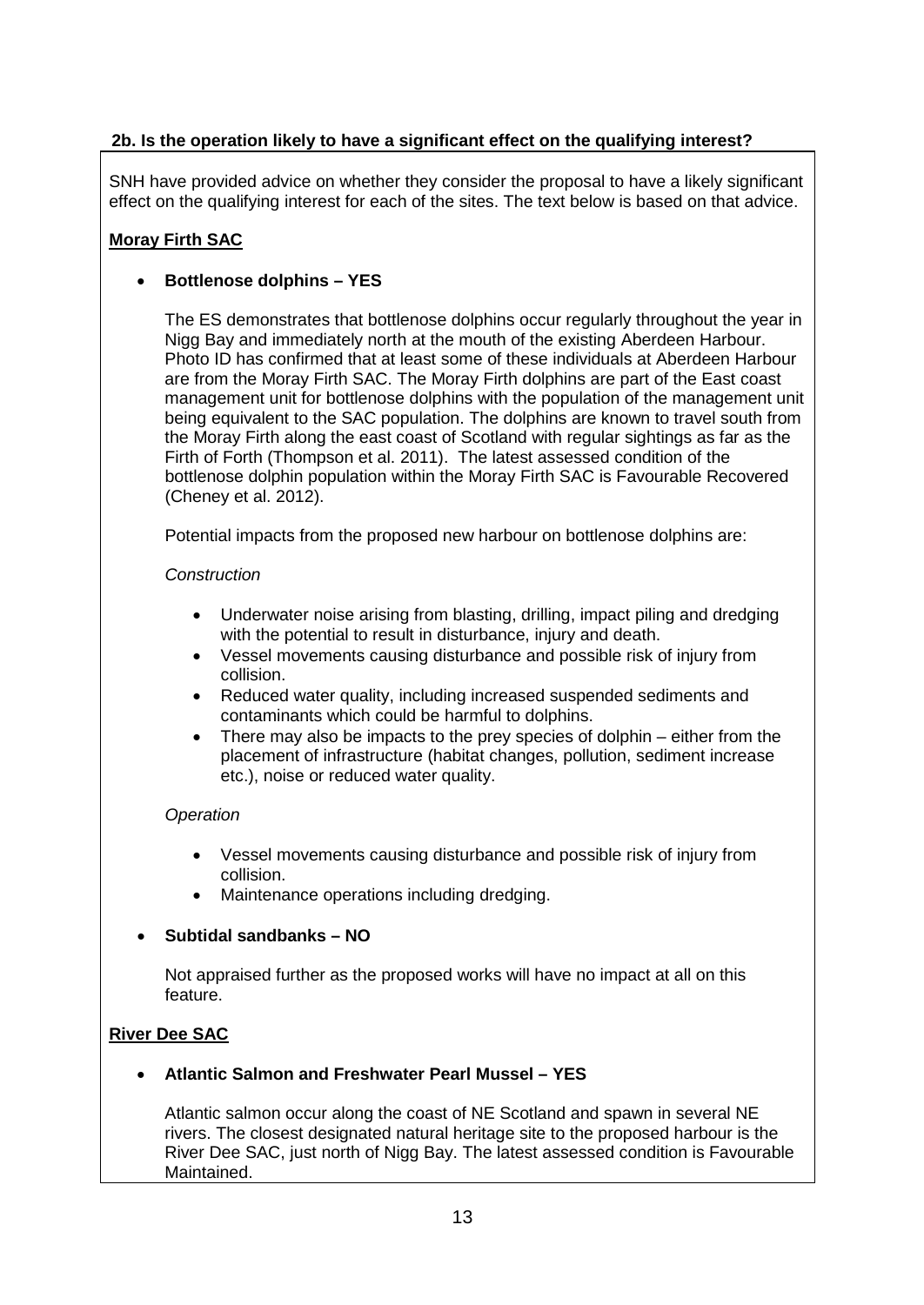# **2b. Is the operation likely to have a significant effect on the qualifying interest?**

SNH have provided advice on whether they consider the proposal to have a likely significant effect on the qualifying interest for each of the sites. The text below is based on that advice.

# **Moray Firth SAC**

# • **Bottlenose dolphins – YES**

The ES demonstrates that bottlenose dolphins occur regularly throughout the year in Nigg Bay and immediately north at the mouth of the existing Aberdeen Harbour. Photo ID has confirmed that at least some of these individuals at Aberdeen Harbour are from the Moray Firth SAC. The Moray Firth dolphins are part of the East coast management unit for bottlenose dolphins with the population of the management unit being equivalent to the SAC population. The dolphins are known to travel south from the Moray Firth along the east coast of Scotland with regular sightings as far as the Firth of Forth (Thompson et al. 2011). The latest assessed condition of the bottlenose dolphin population within the Moray Firth SAC is Favourable Recovered (Cheney et al. 2012).

Potential impacts from the proposed new harbour on bottlenose dolphins are:

## *Construction*

- Underwater noise arising from blasting, drilling, impact piling and dredging with the potential to result in disturbance, injury and death.
- Vessel movements causing disturbance and possible risk of injury from collision.
- Reduced water quality, including increased suspended sediments and contaminants which could be harmful to dolphins.
- There may also be impacts to the prey species of dolphin either from the placement of infrastructure (habitat changes, pollution, sediment increase etc.), noise or reduced water quality.

### *Operation*

- Vessel movements causing disturbance and possible risk of injury from collision.
- Maintenance operations including dredging.

## • **Subtidal sandbanks – NO**

Not appraised further as the proposed works will have no impact at all on this feature.

## **River Dee SAC**

## • **Atlantic Salmon and Freshwater Pearl Mussel – YES**

Atlantic salmon occur along the coast of NE Scotland and spawn in several NE rivers. The closest designated natural heritage site to the proposed harbour is the River Dee SAC, just north of Nigg Bay. The latest assessed condition is Favourable Maintained.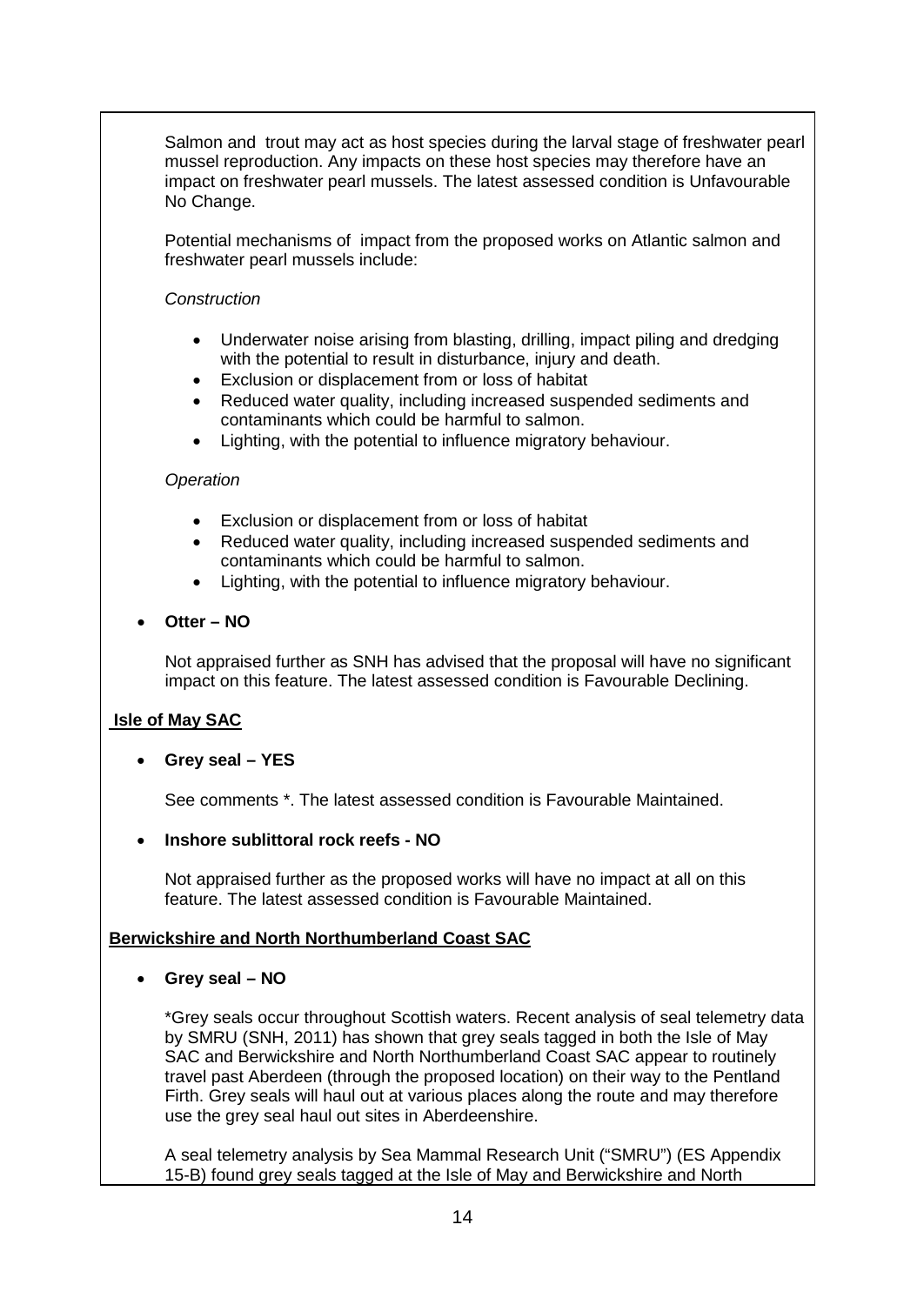Salmon and trout may act as host species during the larval stage of freshwater pearl mussel reproduction. Any impacts on these host species may therefore have an impact on freshwater pearl mussels. The latest assessed condition is Unfavourable No Change.

Potential mechanisms of impact from the proposed works on Atlantic salmon and freshwater pearl mussels include:

### *Construction*

- Underwater noise arising from blasting, drilling, impact piling and dredging with the potential to result in disturbance, injury and death.
- Exclusion or displacement from or loss of habitat
- Reduced water quality, including increased suspended sediments and contaminants which could be harmful to salmon.
- Lighting, with the potential to influence migratory behaviour.

## *Operation*

- Exclusion or displacement from or loss of habitat
- Reduced water quality, including increased suspended sediments and contaminants which could be harmful to salmon.
- Lighting, with the potential to influence migratory behaviour.
- **Otter – NO**

Not appraised further as SNH has advised that the proposal will have no significant impact on this feature. The latest assessed condition is Favourable Declining.

## **Isle of May SAC**

### • **Grey seal – YES**

See comments \*. The latest assessed condition is Favourable Maintained.

### • **Inshore sublittoral rock reefs - NO**

Not appraised further as the proposed works will have no impact at all on this feature. The latest assessed condition is Favourable Maintained.

### **Berwickshire and North Northumberland Coast SAC**

### • **Grey seal – NO**

\*Grey seals occur throughout Scottish waters. Recent analysis of seal telemetry data by SMRU (SNH, 2011) has shown that grey seals tagged in both the Isle of May SAC and Berwickshire and North Northumberland Coast SAC appear to routinely travel past Aberdeen (through the proposed location) on their way to the Pentland Firth. Grey seals will haul out at various places along the route and may therefore use the grey seal haul out sites in Aberdeenshire.

A seal telemetry analysis by Sea Mammal Research Unit ("SMRU") (ES Appendix 15-B) found grey seals tagged at the Isle of May and Berwickshire and North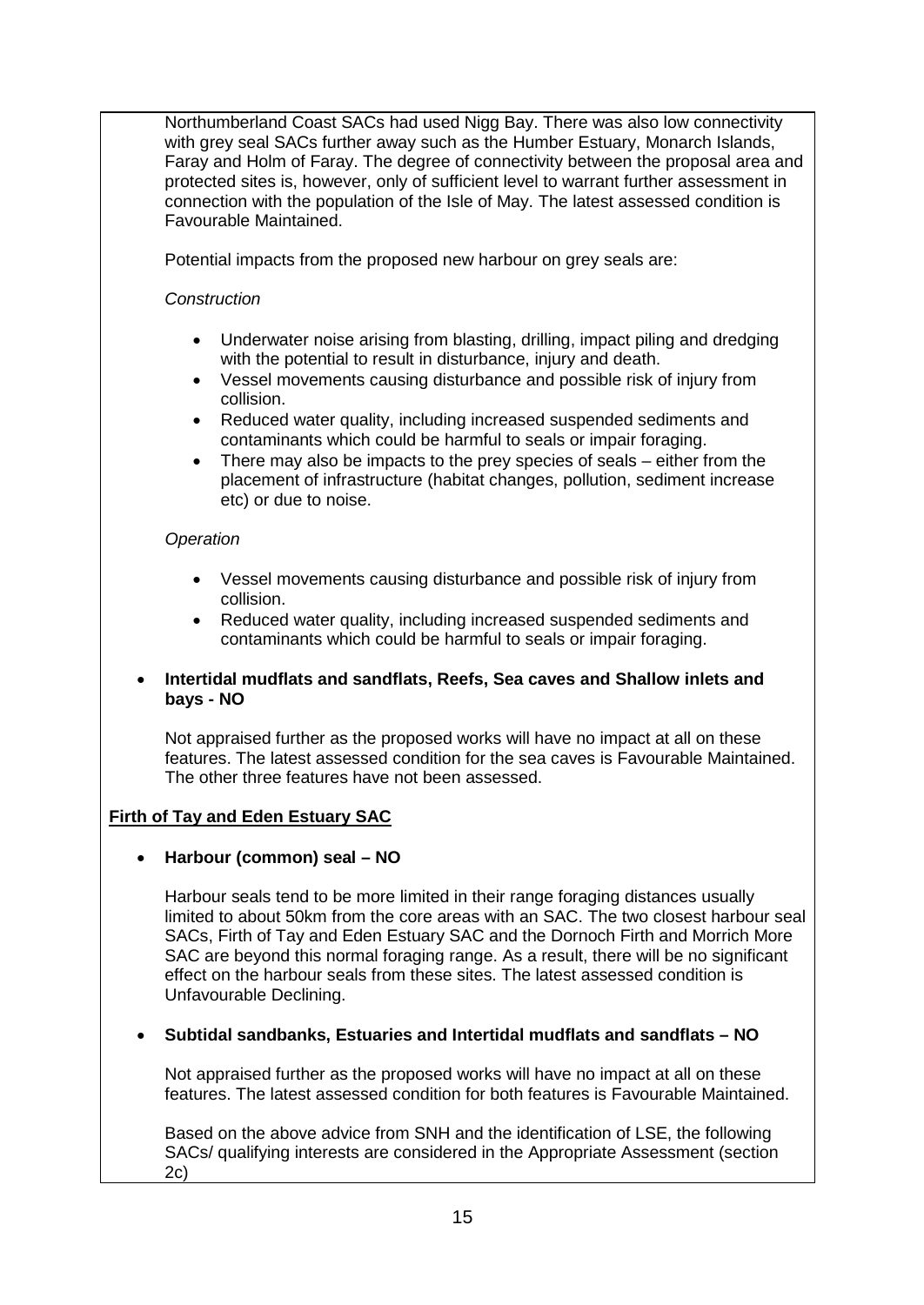Northumberland Coast SACs had used Nigg Bay. There was also low connectivity with grey seal SACs further away such as the Humber Estuary, Monarch Islands, Faray and Holm of Faray. The degree of connectivity between the proposal area and protected sites is, however, only of sufficient level to warrant further assessment in connection with the population of the Isle of May. The latest assessed condition is Favourable Maintained.

Potential impacts from the proposed new harbour on grey seals are:

## *Construction*

- Underwater noise arising from blasting, drilling, impact piling and dredging with the potential to result in disturbance, injury and death.
- Vessel movements causing disturbance and possible risk of injury from collision.
- Reduced water quality, including increased suspended sediments and contaminants which could be harmful to seals or impair foraging.
- There may also be impacts to the prey species of seals either from the placement of infrastructure (habitat changes, pollution, sediment increase etc) or due to noise.

## *Operation*

- Vessel movements causing disturbance and possible risk of injury from collision.
- Reduced water quality, including increased suspended sediments and contaminants which could be harmful to seals or impair foraging.

## • **Intertidal mudflats and sandflats, Reefs, Sea caves and Shallow inlets and bays - NO**

Not appraised further as the proposed works will have no impact at all on these features. The latest assessed condition for the sea caves is Favourable Maintained. The other three features have not been assessed.

## **Firth of Tay and Eden Estuary SAC**

### • **Harbour (common) seal – NO**

Harbour seals tend to be more limited in their range foraging distances usually limited to about 50km from the core areas with an SAC. The two closest harbour seal SACs, Firth of Tay and Eden Estuary SAC and the Dornoch Firth and Morrich More SAC are beyond this normal foraging range. As a result, there will be no significant effect on the harbour seals from these sites. The latest assessed condition is Unfavourable Declining.

## • **Subtidal sandbanks, Estuaries and Intertidal mudflats and sandflats – NO**

Not appraised further as the proposed works will have no impact at all on these features. The latest assessed condition for both features is Favourable Maintained.

Based on the above advice from SNH and the identification of LSE, the following SACs/ qualifying interests are considered in the Appropriate Assessment (section 2c)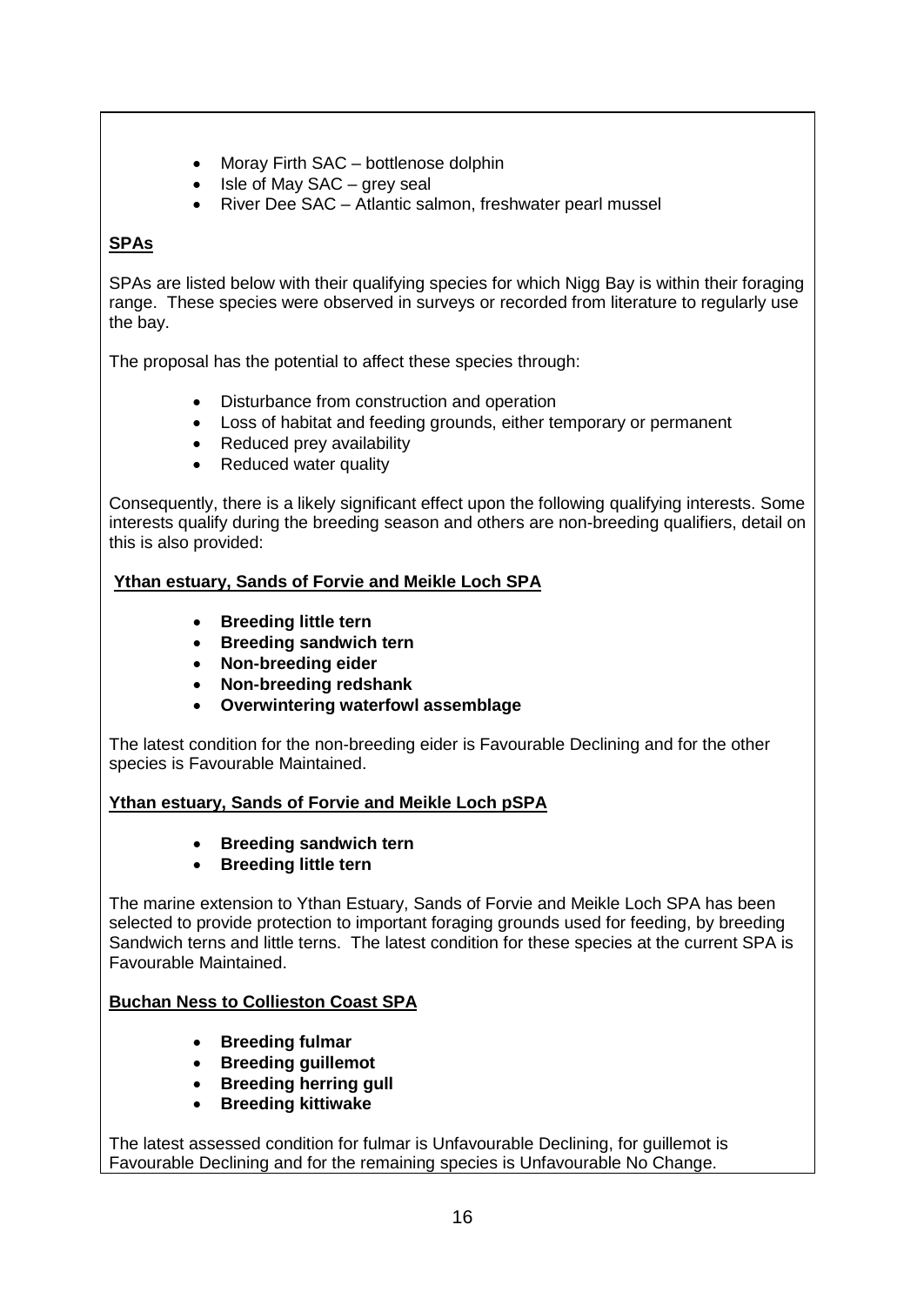- Moray Firth SAC bottlenose dolphin
- Isle of May SAC grey seal
- River Dee SAC Atlantic salmon, freshwater pearl mussel

# **SPAs**

SPAs are listed below with their qualifying species for which Nigg Bay is within their foraging range. These species were observed in surveys or recorded from literature to regularly use the bay.

The proposal has the potential to affect these species through:

- Disturbance from construction and operation
- Loss of habitat and feeding grounds, either temporary or permanent
- Reduced prey availability
- Reduced water quality

Consequently, there is a likely significant effect upon the following qualifying interests. Some interests qualify during the breeding season and others are non-breeding qualifiers, detail on this is also provided:

# **Ythan estuary, Sands of Forvie and Meikle Loch SPA**

- **Breeding little tern**
- **Breeding sandwich tern**
- **Non-breeding eider**
- **Non-breeding redshank**
- **Overwintering waterfowl assemblage**

The latest condition for the non-breeding eider is Favourable Declining and for the other species is Favourable Maintained.

## **Ythan estuary, Sands of Forvie and Meikle Loch pSPA**

- **Breeding sandwich tern**
- **Breeding little tern**

The marine extension to Ythan Estuary, Sands of Forvie and Meikle Loch SPA has been selected to provide protection to important foraging grounds used for feeding, by breeding Sandwich terns and little terns. The latest condition for these species at the current SPA is Favourable Maintained.

## **Buchan Ness to Collieston Coast SPA**

- **Breeding fulmar**
- **Breeding guillemot**
- **Breeding herring gull**
- **Breeding kittiwake**

The latest assessed condition for fulmar is Unfavourable Declining, for guillemot is Favourable Declining and for the remaining species is Unfavourable No Change.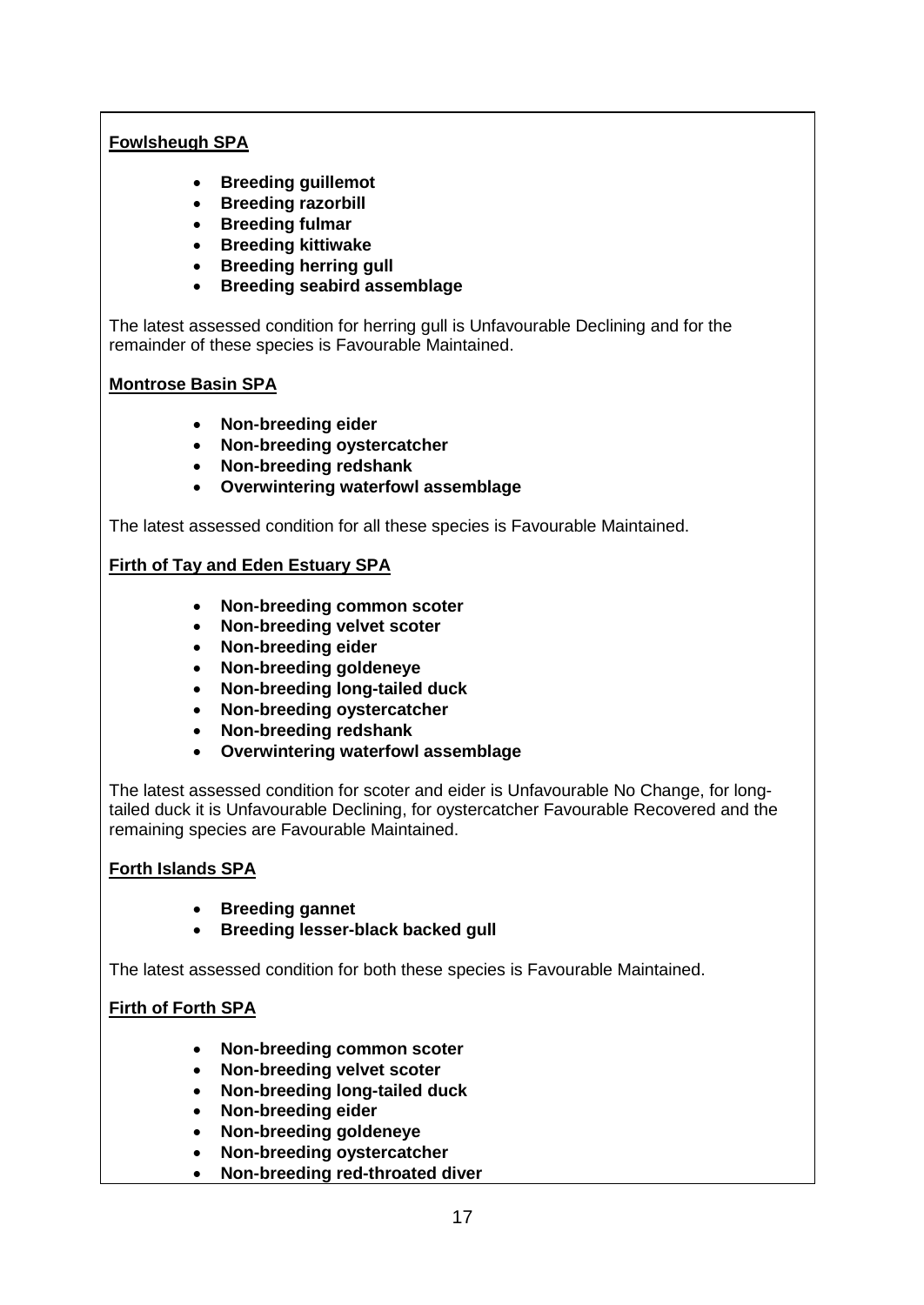# **Fowlsheugh SPA**

- **Breeding guillemot**
- **Breeding razorbill**
- **Breeding fulmar**
- **Breeding kittiwake**
- **Breeding herring gull**
- **Breeding seabird assemblage**

The latest assessed condition for herring gull is Unfavourable Declining and for the remainder of these species is Favourable Maintained.

## **Montrose Basin SPA**

- **Non-breeding eider**
- **Non-breeding oystercatcher**
- **Non-breeding redshank**
- **Overwintering waterfowl assemblage**

The latest assessed condition for all these species is Favourable Maintained.

## **Firth of Tay and Eden Estuary SPA**

- **Non-breeding common scoter**
- **Non-breeding velvet scoter**
- **Non-breeding eider**
- **Non-breeding goldeneye**
- **Non-breeding long-tailed duck**
- **Non-breeding oystercatcher**
- **Non-breeding redshank**
- **Overwintering waterfowl assemblage**

The latest assessed condition for scoter and eider is Unfavourable No Change, for longtailed duck it is Unfavourable Declining, for oystercatcher Favourable Recovered and the remaining species are Favourable Maintained.

## **Forth Islands SPA**

- **Breeding gannet**
- **Breeding lesser-black backed gull**

The latest assessed condition for both these species is Favourable Maintained.

## **Firth of Forth SPA**

- **Non-breeding common scoter**
- **Non-breeding velvet scoter**
- **Non-breeding long-tailed duck**
- **Non-breeding eider**
- **Non-breeding goldeneye**
- **Non-breeding oystercatcher**
- **Non-breeding red-throated diver**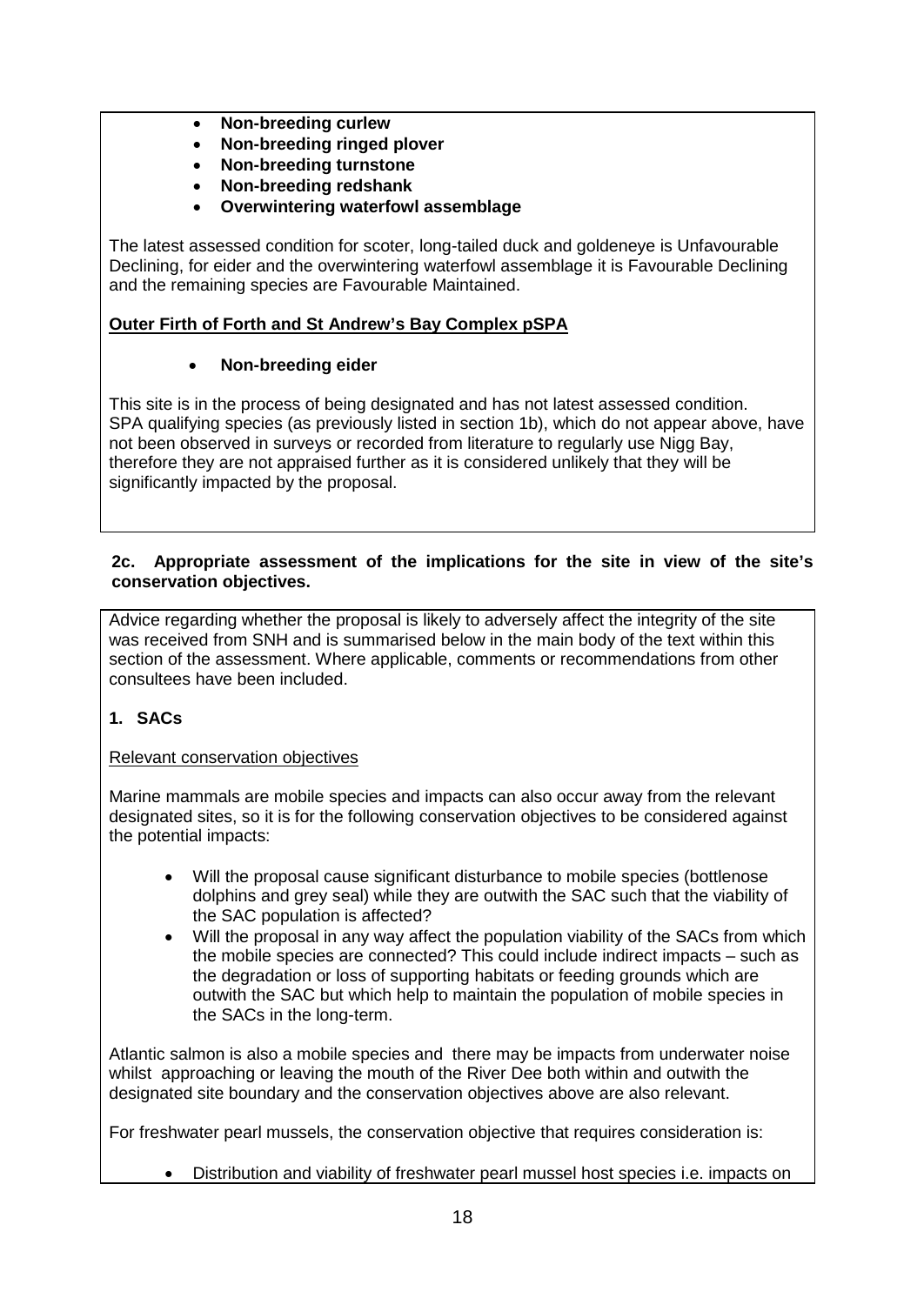- **Non-breeding curlew**
- **Non-breeding ringed plover**
- **Non-breeding turnstone**
- **Non-breeding redshank**
- **Overwintering waterfowl assemblage**

The latest assessed condition for scoter, long-tailed duck and goldeneye is Unfavourable Declining, for eider and the overwintering waterfowl assemblage it is Favourable Declining and the remaining species are Favourable Maintained.

## **Outer Firth of Forth and St Andrew's Bay Complex pSPA**

### • **Non-breeding eider**

This site is in the process of being designated and has not latest assessed condition. SPA qualifying species (as previously listed in section 1b), which do not appear above, have not been observed in surveys or recorded from literature to regularly use Nigg Bay, therefore they are not appraised further as it is considered unlikely that they will be significantly impacted by the proposal.

### **2c. Appropriate assessment of the implications for the site in view of the site's conservation objectives.**

Advice regarding whether the proposal is likely to adversely affect the integrity of the site was received from SNH and is summarised below in the main body of the text within this section of the assessment. Where applicable, comments or recommendations from other consultees have been included.

### **1. SACs**

### Relevant conservation objectives

Marine mammals are mobile species and impacts can also occur away from the relevant designated sites, so it is for the following conservation objectives to be considered against the potential impacts:

- Will the proposal cause significant disturbance to mobile species (bottlenose dolphins and grey seal) while they are outwith the SAC such that the viability of the SAC population is affected?
- Will the proposal in any way affect the population viability of the SACs from which the mobile species are connected? This could include indirect impacts – such as the degradation or loss of supporting habitats or feeding grounds which are outwith the SAC but which help to maintain the population of mobile species in the SACs in the long-term.

Atlantic salmon is also a mobile species and there may be impacts from underwater noise whilst approaching or leaving the mouth of the River Dee both within and outwith the designated site boundary and the conservation objectives above are also relevant.

For freshwater pearl mussels, the conservation objective that requires consideration is:

• Distribution and viability of freshwater pearl mussel host species i.e. impacts on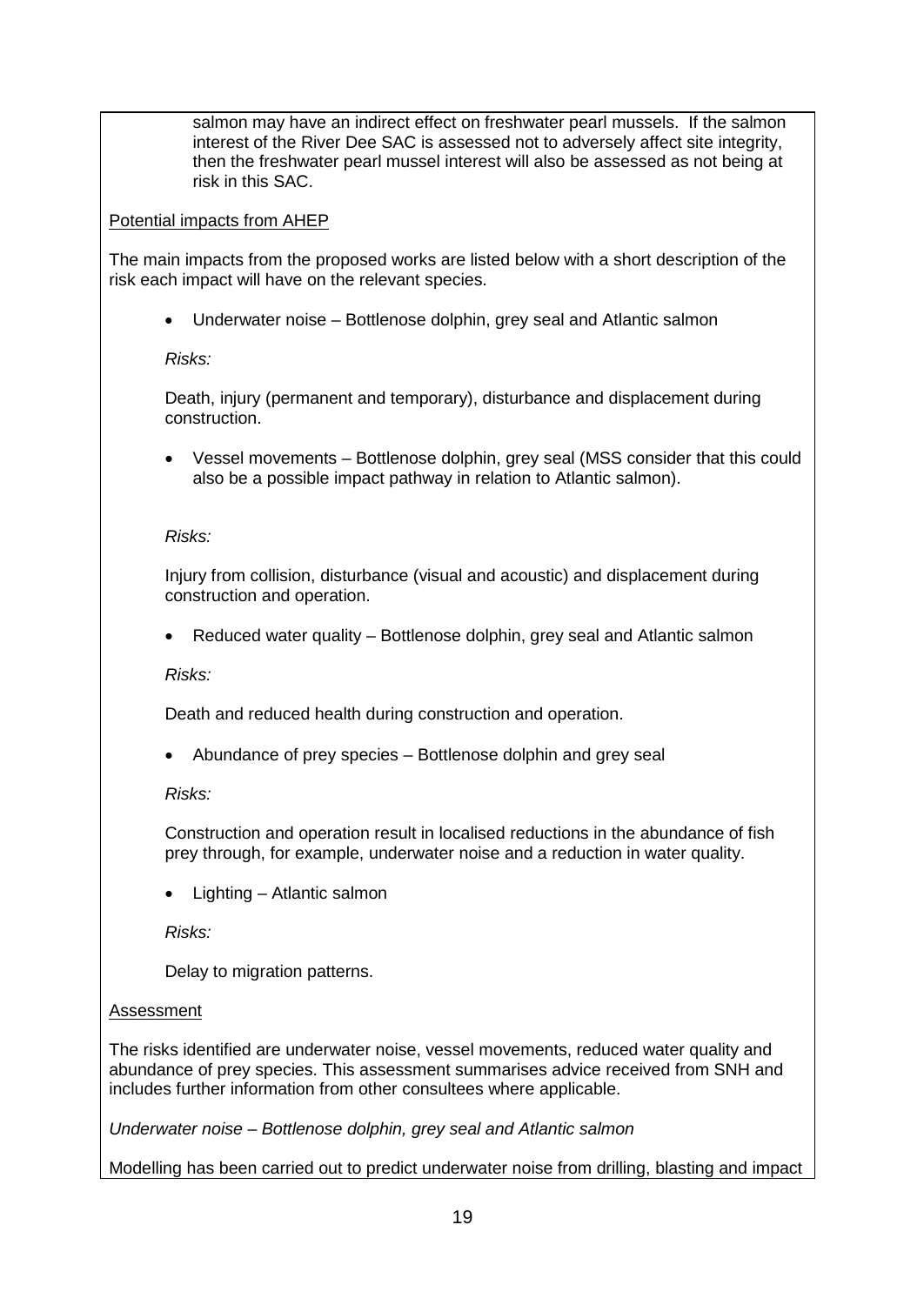salmon may have an indirect effect on freshwater pearl mussels. If the salmon interest of the River Dee SAC is assessed not to adversely affect site integrity, then the freshwater pearl mussel interest will also be assessed as not being at risk in this SAC.

### Potential impacts from AHEP

The main impacts from the proposed works are listed below with a short description of the risk each impact will have on the relevant species.

• Underwater noise – Bottlenose dolphin, grey seal and Atlantic salmon

## *Risks:*

Death, injury (permanent and temporary), disturbance and displacement during construction.

• Vessel movements – Bottlenose dolphin, grey seal (MSS consider that this could also be a possible impact pathway in relation to Atlantic salmon).

## *Risks:*

Injury from collision, disturbance (visual and acoustic) and displacement during construction and operation.

• Reduced water quality – Bottlenose dolphin, grey seal and Atlantic salmon

*Risks:*

Death and reduced health during construction and operation.

• Abundance of prey species – Bottlenose dolphin and grey seal

*Risks:*

Construction and operation result in localised reductions in the abundance of fish prey through, for example, underwater noise and a reduction in water quality.

• Lighting – Atlantic salmon

*Risks:*

Delay to migration patterns.

## Assessment

The risks identified are underwater noise, vessel movements, reduced water quality and abundance of prey species. This assessment summarises advice received from SNH and includes further information from other consultees where applicable.

*Underwater noise – Bottlenose dolphin, grey seal and Atlantic salmon*

Modelling has been carried out to predict underwater noise from drilling, blasting and impact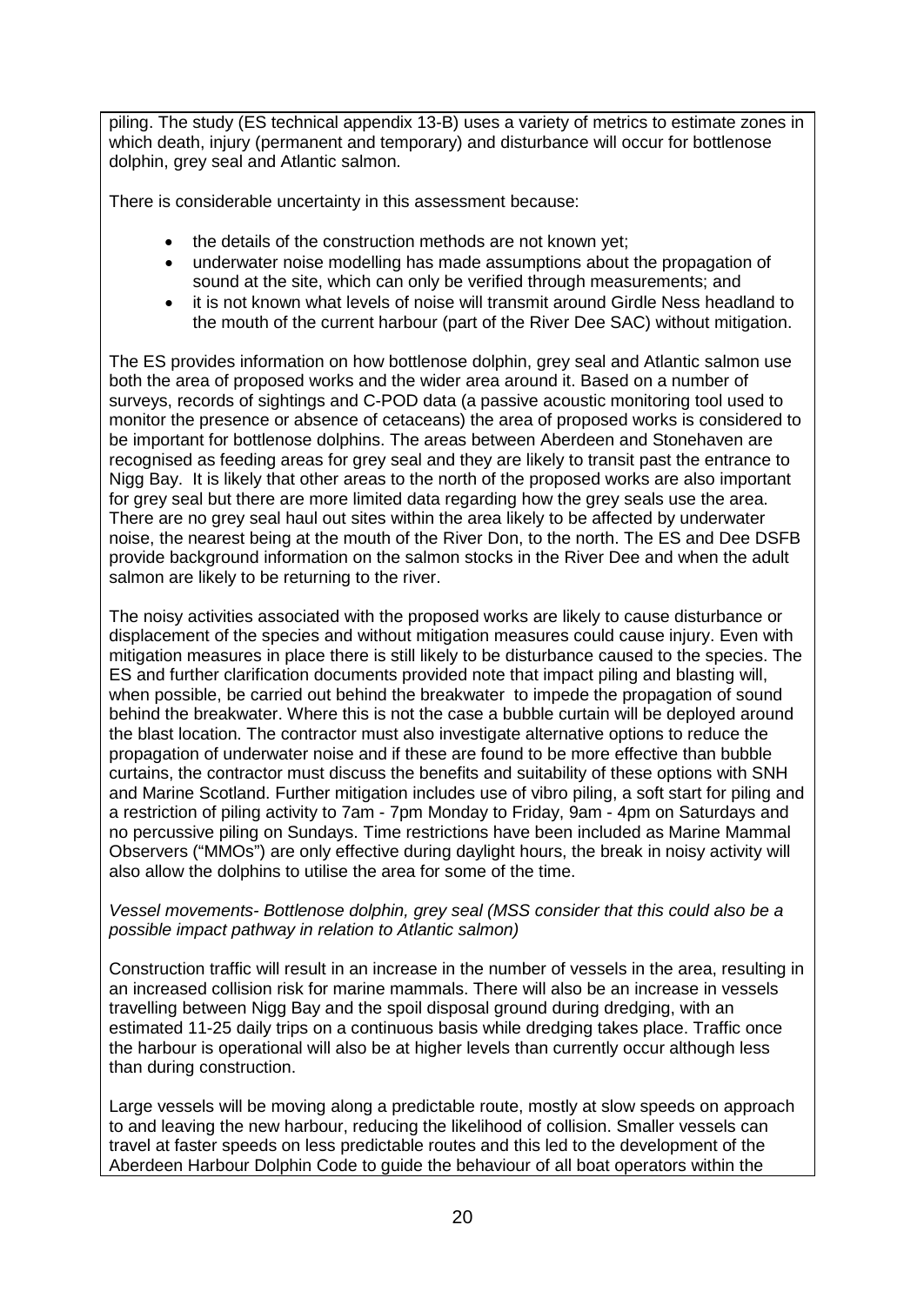piling. The study (ES technical appendix 13-B) uses a variety of metrics to estimate zones in which death, injury (permanent and temporary) and disturbance will occur for bottlenose dolphin, grey seal and Atlantic salmon.

There is considerable uncertainty in this assessment because:

- the details of the construction methods are not known yet;
- underwater noise modelling has made assumptions about the propagation of sound at the site, which can only be verified through measurements; and
- it is not known what levels of noise will transmit around Girdle Ness headland to the mouth of the current harbour (part of the River Dee SAC) without mitigation.

The ES provides information on how bottlenose dolphin, grey seal and Atlantic salmon use both the area of proposed works and the wider area around it. Based on a number of surveys, records of sightings and C-POD data (a passive acoustic monitoring tool used to monitor the presence or absence of cetaceans) the area of proposed works is considered to be important for bottlenose dolphins. The areas between Aberdeen and Stonehaven are recognised as feeding areas for grey seal and they are likely to transit past the entrance to Nigg Bay. It is likely that other areas to the north of the proposed works are also important for grey seal but there are more limited data regarding how the grey seals use the area. There are no grey seal haul out sites within the area likely to be affected by underwater noise, the nearest being at the mouth of the River Don, to the north. The ES and Dee DSFB provide background information on the salmon stocks in the River Dee and when the adult salmon are likely to be returning to the river.

The noisy activities associated with the proposed works are likely to cause disturbance or displacement of the species and without mitigation measures could cause injury. Even with mitigation measures in place there is still likely to be disturbance caused to the species. The ES and further clarification documents provided note that impact piling and blasting will, when possible, be carried out behind the breakwater to impede the propagation of sound behind the breakwater. Where this is not the case a bubble curtain will be deployed around the blast location. The contractor must also investigate alternative options to reduce the propagation of underwater noise and if these are found to be more effective than bubble curtains, the contractor must discuss the benefits and suitability of these options with SNH and Marine Scotland. Further mitigation includes use of vibro piling, a soft start for piling and a restriction of piling activity to 7am - 7pm Monday to Friday, 9am - 4pm on Saturdays and no percussive piling on Sundays. Time restrictions have been included as Marine Mammal Observers ("MMOs") are only effective during daylight hours, the break in noisy activity will also allow the dolphins to utilise the area for some of the time.

#### *Vessel movements- Bottlenose dolphin, grey seal (MSS consider that this could also be a possible impact pathway in relation to Atlantic salmon)*

Construction traffic will result in an increase in the number of vessels in the area, resulting in an increased collision risk for marine mammals. There will also be an increase in vessels travelling between Nigg Bay and the spoil disposal ground during dredging, with an estimated 11-25 daily trips on a continuous basis while dredging takes place. Traffic once the harbour is operational will also be at higher levels than currently occur although less than during construction.

Large vessels will be moving along a predictable route, mostly at slow speeds on approach to and leaving the new harbour, reducing the likelihood of collision. Smaller vessels can travel at faster speeds on less predictable routes and this led to the development of the Aberdeen Harbour Dolphin Code to guide the behaviour of all boat operators within the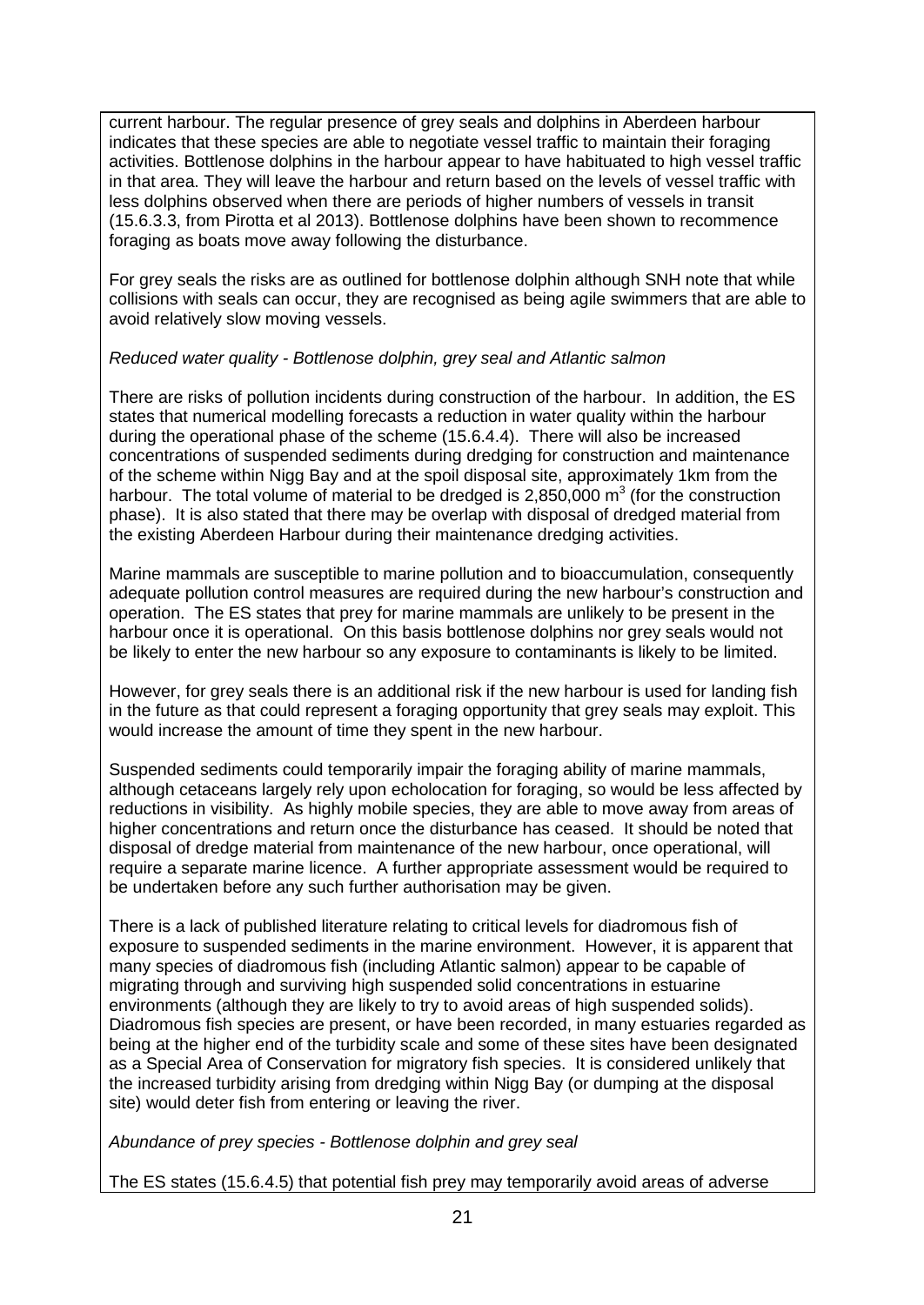current harbour. The regular presence of grey seals and dolphins in Aberdeen harbour indicates that these species are able to negotiate vessel traffic to maintain their foraging activities. Bottlenose dolphins in the harbour appear to have habituated to high vessel traffic in that area. They will leave the harbour and return based on the levels of vessel traffic with less dolphins observed when there are periods of higher numbers of vessels in transit (15.6.3.3, from Pirotta et al 2013). Bottlenose dolphins have been shown to recommence foraging as boats move away following the disturbance.

For grey seals the risks are as outlined for bottlenose dolphin although SNH note that while collisions with seals can occur, they are recognised as being agile swimmers that are able to avoid relatively slow moving vessels.

### *Reduced water quality - Bottlenose dolphin, grey seal and Atlantic salmon*

There are risks of pollution incidents during construction of the harbour. In addition, the ES states that numerical modelling forecasts a reduction in water quality within the harbour during the operational phase of the scheme (15.6.4.4). There will also be increased concentrations of suspended sediments during dredging for construction and maintenance of the scheme within Nigg Bay and at the spoil disposal site, approximately 1km from the harbour. The total volume of material to be dredged is  $2,850,000$  m<sup>3</sup> (for the construction phase). It is also stated that there may be overlap with disposal of dredged material from the existing Aberdeen Harbour during their maintenance dredging activities.

Marine mammals are susceptible to marine pollution and to bioaccumulation, consequently adequate pollution control measures are required during the new harbour's construction and operation. The ES states that prey for marine mammals are unlikely to be present in the harbour once it is operational. On this basis bottlenose dolphins nor grey seals would not be likely to enter the new harbour so any exposure to contaminants is likely to be limited.

However, for grey seals there is an additional risk if the new harbour is used for landing fish in the future as that could represent a foraging opportunity that grey seals may exploit. This would increase the amount of time they spent in the new harbour.

Suspended sediments could temporarily impair the foraging ability of marine mammals, although cetaceans largely rely upon echolocation for foraging, so would be less affected by reductions in visibility. As highly mobile species, they are able to move away from areas of higher concentrations and return once the disturbance has ceased. It should be noted that disposal of dredge material from maintenance of the new harbour, once operational, will require a separate marine licence. A further appropriate assessment would be required to be undertaken before any such further authorisation may be given.

There is a lack of published literature relating to critical levels for diadromous fish of exposure to suspended sediments in the marine environment. However, it is apparent that many species of diadromous fish (including Atlantic salmon) appear to be capable of migrating through and surviving high suspended solid concentrations in estuarine environments (although they are likely to try to avoid areas of high suspended solids). Diadromous fish species are present, or have been recorded, in many estuaries regarded as being at the higher end of the turbidity scale and some of these sites have been designated as a Special Area of Conservation for migratory fish species. It is considered unlikely that the increased turbidity arising from dredging within Nigg Bay (or dumping at the disposal site) would deter fish from entering or leaving the river.

*Abundance of prey species - Bottlenose dolphin and grey seal* 

The ES states (15.6.4.5) that potential fish prey may temporarily avoid areas of adverse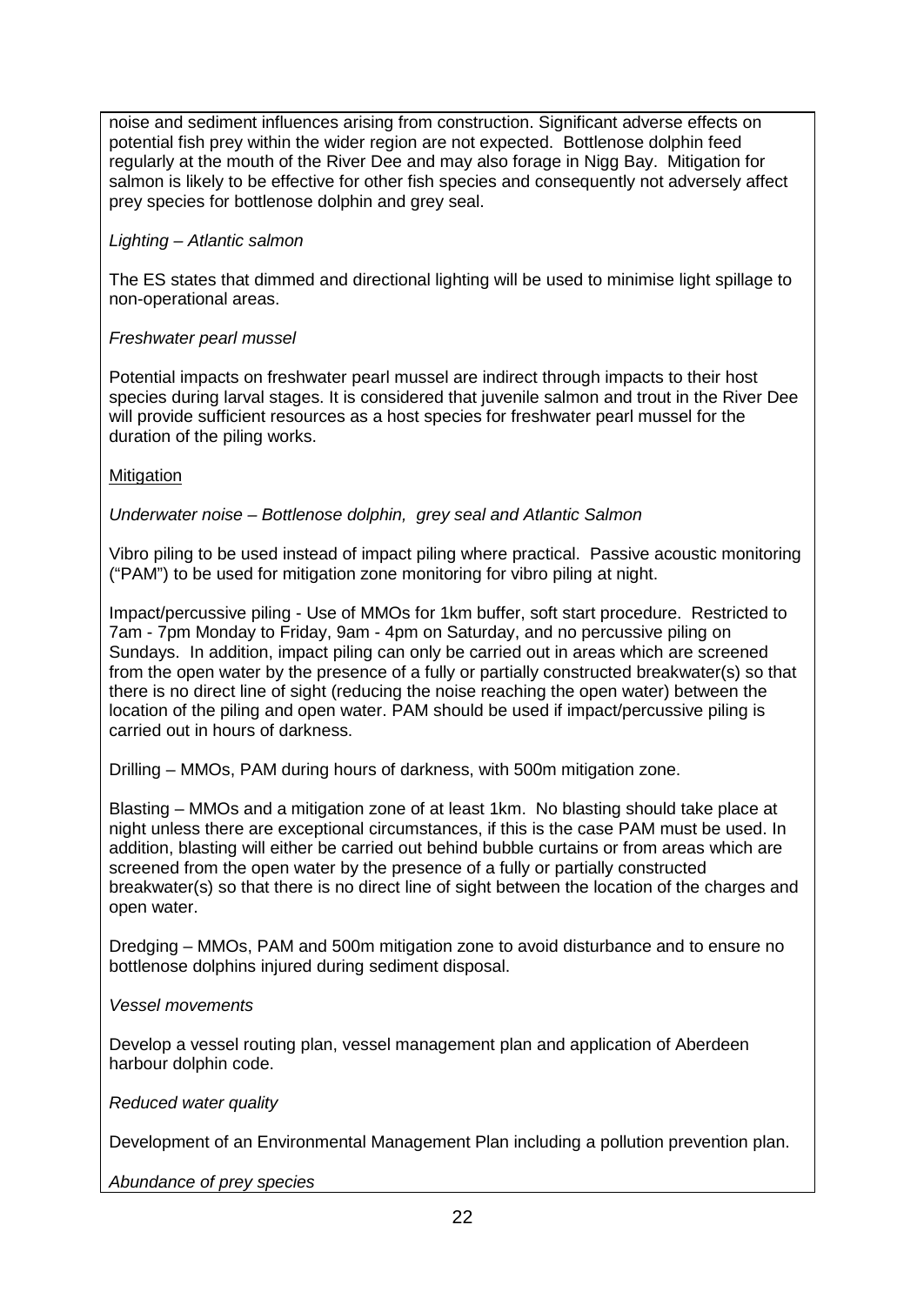noise and sediment influences arising from construction. Significant adverse effects on potential fish prey within the wider region are not expected. Bottlenose dolphin feed regularly at the mouth of the River Dee and may also forage in Nigg Bay. Mitigation for salmon is likely to be effective for other fish species and consequently not adversely affect prey species for bottlenose dolphin and grey seal.

## *Lighting – Atlantic salmon*

The ES states that dimmed and directional lighting will be used to minimise light spillage to non-operational areas.

## *Freshwater pearl mussel*

Potential impacts on freshwater pearl mussel are indirect through impacts to their host species during larval stages. It is considered that juvenile salmon and trout in the River Dee will provide sufficient resources as a host species for freshwater pearl mussel for the duration of the piling works.

## **Mitigation**

*Underwater noise – Bottlenose dolphin, grey seal and Atlantic Salmon*

Vibro piling to be used instead of impact piling where practical. Passive acoustic monitoring ("PAM") to be used for mitigation zone monitoring for vibro piling at night.

Impact/percussive piling - Use of MMOs for 1km buffer, soft start procedure. Restricted to 7am - 7pm Monday to Friday, 9am - 4pm on Saturday, and no percussive piling on Sundays. In addition, impact piling can only be carried out in areas which are screened from the open water by the presence of a fully or partially constructed breakwater(s) so that there is no direct line of sight (reducing the noise reaching the open water) between the location of the piling and open water. PAM should be used if impact/percussive piling is carried out in hours of darkness.

Drilling – MMOs, PAM during hours of darkness, with 500m mitigation zone.

Blasting – MMOs and a mitigation zone of at least 1km. No blasting should take place at night unless there are exceptional circumstances, if this is the case PAM must be used. In addition, blasting will either be carried out behind bubble curtains or from areas which are screened from the open water by the presence of a fully or partially constructed breakwater(s) so that there is no direct line of sight between the location of the charges and open water.

Dredging – MMOs, PAM and 500m mitigation zone to avoid disturbance and to ensure no bottlenose dolphins injured during sediment disposal.

## *Vessel movements*

Develop a vessel routing plan, vessel management plan and application of Aberdeen harbour dolphin code.

### *Reduced water quality*

Development of an Environmental Management Plan including a pollution prevention plan.

*Abundance of prey species*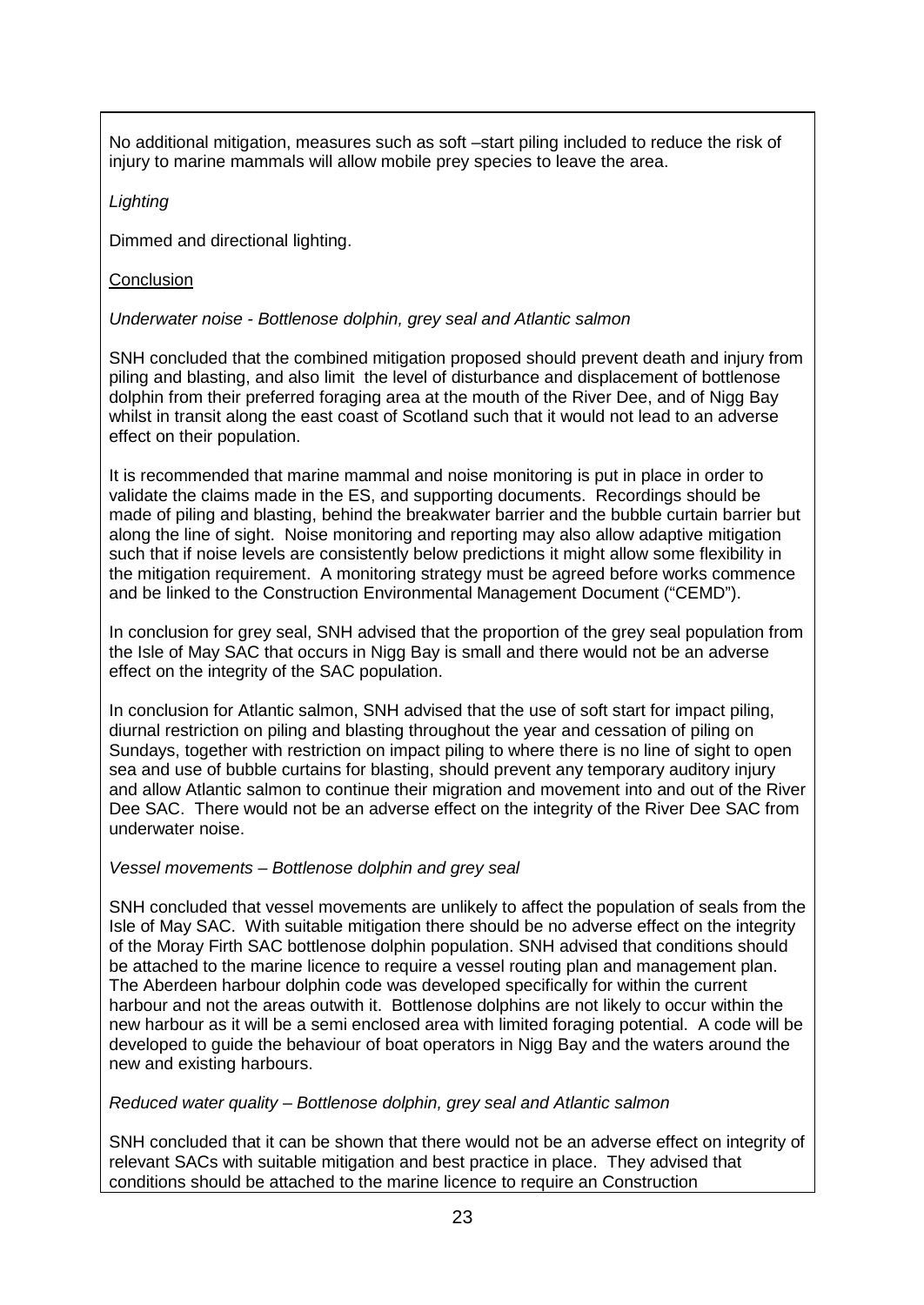No additional mitigation, measures such as soft –start piling included to reduce the risk of injury to marine mammals will allow mobile prey species to leave the area.

## *Lighting*

Dimmed and directional lighting.

# **Conclusion**

# *Underwater noise - Bottlenose dolphin, grey seal and Atlantic salmon*

SNH concluded that the combined mitigation proposed should prevent death and injury from piling and blasting, and also limit the level of disturbance and displacement of bottlenose dolphin from their preferred foraging area at the mouth of the River Dee, and of Nigg Bay whilst in transit along the east coast of Scotland such that it would not lead to an adverse effect on their population.

It is recommended that marine mammal and noise monitoring is put in place in order to validate the claims made in the ES, and supporting documents. Recordings should be made of piling and blasting, behind the breakwater barrier and the bubble curtain barrier but along the line of sight. Noise monitoring and reporting may also allow adaptive mitigation such that if noise levels are consistently below predictions it might allow some flexibility in the mitigation requirement. A monitoring strategy must be agreed before works commence and be linked to the Construction Environmental Management Document ("CEMD").

In conclusion for grey seal, SNH advised that the proportion of the grey seal population from the Isle of May SAC that occurs in Nigg Bay is small and there would not be an adverse effect on the integrity of the SAC population.

In conclusion for Atlantic salmon, SNH advised that the use of soft start for impact piling, diurnal restriction on piling and blasting throughout the year and cessation of piling on Sundays, together with restriction on impact piling to where there is no line of sight to open sea and use of bubble curtains for blasting, should prevent any temporary auditory injury and allow Atlantic salmon to continue their migration and movement into and out of the River Dee SAC. There would not be an adverse effect on the integrity of the River Dee SAC from underwater noise.

## *Vessel movements – Bottlenose dolphin and grey seal*

SNH concluded that vessel movements are unlikely to affect the population of seals from the Isle of May SAC. With suitable mitigation there should be no adverse effect on the integrity of the Moray Firth SAC bottlenose dolphin population. SNH advised that conditions should be attached to the marine licence to require a vessel routing plan and management plan. The Aberdeen harbour dolphin code was developed specifically for within the current harbour and not the areas outwith it. Bottlenose dolphins are not likely to occur within the new harbour as it will be a semi enclosed area with limited foraging potential. A code will be developed to guide the behaviour of boat operators in Nigg Bay and the waters around the new and existing harbours.

## *Reduced water quality – Bottlenose dolphin, grey seal and Atlantic salmon*

SNH concluded that it can be shown that there would not be an adverse effect on integrity of relevant SACs with suitable mitigation and best practice in place. They advised that conditions should be attached to the marine licence to require an Construction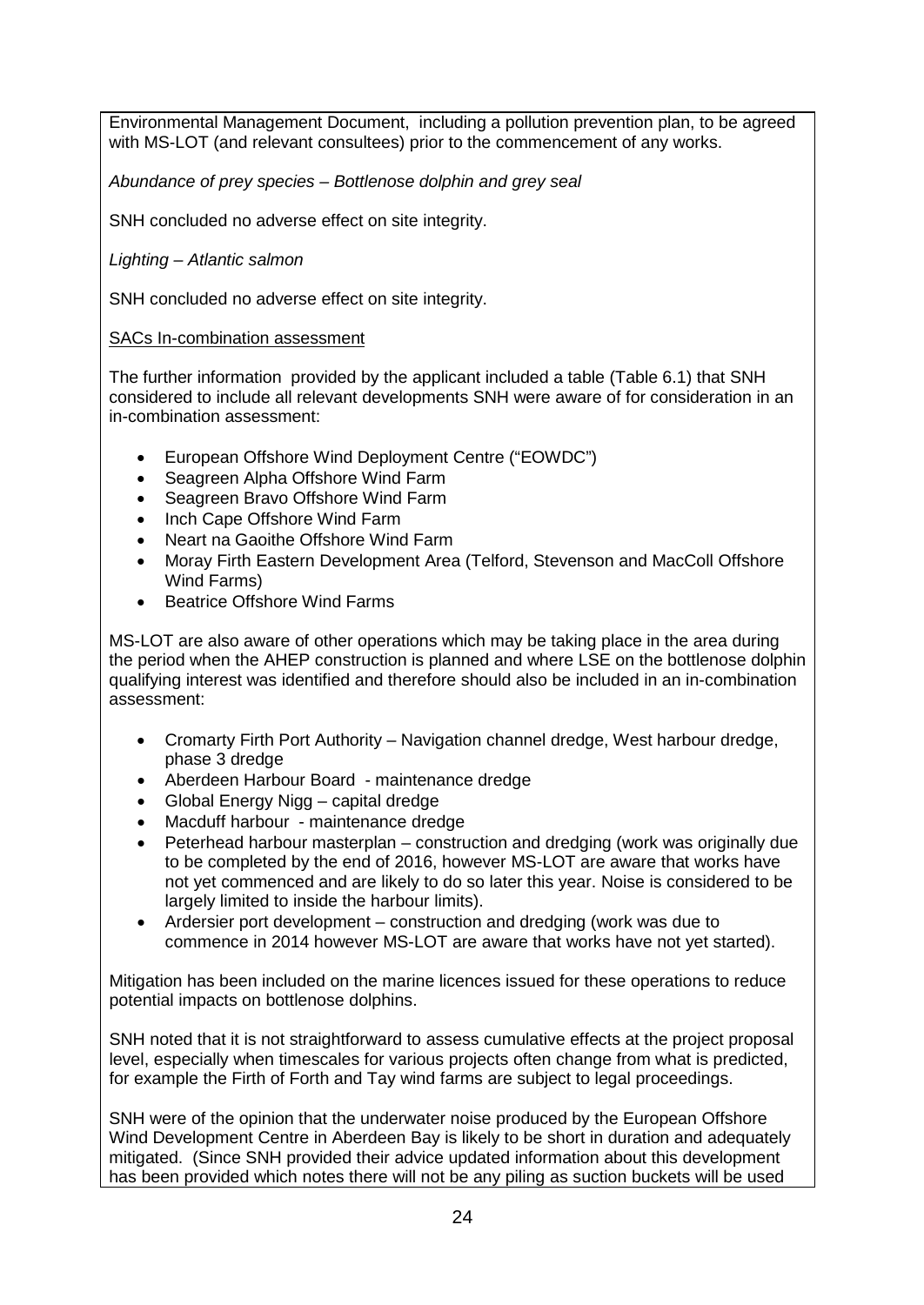Environmental Management Document, including a pollution prevention plan, to be agreed with MS-LOT (and relevant consultees) prior to the commencement of any works.

*Abundance of prey species – Bottlenose dolphin and grey seal*

SNH concluded no adverse effect on site integrity.

*Lighting – Atlantic salmon*

SNH concluded no adverse effect on site integrity.

## SACs In-combination assessment

The further information provided by the applicant included a table (Table 6.1) that SNH considered to include all relevant developments SNH were aware of for consideration in an in-combination assessment:

- European Offshore Wind Deployment Centre ("EOWDC")
- Seagreen Alpha Offshore Wind Farm
- Seagreen Bravo Offshore Wind Farm
- Inch Cape Offshore Wind Farm
- Neart na Gaoithe Offshore Wind Farm
- Moray Firth Eastern Development Area (Telford, Stevenson and MacColl Offshore Wind Farms)
- Beatrice Offshore Wind Farms

MS-LOT are also aware of other operations which may be taking place in the area during the period when the AHEP construction is planned and where LSE on the bottlenose dolphin qualifying interest was identified and therefore should also be included in an in-combination assessment:

- Cromarty Firth Port Authority Navigation channel dredge, West harbour dredge, phase 3 dredge
- Aberdeen Harbour Board maintenance dredge
- Global Energy Nigg capital dredge
- Macduff harbour maintenance dredge
- Peterhead harbour masterplan construction and dredging (work was originally due to be completed by the end of 2016, however MS-LOT are aware that works have not yet commenced and are likely to do so later this year. Noise is considered to be largely limited to inside the harbour limits).
- Ardersier port development construction and dredging (work was due to commence in 2014 however MS-LOT are aware that works have not yet started).

Mitigation has been included on the marine licences issued for these operations to reduce potential impacts on bottlenose dolphins.

SNH noted that it is not straightforward to assess cumulative effects at the project proposal level, especially when timescales for various projects often change from what is predicted, for example the Firth of Forth and Tay wind farms are subject to legal proceedings.

SNH were of the opinion that the underwater noise produced by the European Offshore Wind Development Centre in Aberdeen Bay is likely to be short in duration and adequately mitigated. (Since SNH provided their advice updated information about this development has been provided which notes there will not be any piling as suction buckets will be used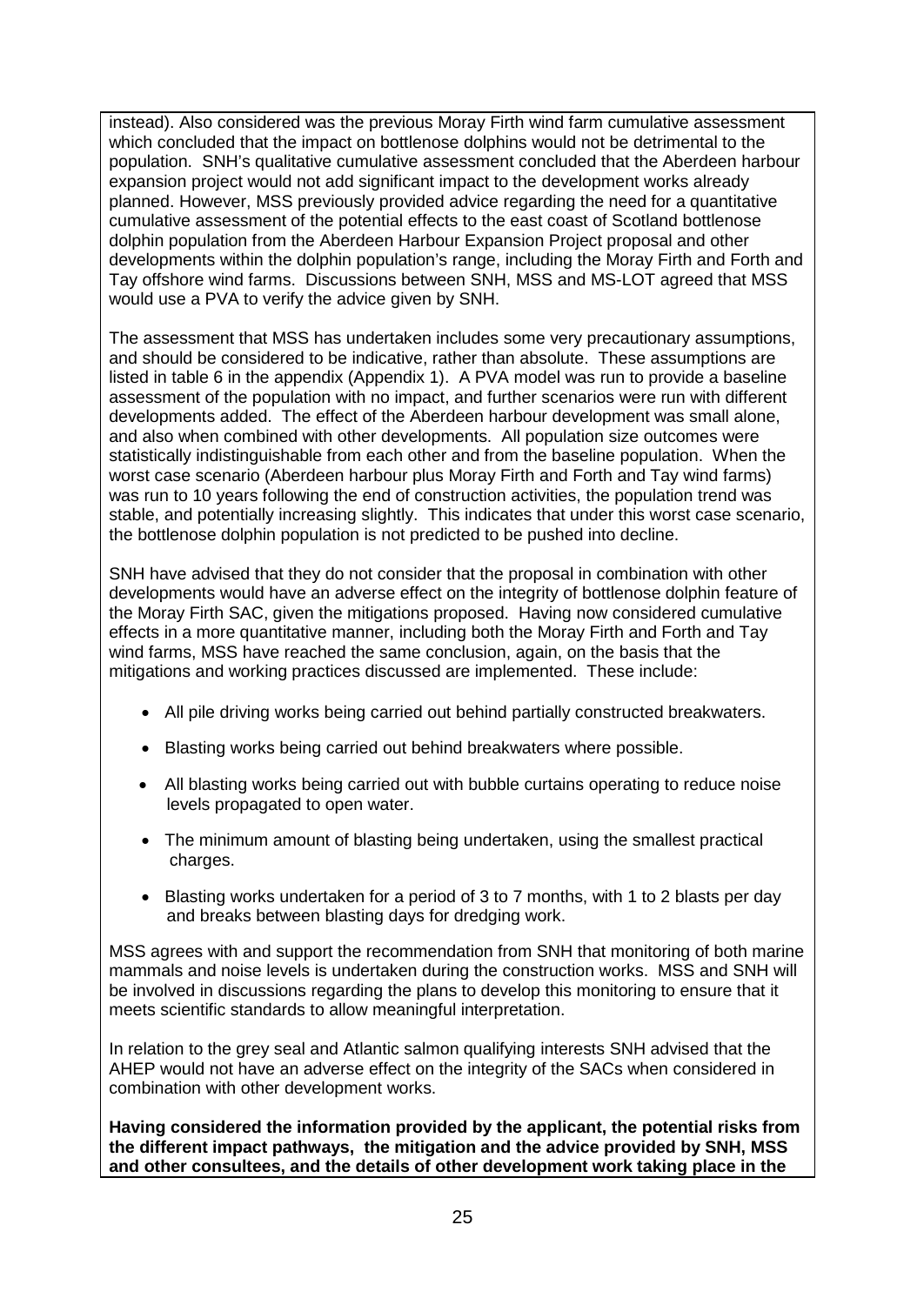instead). Also considered was the previous Moray Firth wind farm cumulative assessment which concluded that the impact on bottlenose dolphins would not be detrimental to the population. SNH's qualitative cumulative assessment concluded that the Aberdeen harbour expansion project would not add significant impact to the development works already planned. However, MSS previously provided advice regarding the need for a quantitative cumulative assessment of the potential effects to the east coast of Scotland bottlenose dolphin population from the Aberdeen Harbour Expansion Project proposal and other developments within the dolphin population's range, including the Moray Firth and Forth and Tay offshore wind farms. Discussions between SNH, MSS and MS-LOT agreed that MSS would use a PVA to verify the advice given by SNH.

The assessment that MSS has undertaken includes some very precautionary assumptions, and should be considered to be indicative, rather than absolute. These assumptions are listed in table 6 in the appendix (Appendix 1). A PVA model was run to provide a baseline assessment of the population with no impact, and further scenarios were run with different developments added. The effect of the Aberdeen harbour development was small alone, and also when combined with other developments. All population size outcomes were statistically indistinguishable from each other and from the baseline population. When the worst case scenario (Aberdeen harbour plus Moray Firth and Forth and Tay wind farms) was run to 10 years following the end of construction activities, the population trend was stable, and potentially increasing slightly. This indicates that under this worst case scenario, the bottlenose dolphin population is not predicted to be pushed into decline.

SNH have advised that they do not consider that the proposal in combination with other developments would have an adverse effect on the integrity of bottlenose dolphin feature of the Moray Firth SAC, given the mitigations proposed. Having now considered cumulative effects in a more quantitative manner, including both the Moray Firth and Forth and Tay wind farms, MSS have reached the same conclusion, again, on the basis that the mitigations and working practices discussed are implemented. These include:

- All pile driving works being carried out behind partially constructed breakwaters.
- Blasting works being carried out behind breakwaters where possible.
- All blasting works being carried out with bubble curtains operating to reduce noise levels propagated to open water.
- The minimum amount of blasting being undertaken, using the smallest practical charges.
- Blasting works undertaken for a period of 3 to 7 months, with 1 to 2 blasts per day and breaks between blasting days for dredging work.

MSS agrees with and support the recommendation from SNH that monitoring of both marine mammals and noise levels is undertaken during the construction works. MSS and SNH will be involved in discussions regarding the plans to develop this monitoring to ensure that it meets scientific standards to allow meaningful interpretation.

In relation to the grey seal and Atlantic salmon qualifying interests SNH advised that the AHEP would not have an adverse effect on the integrity of the SACs when considered in combination with other development works.

**Having considered the information provided by the applicant, the potential risks from the different impact pathways, the mitigation and the advice provided by SNH, MSS and other consultees, and the details of other development work taking place in the**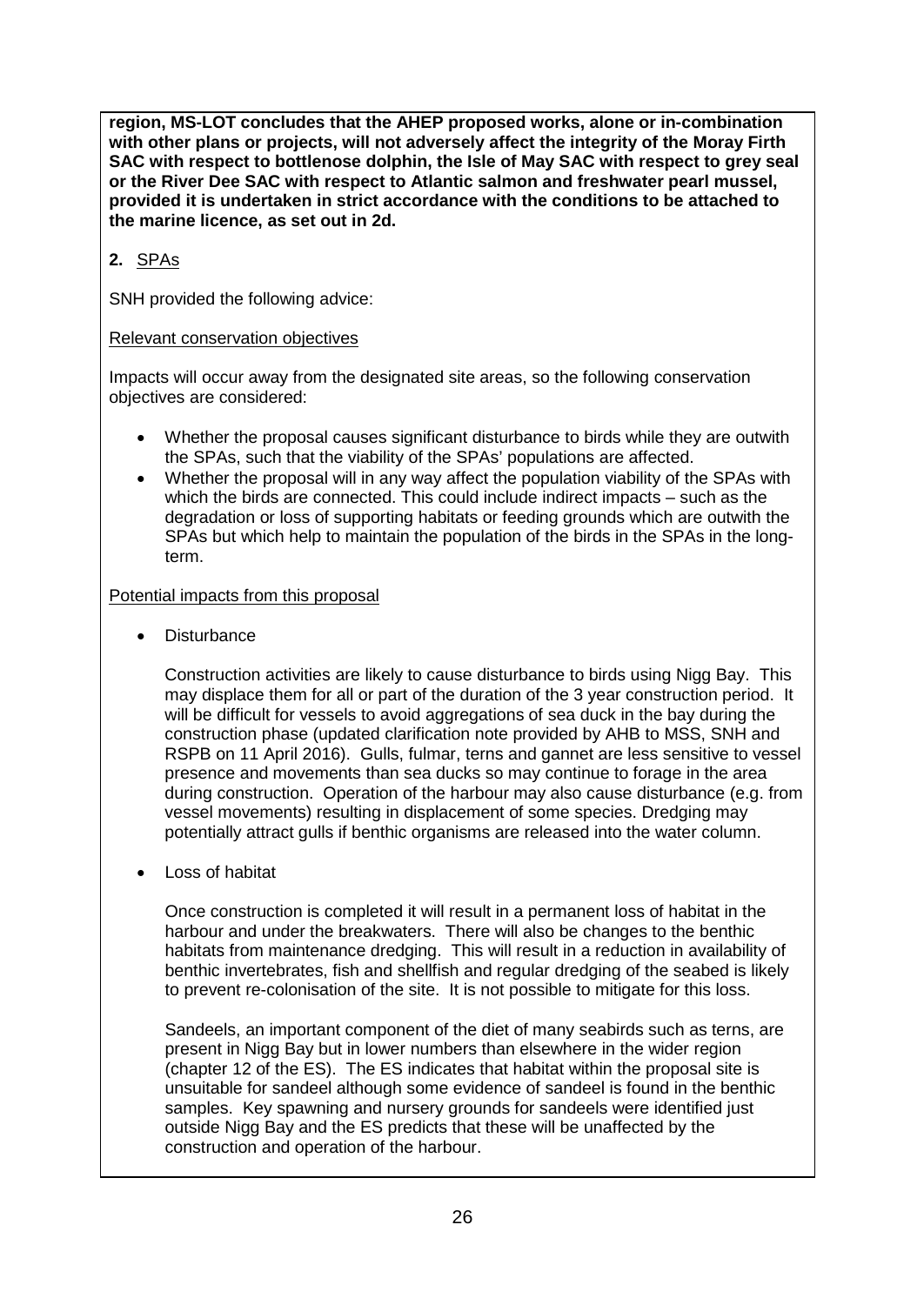**region, MS-LOT concludes that the AHEP proposed works, alone or in-combination with other plans or projects, will not adversely affect the integrity of the Moray Firth SAC with respect to bottlenose dolphin, the Isle of May SAC with respect to grey seal or the River Dee SAC with respect to Atlantic salmon and freshwater pearl mussel, provided it is undertaken in strict accordance with the conditions to be attached to the marine licence, as set out in 2d.**

# **2.** SPAs

SNH provided the following advice:

## Relevant conservation objectives

Impacts will occur away from the designated site areas, so the following conservation objectives are considered:

- Whether the proposal causes significant disturbance to birds while they are outwith the SPAs, such that the viability of the SPAs' populations are affected.
- Whether the proposal will in any way affect the population viability of the SPAs with which the birds are connected. This could include indirect impacts – such as the degradation or loss of supporting habitats or feeding grounds which are outwith the SPAs but which help to maintain the population of the birds in the SPAs in the longterm.

## Potential impacts from this proposal

**Disturbance** 

Construction activities are likely to cause disturbance to birds using Nigg Bay. This may displace them for all or part of the duration of the 3 year construction period. It will be difficult for vessels to avoid aggregations of sea duck in the bay during the construction phase (updated clarification note provided by AHB to MSS, SNH and RSPB on 11 April 2016). Gulls, fulmar, terns and gannet are less sensitive to vessel presence and movements than sea ducks so may continue to forage in the area during construction. Operation of the harbour may also cause disturbance (e.g. from vessel movements) resulting in displacement of some species. Dredging may potentially attract gulls if benthic organisms are released into the water column.

• Loss of habitat

Once construction is completed it will result in a permanent loss of habitat in the harbour and under the breakwaters. There will also be changes to the benthic habitats from maintenance dredging. This will result in a reduction in availability of benthic invertebrates, fish and shellfish and regular dredging of the seabed is likely to prevent re-colonisation of the site. It is not possible to mitigate for this loss.

Sandeels, an important component of the diet of many seabirds such as terns, are present in Nigg Bay but in lower numbers than elsewhere in the wider region (chapter 12 of the ES). The ES indicates that habitat within the proposal site is unsuitable for sandeel although some evidence of sandeel is found in the benthic samples. Key spawning and nursery grounds for sandeels were identified just outside Nigg Bay and the ES predicts that these will be unaffected by the construction and operation of the harbour.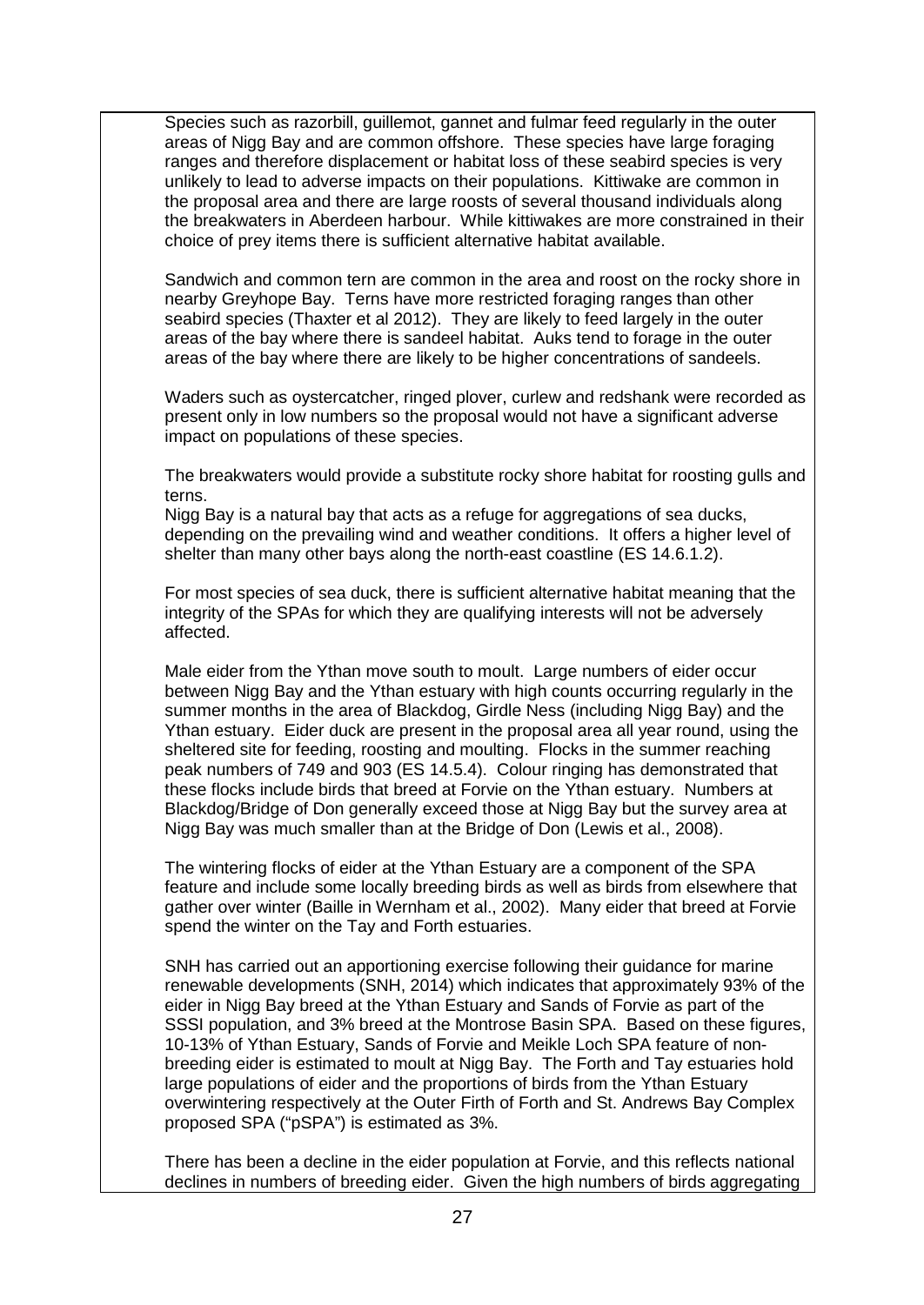Species such as razorbill, guillemot, gannet and fulmar feed regularly in the outer areas of Nigg Bay and are common offshore. These species have large foraging ranges and therefore displacement or habitat loss of these seabird species is very unlikely to lead to adverse impacts on their populations. Kittiwake are common in the proposal area and there are large roosts of several thousand individuals along the breakwaters in Aberdeen harbour. While kittiwakes are more constrained in their choice of prey items there is sufficient alternative habitat available.

Sandwich and common tern are common in the area and roost on the rocky shore in nearby Greyhope Bay. Terns have more restricted foraging ranges than other seabird species (Thaxter et al 2012). They are likely to feed largely in the outer areas of the bay where there is sandeel habitat. Auks tend to forage in the outer areas of the bay where there are likely to be higher concentrations of sandeels.

Waders such as oystercatcher, ringed plover, curlew and redshank were recorded as present only in low numbers so the proposal would not have a significant adverse impact on populations of these species.

The breakwaters would provide a substitute rocky shore habitat for roosting gulls and terns.

Nigg Bay is a natural bay that acts as a refuge for aggregations of sea ducks, depending on the prevailing wind and weather conditions. It offers a higher level of shelter than many other bays along the north-east coastline (ES 14.6.1.2).

For most species of sea duck, there is sufficient alternative habitat meaning that the integrity of the SPAs for which they are qualifying interests will not be adversely affected.

Male eider from the Ythan move south to moult. Large numbers of eider occur between Nigg Bay and the Ythan estuary with high counts occurring regularly in the summer months in the area of Blackdog, Girdle Ness (including Nigg Bay) and the Ythan estuary. Eider duck are present in the proposal area all year round, using the sheltered site for feeding, roosting and moulting. Flocks in the summer reaching peak numbers of 749 and 903 (ES 14.5.4). Colour ringing has demonstrated that these flocks include birds that breed at Forvie on the Ythan estuary. Numbers at Blackdog/Bridge of Don generally exceed those at Nigg Bay but the survey area at Nigg Bay was much smaller than at the Bridge of Don (Lewis et al., 2008).

The wintering flocks of eider at the Ythan Estuary are a component of the SPA feature and include some locally breeding birds as well as birds from elsewhere that gather over winter (Baille in Wernham et al., 2002). Many eider that breed at Forvie spend the winter on the Tay and Forth estuaries.

SNH has carried out an apportioning exercise following their guidance for marine renewable developments (SNH, 2014) which indicates that approximately 93% of the eider in Nigg Bay breed at the Ythan Estuary and Sands of Forvie as part of the SSSI population, and 3% breed at the Montrose Basin SPA. Based on these figures, 10-13% of Ythan Estuary, Sands of Forvie and Meikle Loch SPA feature of nonbreeding eider is estimated to moult at Nigg Bay. The Forth and Tay estuaries hold large populations of eider and the proportions of birds from the Ythan Estuary overwintering respectively at the Outer Firth of Forth and St. Andrews Bay Complex proposed SPA ("pSPA") is estimated as 3%.

There has been a decline in the eider population at Forvie, and this reflects national declines in numbers of breeding eider. Given the high numbers of birds aggregating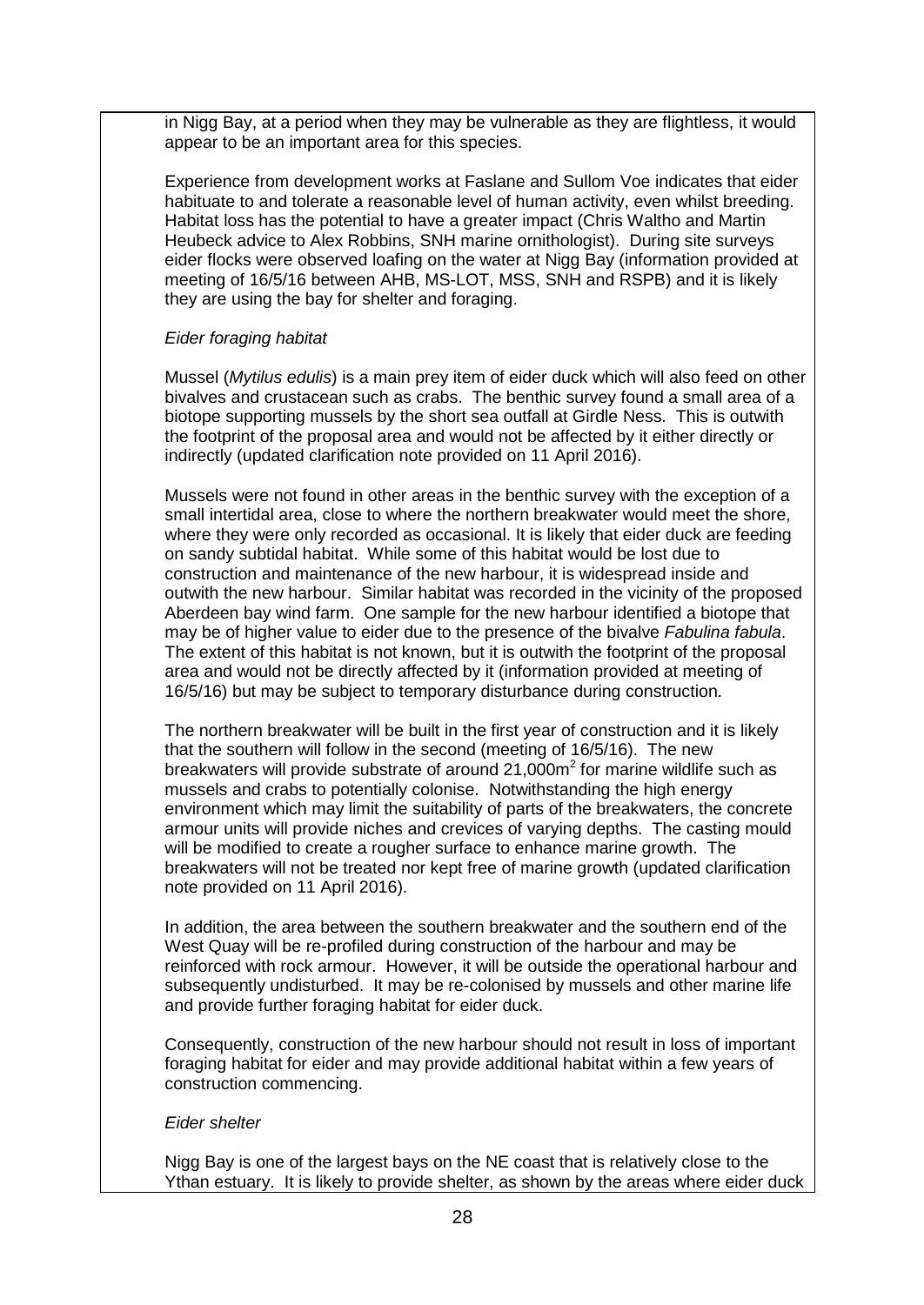in Nigg Bay, at a period when they may be vulnerable as they are flightless, it would appear to be an important area for this species.

Experience from development works at Faslane and Sullom Voe indicates that eider habituate to and tolerate a reasonable level of human activity, even whilst breeding. Habitat loss has the potential to have a greater impact (Chris Waltho and Martin Heubeck advice to Alex Robbins, SNH marine ornithologist). During site surveys eider flocks were observed loafing on the water at Nigg Bay (information provided at meeting of 16/5/16 between AHB, MS-LOT, MSS, SNH and RSPB) and it is likely they are using the bay for shelter and foraging.

#### *Eider foraging habitat*

Mussel (*Mytilus edulis*) is a main prey item of eider duck which will also feed on other bivalves and crustacean such as crabs. The benthic survey found a small area of a biotope supporting mussels by the short sea outfall at Girdle Ness. This is outwith the footprint of the proposal area and would not be affected by it either directly or indirectly (updated clarification note provided on 11 April 2016).

Mussels were not found in other areas in the benthic survey with the exception of a small intertidal area, close to where the northern breakwater would meet the shore, where they were only recorded as occasional. It is likely that eider duck are feeding on sandy subtidal habitat. While some of this habitat would be lost due to construction and maintenance of the new harbour, it is widespread inside and outwith the new harbour. Similar habitat was recorded in the vicinity of the proposed Aberdeen bay wind farm. One sample for the new harbour identified a biotope that may be of higher value to eider due to the presence of the bivalve *Fabulina fabula*. The extent of this habitat is not known, but it is outwith the footprint of the proposal area and would not be directly affected by it (information provided at meeting of 16/5/16) but may be subject to temporary disturbance during construction.

The northern breakwater will be built in the first year of construction and it is likely that the southern will follow in the second (meeting of 16/5/16). The new breakwaters will provide substrate of around  $21,000m<sup>2</sup>$  for marine wildlife such as mussels and crabs to potentially colonise. Notwithstanding the high energy environment which may limit the suitability of parts of the breakwaters, the concrete armour units will provide niches and crevices of varying depths. The casting mould will be modified to create a rougher surface to enhance marine growth. The breakwaters will not be treated nor kept free of marine growth (updated clarification note provided on 11 April 2016).

In addition, the area between the southern breakwater and the southern end of the West Quay will be re-profiled during construction of the harbour and may be reinforced with rock armour. However, it will be outside the operational harbour and subsequently undisturbed. It may be re-colonised by mussels and other marine life and provide further foraging habitat for eider duck.

Consequently, construction of the new harbour should not result in loss of important foraging habitat for eider and may provide additional habitat within a few years of construction commencing.

#### *Eider shelter*

Nigg Bay is one of the largest bays on the NE coast that is relatively close to the Ythan estuary. It is likely to provide shelter, as shown by the areas where eider duck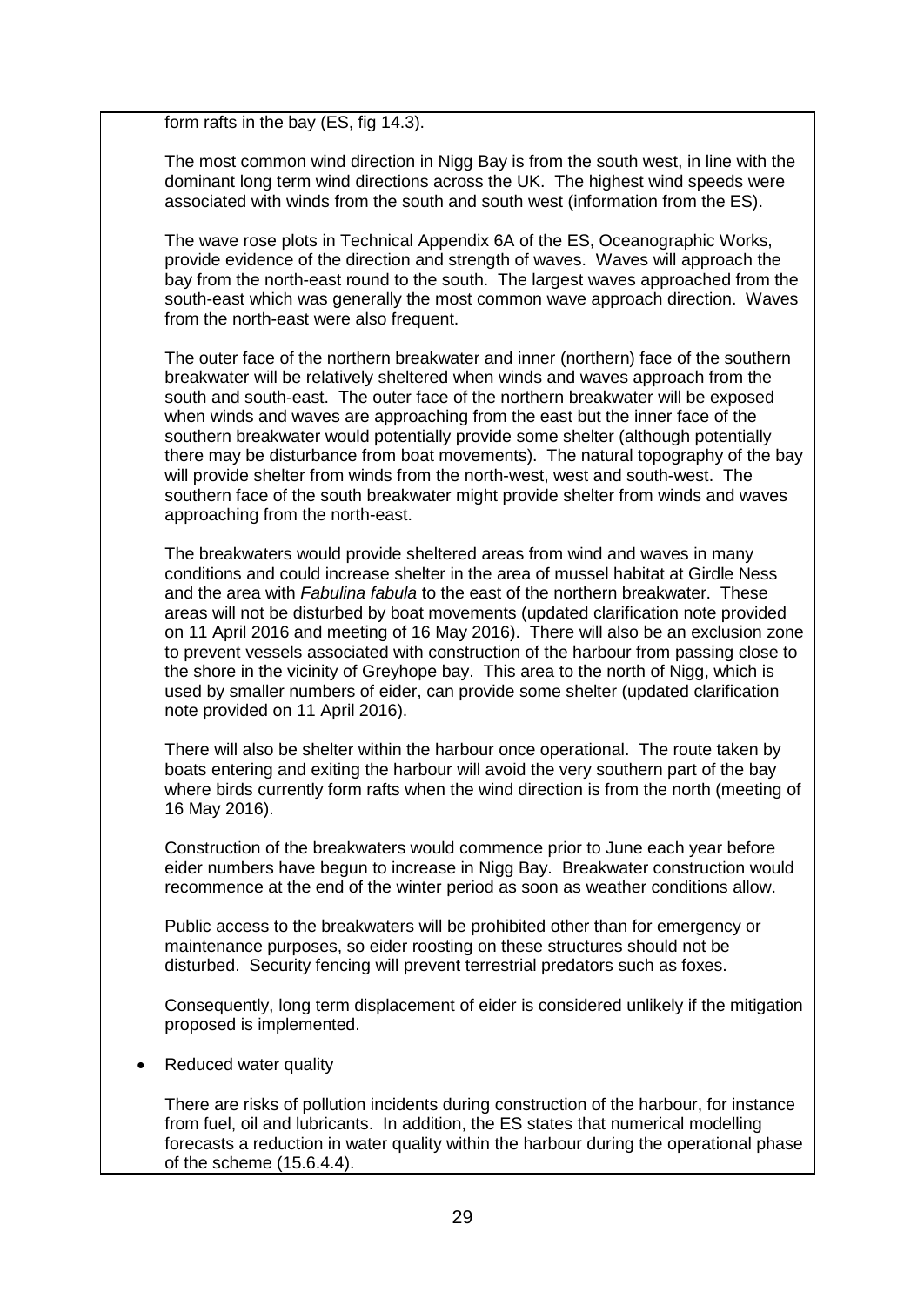form rafts in the bay (ES, fig 14.3).

The most common wind direction in Nigg Bay is from the south west, in line with the dominant long term wind directions across the UK. The highest wind speeds were associated with winds from the south and south west (information from the ES).

The wave rose plots in Technical Appendix 6A of the ES, Oceanographic Works, provide evidence of the direction and strength of waves. Waves will approach the bay from the north-east round to the south. The largest waves approached from the south-east which was generally the most common wave approach direction. Waves from the north-east were also frequent.

The outer face of the northern breakwater and inner (northern) face of the southern breakwater will be relatively sheltered when winds and waves approach from the south and south-east. The outer face of the northern breakwater will be exposed when winds and waves are approaching from the east but the inner face of the southern breakwater would potentially provide some shelter (although potentially there may be disturbance from boat movements). The natural topography of the bay will provide shelter from winds from the north-west, west and south-west. The southern face of the south breakwater might provide shelter from winds and waves approaching from the north-east.

The breakwaters would provide sheltered areas from wind and waves in many conditions and could increase shelter in the area of mussel habitat at Girdle Ness and the area with *Fabulina fabula* to the east of the northern breakwater. These areas will not be disturbed by boat movements (updated clarification note provided on 11 April 2016 and meeting of 16 May 2016). There will also be an exclusion zone to prevent vessels associated with construction of the harbour from passing close to the shore in the vicinity of Greyhope bay. This area to the north of Nigg, which is used by smaller numbers of eider, can provide some shelter (updated clarification note provided on 11 April 2016).

There will also be shelter within the harbour once operational. The route taken by boats entering and exiting the harbour will avoid the very southern part of the bay where birds currently form rafts when the wind direction is from the north (meeting of 16 May 2016).

Construction of the breakwaters would commence prior to June each year before eider numbers have begun to increase in Nigg Bay. Breakwater construction would recommence at the end of the winter period as soon as weather conditions allow.

Public access to the breakwaters will be prohibited other than for emergency or maintenance purposes, so eider roosting on these structures should not be disturbed. Security fencing will prevent terrestrial predators such as foxes.

Consequently, long term displacement of eider is considered unlikely if the mitigation proposed is implemented.

• Reduced water quality

There are risks of pollution incidents during construction of the harbour, for instance from fuel, oil and lubricants. In addition, the ES states that numerical modelling forecasts a reduction in water quality within the harbour during the operational phase of the scheme (15.6.4.4).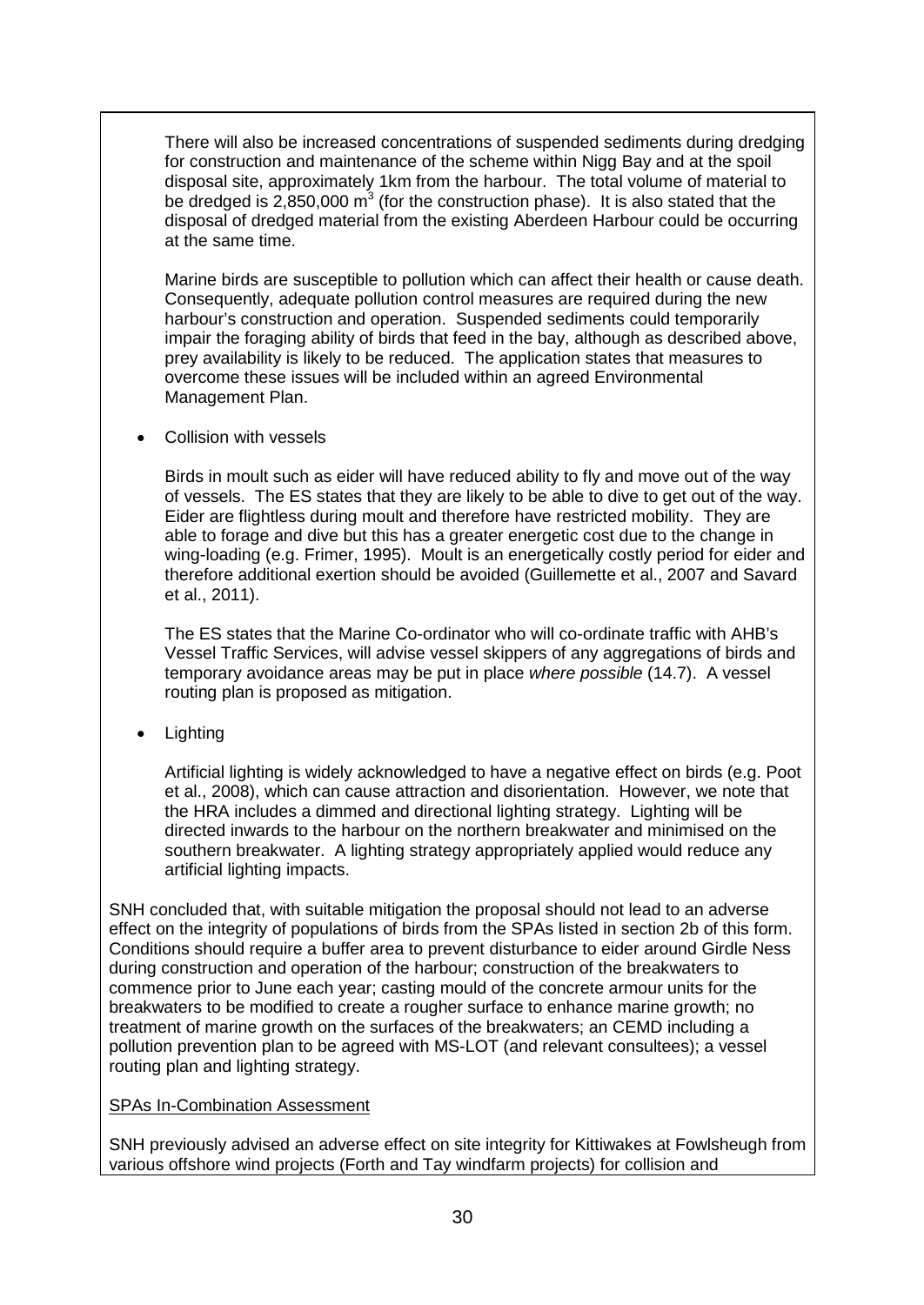There will also be increased concentrations of suspended sediments during dredging for construction and maintenance of the scheme within Nigg Bay and at the spoil disposal site, approximately 1km from the harbour. The total volume of material to be dredged is  $2,850,000$  m<sup>3</sup> (for the construction phase). It is also stated that the disposal of dredged material from the existing Aberdeen Harbour could be occurring at the same time.

Marine birds are susceptible to pollution which can affect their health or cause death. Consequently, adequate pollution control measures are required during the new harbour's construction and operation. Suspended sediments could temporarily impair the foraging ability of birds that feed in the bay, although as described above, prey availability is likely to be reduced. The application states that measures to overcome these issues will be included within an agreed Environmental Management Plan.

• Collision with vessels

Birds in moult such as eider will have reduced ability to fly and move out of the way of vessels. The ES states that they are likely to be able to dive to get out of the way. Eider are flightless during moult and therefore have restricted mobility. They are able to forage and dive but this has a greater energetic cost due to the change in wing-loading (e.g. Frimer, 1995). Moult is an energetically costly period for eider and therefore additional exertion should be avoided (Guillemette et al., 2007 and Savard et al., 2011).

The ES states that the Marine Co-ordinator who will co-ordinate traffic with AHB's Vessel Traffic Services, will advise vessel skippers of any aggregations of birds and temporary avoidance areas may be put in place *where possible* (14.7). A vessel routing plan is proposed as mitigation.

• Lighting

Artificial lighting is widely acknowledged to have a negative effect on birds (e.g. Poot et al., 2008), which can cause attraction and disorientation. However, we note that the HRA includes a dimmed and directional lighting strategy. Lighting will be directed inwards to the harbour on the northern breakwater and minimised on the southern breakwater. A lighting strategy appropriately applied would reduce any artificial lighting impacts.

SNH concluded that, with suitable mitigation the proposal should not lead to an adverse effect on the integrity of populations of birds from the SPAs listed in section 2b of this form. Conditions should require a buffer area to prevent disturbance to eider around Girdle Ness during construction and operation of the harbour; construction of the breakwaters to commence prior to June each year; casting mould of the concrete armour units for the breakwaters to be modified to create a rougher surface to enhance marine growth; no treatment of marine growth on the surfaces of the breakwaters; an CEMD including a pollution prevention plan to be agreed with MS-LOT (and relevant consultees); a vessel routing plan and lighting strategy.

## SPAs In-Combination Assessment

SNH previously advised an adverse effect on site integrity for Kittiwakes at Fowlsheugh from various offshore wind projects (Forth and Tay windfarm projects) for collision and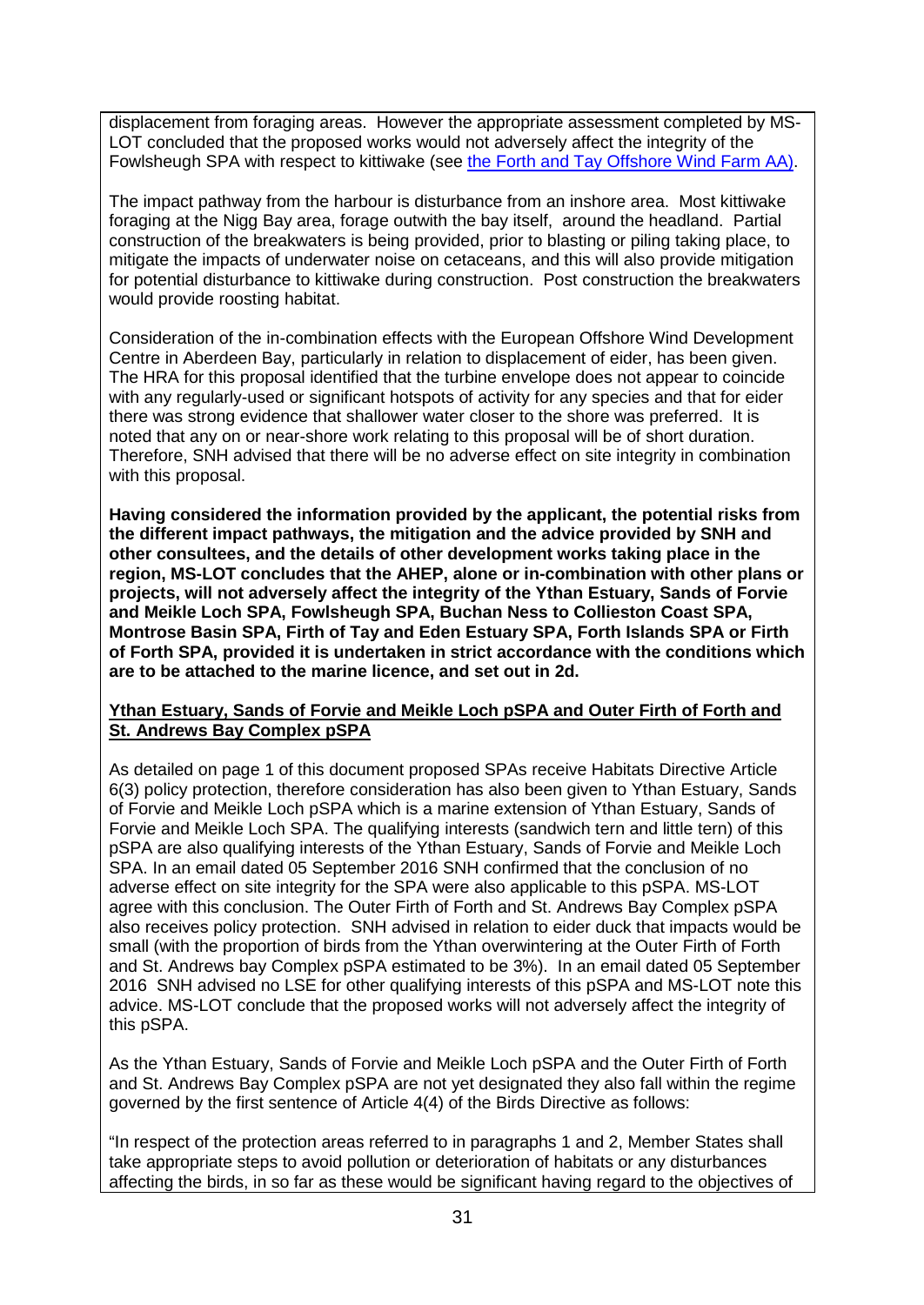displacement from foraging areas. However the appropriate assessment completed by MS-LOT concluded that the proposed works would not adversely affect the integrity of the Fowlsheugh SPA with respect to kittiwake (see [the Forth and Tay Offshore Wind Farm AA\).](http://www.gov.scot/Resource/0046/00460542.pdf)

The impact pathway from the harbour is disturbance from an inshore area. Most kittiwake foraging at the Nigg Bay area, forage outwith the bay itself, around the headland. Partial construction of the breakwaters is being provided, prior to blasting or piling taking place, to mitigate the impacts of underwater noise on cetaceans, and this will also provide mitigation for potential disturbance to kittiwake during construction. Post construction the breakwaters would provide roosting habitat.

Consideration of the in-combination effects with the European Offshore Wind Development Centre in Aberdeen Bay, particularly in relation to displacement of eider, has been given. The HRA for this proposal identified that the turbine envelope does not appear to coincide with any regularly-used or significant hotspots of activity for any species and that for eider there was strong evidence that shallower water closer to the shore was preferred. It is noted that any on or near-shore work relating to this proposal will be of short duration. Therefore, SNH advised that there will be no adverse effect on site integrity in combination with this proposal.

**Having considered the information provided by the applicant, the potential risks from the different impact pathways, the mitigation and the advice provided by SNH and other consultees, and the details of other development works taking place in the region, MS-LOT concludes that the AHEP, alone or in-combination with other plans or projects, will not adversely affect the integrity of the Ythan Estuary, Sands of Forvie and Meikle Loch SPA, Fowlsheugh SPA, Buchan Ness to Collieston Coast SPA, Montrose Basin SPA, Firth of Tay and Eden Estuary SPA, Forth Islands SPA or Firth of Forth SPA, provided it is undertaken in strict accordance with the conditions which are to be attached to the marine licence, and set out in 2d.**

### **Ythan Estuary, Sands of Forvie and Meikle Loch pSPA and Outer Firth of Forth and St. Andrews Bay Complex pSPA**

As detailed on page 1 of this document proposed SPAs receive Habitats Directive Article 6(3) policy protection, therefore consideration has also been given to Ythan Estuary, Sands of Forvie and Meikle Loch pSPA which is a marine extension of Ythan Estuary, Sands of Forvie and Meikle Loch SPA. The qualifying interests (sandwich tern and little tern) of this pSPA are also qualifying interests of the Ythan Estuary, Sands of Forvie and Meikle Loch SPA. In an email dated 05 September 2016 SNH confirmed that the conclusion of no adverse effect on site integrity for the SPA were also applicable to this pSPA. MS-LOT agree with this conclusion. The Outer Firth of Forth and St. Andrews Bay Complex pSPA also receives policy protection. SNH advised in relation to eider duck that impacts would be small (with the proportion of birds from the Ythan overwintering at the Outer Firth of Forth and St. Andrews bay Complex pSPA estimated to be 3%). In an email dated 05 September 2016 SNH advised no LSE for other qualifying interests of this pSPA and MS-LOT note this advice. MS-LOT conclude that the proposed works will not adversely affect the integrity of this pSPA.

As the Ythan Estuary, Sands of Forvie and Meikle Loch pSPA and the Outer Firth of Forth and St. Andrews Bay Complex pSPA are not yet designated they also fall within the regime governed by the first sentence of Article 4(4) of the Birds Directive as follows:

"In respect of the protection areas referred to in paragraphs 1 and 2, Member States shall take appropriate steps to avoid pollution or deterioration of habitats or any disturbances affecting the birds, in so far as these would be significant having regard to the objectives of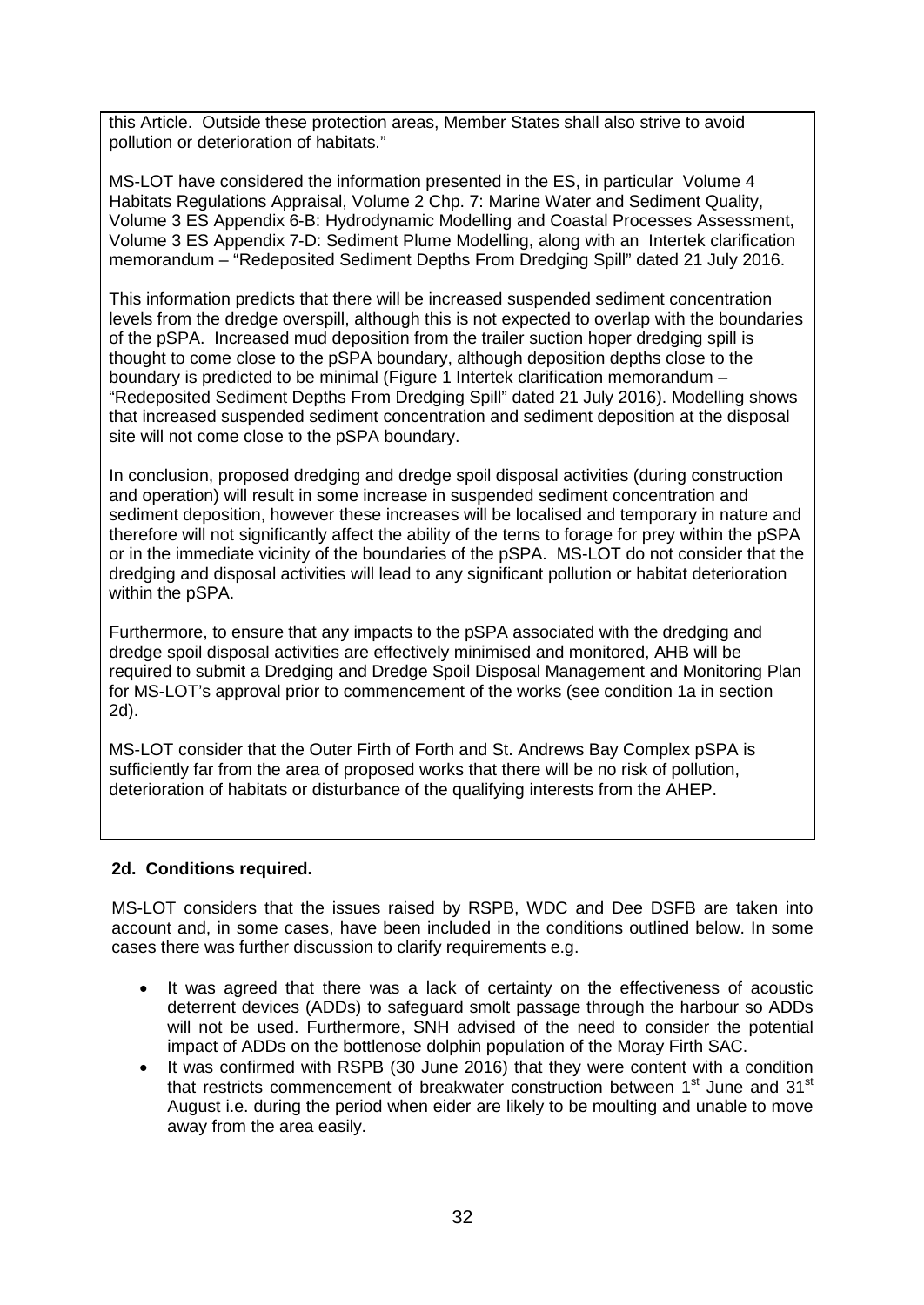this Article. Outside these protection areas, Member States shall also strive to avoid pollution or deterioration of habitats."

MS-LOT have considered the information presented in the ES, in particular Volume 4 Habitats Regulations Appraisal, Volume 2 Chp. 7: Marine Water and Sediment Quality, Volume 3 ES Appendix 6-B: Hydrodynamic Modelling and Coastal Processes Assessment, Volume 3 ES Appendix 7-D: Sediment Plume Modelling, along with an Intertek clarification memorandum – "Redeposited Sediment Depths From Dredging Spill" dated 21 July 2016.

This information predicts that there will be increased suspended sediment concentration levels from the dredge overspill, although this is not expected to overlap with the boundaries of the pSPA. Increased mud deposition from the trailer suction hoper dredging spill is thought to come close to the pSPA boundary, although deposition depths close to the boundary is predicted to be minimal (Figure 1 Intertek clarification memorandum – "Redeposited Sediment Depths From Dredging Spill" dated 21 July 2016). Modelling shows that increased suspended sediment concentration and sediment deposition at the disposal site will not come close to the pSPA boundary.

In conclusion, proposed dredging and dredge spoil disposal activities (during construction and operation) will result in some increase in suspended sediment concentration and sediment deposition, however these increases will be localised and temporary in nature and therefore will not significantly affect the ability of the terns to forage for prey within the pSPA or in the immediate vicinity of the boundaries of the pSPA. MS-LOT do not consider that the dredging and disposal activities will lead to any significant pollution or habitat deterioration within the pSPA.

Furthermore, to ensure that any impacts to the pSPA associated with the dredging and dredge spoil disposal activities are effectively minimised and monitored, AHB will be required to submit a Dredging and Dredge Spoil Disposal Management and Monitoring Plan for MS-LOT's approval prior to commencement of the works (see condition 1a in section 2d).

MS-LOT consider that the Outer Firth of Forth and St. Andrews Bay Complex pSPA is sufficiently far from the area of proposed works that there will be no risk of pollution, deterioration of habitats or disturbance of the qualifying interests from the AHEP.

### **2d. Conditions required.**

MS-LOT considers that the issues raised by RSPB, WDC and Dee DSFB are taken into account and, in some cases, have been included in the conditions outlined below. In some cases there was further discussion to clarify requirements e.g.

- It was agreed that there was a lack of certainty on the effectiveness of acoustic deterrent devices (ADDs) to safeguard smolt passage through the harbour so ADDs will not be used. Furthermore, SNH advised of the need to consider the potential impact of ADDs on the bottlenose dolphin population of the Moray Firth SAC.
- It was confirmed with RSPB (30 June 2016) that they were content with a condition that restricts commencement of breakwater construction between 1<sup>st</sup> June and 31<sup>st</sup> August i.e. during the period when eider are likely to be moulting and unable to move away from the area easily.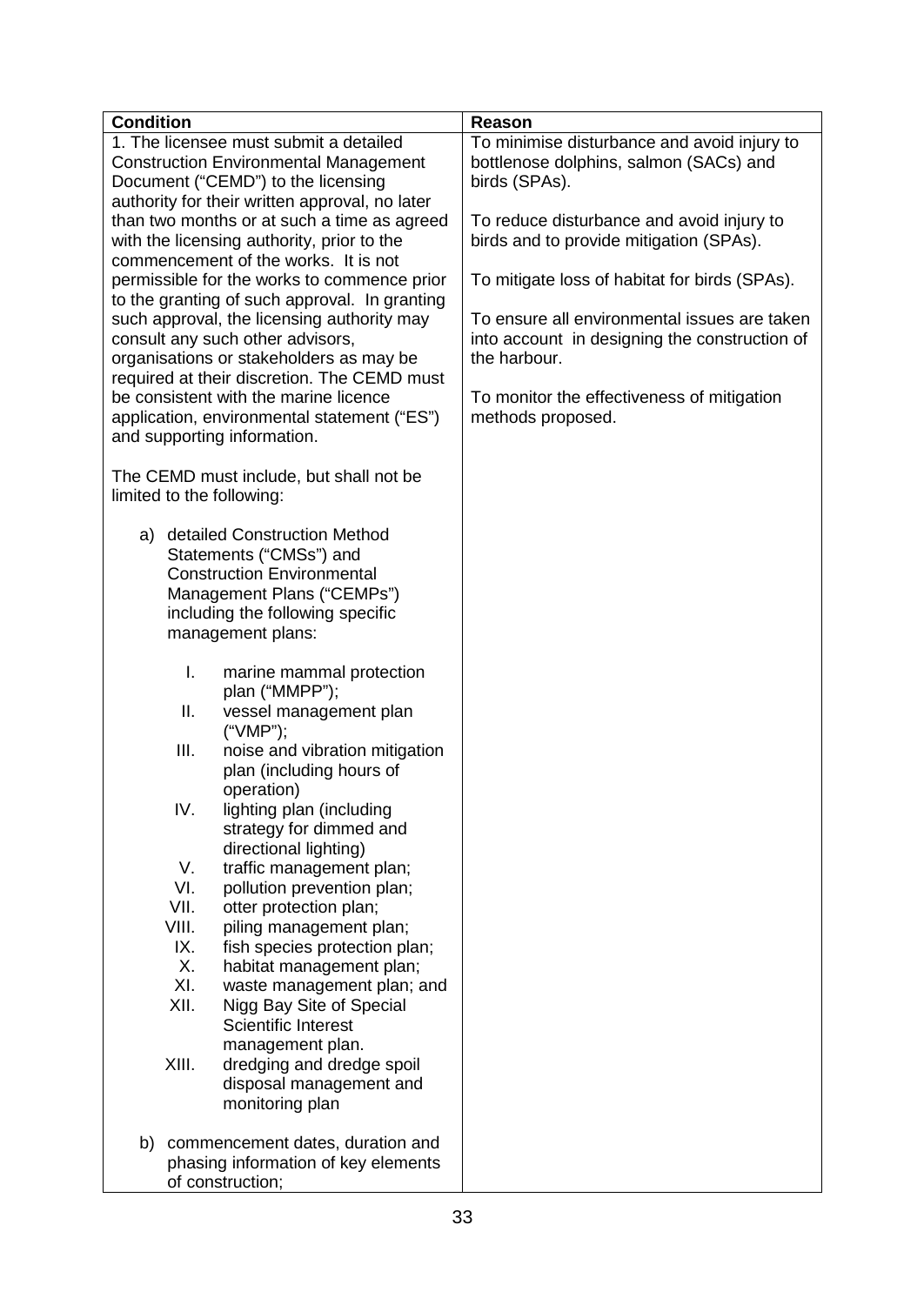| <b>Condition</b>                                                                                                                                                                                                                                                                                                                                                                                                                                                                                                                                                                                                                                                                                                       | Reason                                                                                                                                                                                                                                                                                                                                                                                                                              |
|------------------------------------------------------------------------------------------------------------------------------------------------------------------------------------------------------------------------------------------------------------------------------------------------------------------------------------------------------------------------------------------------------------------------------------------------------------------------------------------------------------------------------------------------------------------------------------------------------------------------------------------------------------------------------------------------------------------------|-------------------------------------------------------------------------------------------------------------------------------------------------------------------------------------------------------------------------------------------------------------------------------------------------------------------------------------------------------------------------------------------------------------------------------------|
| 1. The licensee must submit a detailed<br><b>Construction Environmental Management</b><br>Document ("CEMD") to the licensing<br>authority for their written approval, no later<br>than two months or at such a time as agreed<br>with the licensing authority, prior to the<br>commencement of the works. It is not<br>permissible for the works to commence prior<br>to the granting of such approval. In granting<br>such approval, the licensing authority may<br>consult any such other advisors,<br>organisations or stakeholders as may be<br>required at their discretion. The CEMD must<br>be consistent with the marine licence<br>application, environmental statement ("ES")<br>and supporting information. | To minimise disturbance and avoid injury to<br>bottlenose dolphins, salmon (SACs) and<br>birds (SPAs).<br>To reduce disturbance and avoid injury to<br>birds and to provide mitigation (SPAs).<br>To mitigate loss of habitat for birds (SPAs).<br>To ensure all environmental issues are taken<br>into account in designing the construction of<br>the harbour.<br>To monitor the effectiveness of mitigation<br>methods proposed. |
| The CEMD must include, but shall not be<br>limited to the following:                                                                                                                                                                                                                                                                                                                                                                                                                                                                                                                                                                                                                                                   |                                                                                                                                                                                                                                                                                                                                                                                                                                     |
| a) detailed Construction Method<br>Statements ("CMSs") and<br><b>Construction Environmental</b><br>Management Plans ("CEMPs")<br>including the following specific<br>management plans:                                                                                                                                                                                                                                                                                                                                                                                                                                                                                                                                 |                                                                                                                                                                                                                                                                                                                                                                                                                                     |
| I.<br>marine mammal protection<br>plan ("MMPP");                                                                                                                                                                                                                                                                                                                                                                                                                                                                                                                                                                                                                                                                       |                                                                                                                                                                                                                                                                                                                                                                                                                                     |
| ΙΙ.<br>vessel management plan<br>("VMP");                                                                                                                                                                                                                                                                                                                                                                                                                                                                                                                                                                                                                                                                              |                                                                                                                                                                                                                                                                                                                                                                                                                                     |
| Ш.<br>noise and vibration mitigation<br>plan (including hours of<br>operation)                                                                                                                                                                                                                                                                                                                                                                                                                                                                                                                                                                                                                                         |                                                                                                                                                                                                                                                                                                                                                                                                                                     |
| lighting plan (including<br>IV.<br>strategy for dimmed and<br>directional lighting)<br>V.<br>traffic management plan;<br>VI.<br>pollution prevention plan;<br>VII.<br>otter protection plan;<br>VIII.<br>piling management plan;<br>IX.<br>fish species protection plan;<br>Х.<br>habitat management plan;<br>XI.<br>waste management plan; and<br>XII.<br>Nigg Bay Site of Special<br><b>Scientific Interest</b><br>management plan.<br>XIII.<br>dredging and dredge spoil<br>disposal management and<br>monitoring plan                                                                                                                                                                                              |                                                                                                                                                                                                                                                                                                                                                                                                                                     |
| b) commencement dates, duration and<br>phasing information of key elements<br>of construction;                                                                                                                                                                                                                                                                                                                                                                                                                                                                                                                                                                                                                         |                                                                                                                                                                                                                                                                                                                                                                                                                                     |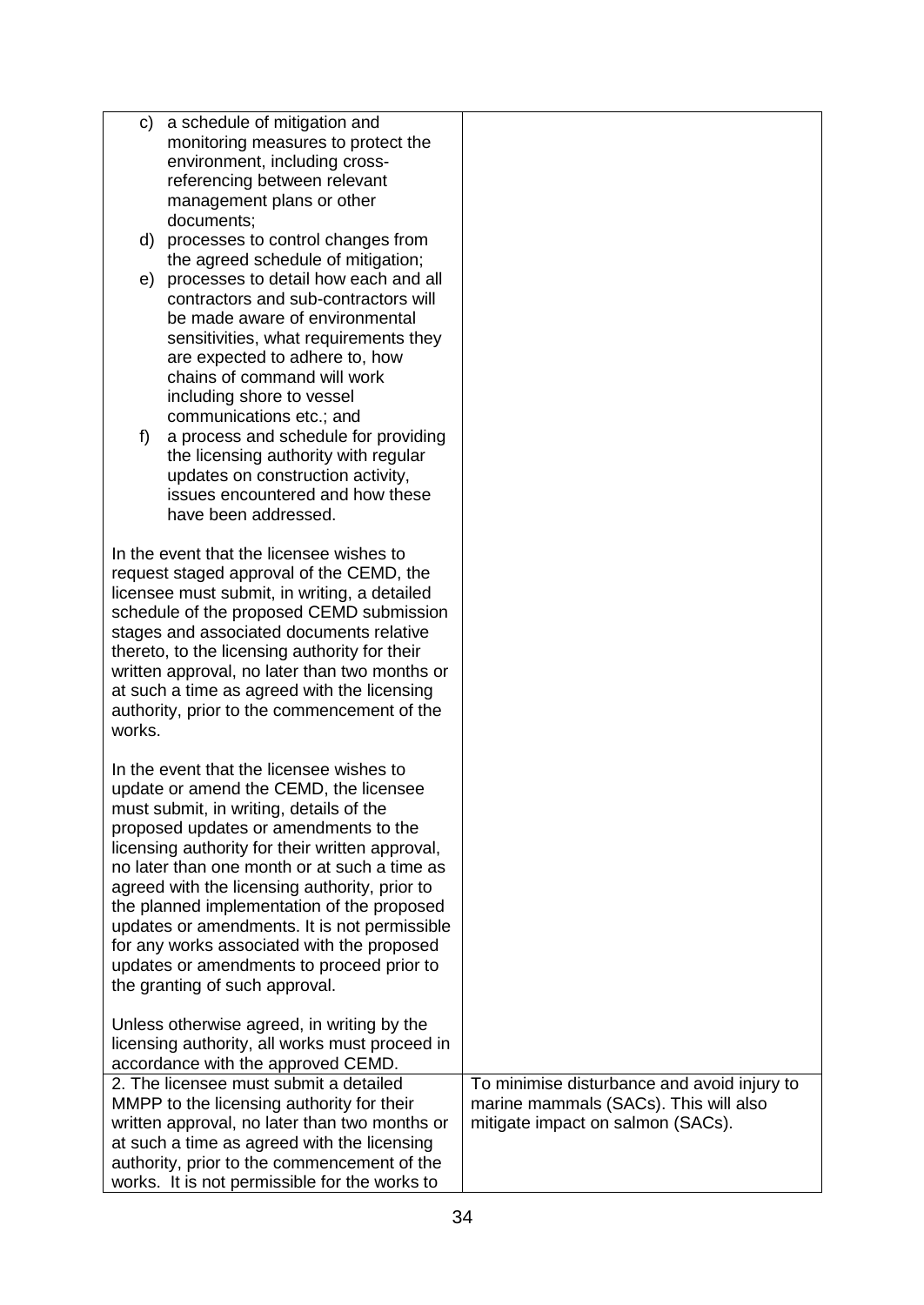| C)     | a schedule of mitigation and                    |                                             |
|--------|-------------------------------------------------|---------------------------------------------|
|        | monitoring measures to protect the              |                                             |
|        | environment, including cross-                   |                                             |
|        |                                                 |                                             |
|        | referencing between relevant                    |                                             |
|        | management plans or other                       |                                             |
|        | documents;                                      |                                             |
|        | d) processes to control changes from            |                                             |
|        | the agreed schedule of mitigation;              |                                             |
| e)     | processes to detail how each and all            |                                             |
|        | contractors and sub-contractors will            |                                             |
|        | be made aware of environmental                  |                                             |
|        | sensitivities, what requirements they           |                                             |
|        | are expected to adhere to, how                  |                                             |
|        | chains of command will work                     |                                             |
|        |                                                 |                                             |
|        | including shore to vessel                       |                                             |
|        | communications etc.; and                        |                                             |
| f)     | a process and schedule for providing            |                                             |
|        | the licensing authority with regular            |                                             |
|        | updates on construction activity,               |                                             |
|        | issues encountered and how these                |                                             |
|        | have been addressed.                            |                                             |
|        |                                                 |                                             |
|        | In the event that the licensee wishes to        |                                             |
|        | request staged approval of the CEMD, the        |                                             |
|        | licensee must submit, in writing, a detailed    |                                             |
|        | schedule of the proposed CEMD submission        |                                             |
|        | stages and associated documents relative        |                                             |
|        | thereto, to the licensing authority for their   |                                             |
|        |                                                 |                                             |
|        | written approval, no later than two months or   |                                             |
|        | at such a time as agreed with the licensing     |                                             |
|        | authority, prior to the commencement of the     |                                             |
| works. |                                                 |                                             |
|        |                                                 |                                             |
|        | In the event that the licensee wishes to        |                                             |
|        | update or amend the CEMD, the licensee          |                                             |
|        | must submit, in writing, details of the         |                                             |
|        | proposed updates or amendments to the           |                                             |
|        | licensing authority for their written approval, |                                             |
|        | no later than one month or at such a time as    |                                             |
|        | agreed with the licensing authority, prior to   |                                             |
|        | the planned implementation of the proposed      |                                             |
|        | updates or amendments. It is not permissible    |                                             |
|        | for any works associated with the proposed      |                                             |
|        |                                                 |                                             |
|        | updates or amendments to proceed prior to       |                                             |
|        | the granting of such approval.                  |                                             |
|        | Unless otherwise agreed, in writing by the      |                                             |
|        |                                                 |                                             |
|        | licensing authority, all works must proceed in  |                                             |
|        | accordance with the approved CEMD.              |                                             |
|        | 2. The licensee must submit a detailed          | To minimise disturbance and avoid injury to |
|        | MMPP to the licensing authority for their       | marine mammals (SACs). This will also       |
|        | written approval, no later than two months or   | mitigate impact on salmon (SACs).           |
|        | at such a time as agreed with the licensing     |                                             |
|        | authority, prior to the commencement of the     |                                             |
|        | works. It is not permissible for the works to   |                                             |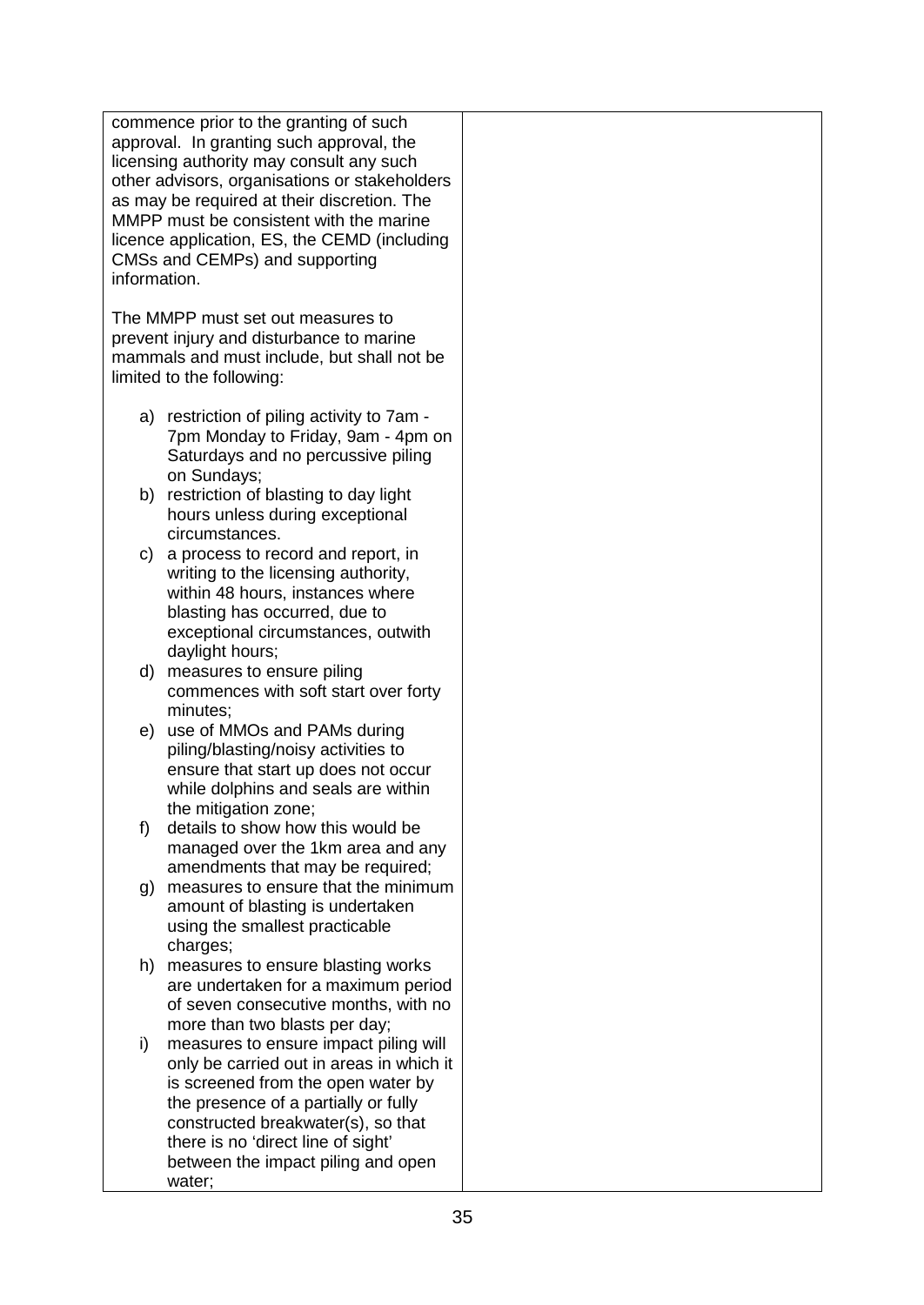commence prior to the granting of such approval. In granting such approval, the licensing authority may consult any such other advisors, organisations or stakeholders as may be required at their discretion. The MMPP must be consistent with the marine licence application, ES, the CEMD (including CMSs and CEMPs) and supporting information.

The MMPP must set out measures to prevent injury and disturbance to marine mammals and must include, but shall not be limited to the following:

- a) restriction of piling activity to 7am 7pm Monday to Friday, 9am - 4pm on Saturdays and no percussive piling on Sundays;
- b) restriction of blasting to day light hours unless during exceptional circumstances.
- c) a process to record and report, in writing to the licensing authority. within 48 hours, instances where blasting has occurred, due to exceptional circumstances, outwith daylight hours;
- d) measures to ensure piling commences with soft start over forty minutes;
- e) use of MMOs and PAMs during piling/blasting/noisy activities to ensure that start up does not occur while dolphins and seals are within the mitigation zone;
- f) details to show how this would be managed over the 1km area and any amendments that may be required;
- g) measures to ensure that the minimum amount of blasting is undertaken using the smallest practicable charges;
- h) measures to ensure blasting works are undertaken for a maximum period of seven consecutive months, with no more than two blasts per day;
- i) measures to ensure impact piling will only be carried out in areas in which it is screened from the open water by the presence of a partially or fully constructed breakwater(s), so that there is no 'direct line of sight' between the impact piling and open water;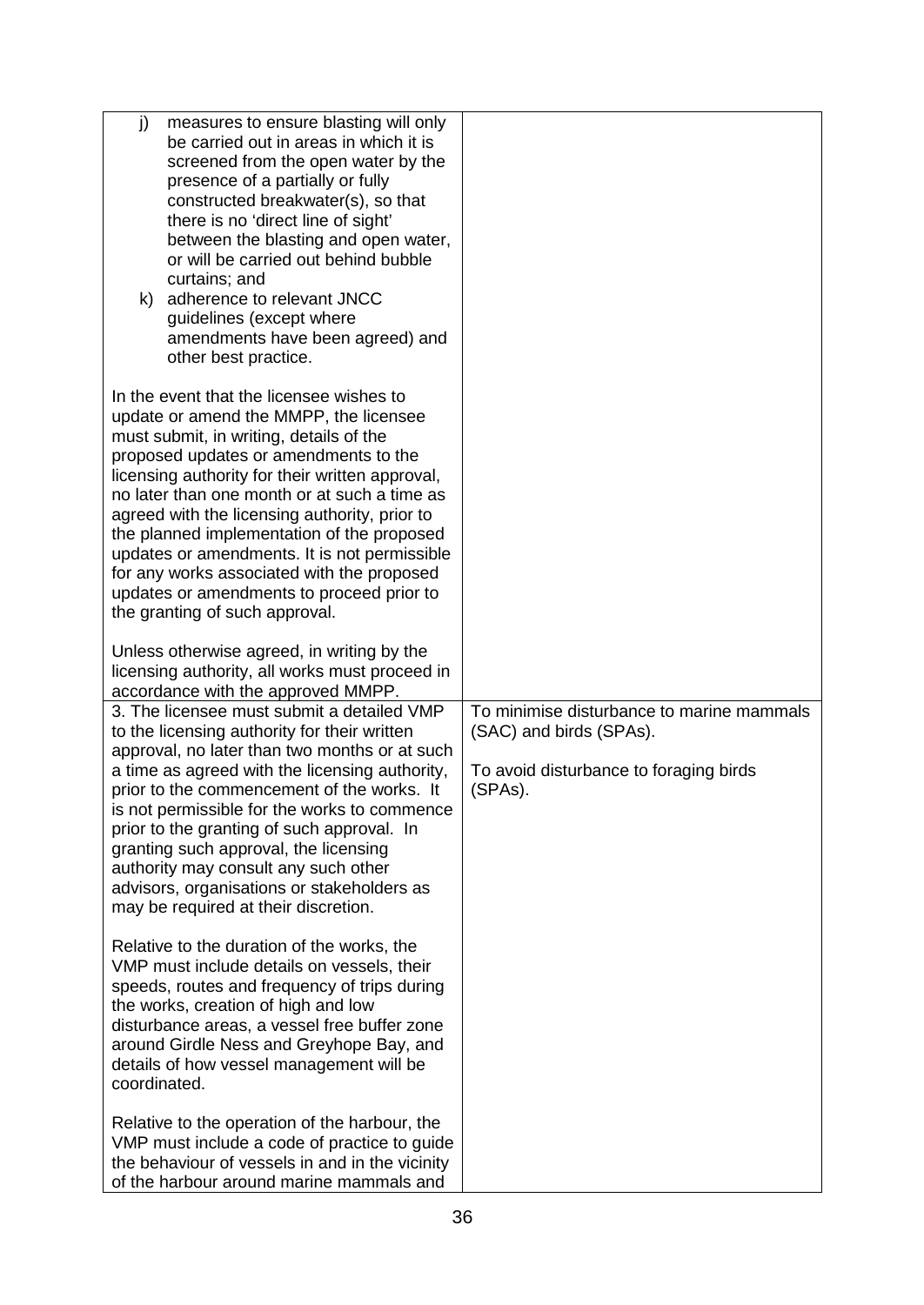| j)<br>measures to ensure blasting will only<br>be carried out in areas in which it is<br>screened from the open water by the<br>presence of a partially or fully<br>constructed breakwater(s), so that<br>there is no 'direct line of sight'<br>between the blasting and open water,<br>or will be carried out behind bubble<br>curtains; and<br>adherence to relevant JNCC<br>k)<br>guidelines (except where<br>amendments have been agreed) and<br>other best practice.                                                                             |                                                                                                                           |
|-------------------------------------------------------------------------------------------------------------------------------------------------------------------------------------------------------------------------------------------------------------------------------------------------------------------------------------------------------------------------------------------------------------------------------------------------------------------------------------------------------------------------------------------------------|---------------------------------------------------------------------------------------------------------------------------|
| In the event that the licensee wishes to<br>update or amend the MMPP, the licensee<br>must submit, in writing, details of the<br>proposed updates or amendments to the<br>licensing authority for their written approval,<br>no later than one month or at such a time as<br>agreed with the licensing authority, prior to<br>the planned implementation of the proposed<br>updates or amendments. It is not permissible<br>for any works associated with the proposed<br>updates or amendments to proceed prior to<br>the granting of such approval. |                                                                                                                           |
| Unless otherwise agreed, in writing by the<br>licensing authority, all works must proceed in<br>accordance with the approved MMPP.                                                                                                                                                                                                                                                                                                                                                                                                                    |                                                                                                                           |
| 3. The licensee must submit a detailed VMP<br>to the licensing authority for their written<br>approval, no later than two months or at such<br>a time as agreed with the licensing authority,<br>prior to the commencement of the works. It<br>is not permissible for the works to commence<br>prior to the granting of such approval. In<br>granting such approval, the licensing<br>authority may consult any such other<br>advisors, organisations or stakeholders as<br>may be required at their discretion.                                      | To minimise disturbance to marine mammals<br>(SAC) and birds (SPAs).<br>To avoid disturbance to foraging birds<br>(SPAs). |
| Relative to the duration of the works, the<br>VMP must include details on vessels, their<br>speeds, routes and frequency of trips during<br>the works, creation of high and low<br>disturbance areas, a vessel free buffer zone<br>around Girdle Ness and Greyhope Bay, and<br>details of how vessel management will be<br>coordinated.                                                                                                                                                                                                               |                                                                                                                           |
| Relative to the operation of the harbour, the<br>VMP must include a code of practice to guide<br>the behaviour of vessels in and in the vicinity<br>of the harbour around marine mammals and                                                                                                                                                                                                                                                                                                                                                          |                                                                                                                           |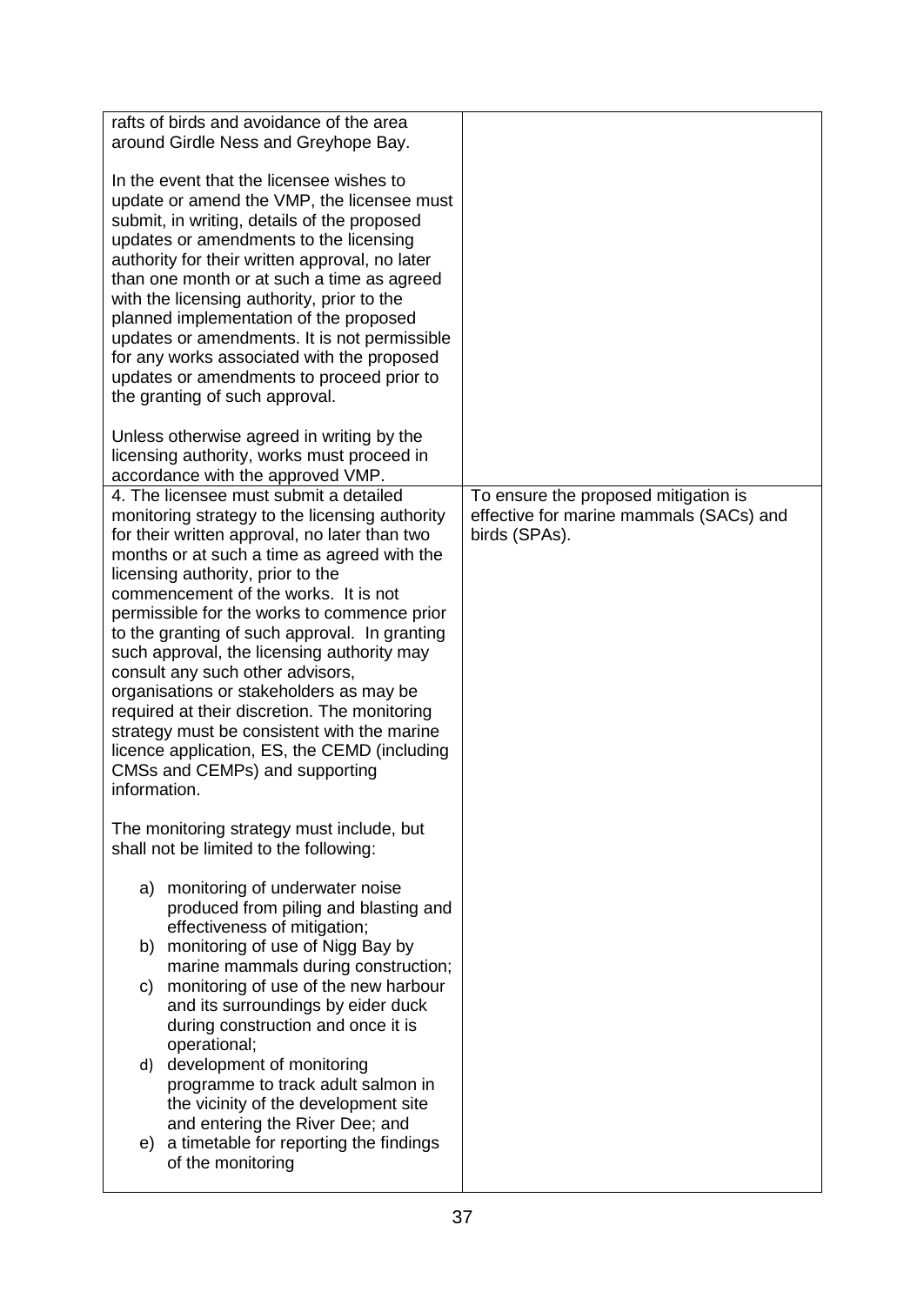| rafts of birds and avoidance of the area<br>around Girdle Ness and Greyhope Bay.                                                                                                                                                                                                                                                                                                                                                                                                                                                                     |                                                                                                  |
|------------------------------------------------------------------------------------------------------------------------------------------------------------------------------------------------------------------------------------------------------------------------------------------------------------------------------------------------------------------------------------------------------------------------------------------------------------------------------------------------------------------------------------------------------|--------------------------------------------------------------------------------------------------|
|                                                                                                                                                                                                                                                                                                                                                                                                                                                                                                                                                      |                                                                                                  |
| In the event that the licensee wishes to<br>update or amend the VMP, the licensee must<br>submit, in writing, details of the proposed<br>updates or amendments to the licensing<br>authority for their written approval, no later<br>than one month or at such a time as agreed<br>with the licensing authority, prior to the<br>planned implementation of the proposed<br>updates or amendments. It is not permissible<br>for any works associated with the proposed<br>updates or amendments to proceed prior to<br>the granting of such approval. |                                                                                                  |
| Unless otherwise agreed in writing by the<br>licensing authority, works must proceed in<br>accordance with the approved VMP.                                                                                                                                                                                                                                                                                                                                                                                                                         |                                                                                                  |
| 4. The licensee must submit a detailed<br>monitoring strategy to the licensing authority<br>for their written approval, no later than two<br>months or at such a time as agreed with the<br>licensing authority, prior to the<br>commencement of the works. It is not<br>permissible for the works to commence prior<br>to the granting of such approval. In granting<br>such approval, the licensing authority may                                                                                                                                  | To ensure the proposed mitigation is<br>effective for marine mammals (SACs) and<br>birds (SPAs). |
| consult any such other advisors,<br>organisations or stakeholders as may be<br>required at their discretion. The monitoring<br>strategy must be consistent with the marine<br>licence application, ES, the CEMD (including<br>CMSs and CEMPs) and supporting<br>information.                                                                                                                                                                                                                                                                         |                                                                                                  |
| The monitoring strategy must include, but<br>shall not be limited to the following:                                                                                                                                                                                                                                                                                                                                                                                                                                                                  |                                                                                                  |
| a) monitoring of underwater noise<br>produced from piling and blasting and<br>effectiveness of mitigation;                                                                                                                                                                                                                                                                                                                                                                                                                                           |                                                                                                  |
| b) monitoring of use of Nigg Bay by<br>marine mammals during construction;<br>monitoring of use of the new harbour<br>C)                                                                                                                                                                                                                                                                                                                                                                                                                             |                                                                                                  |
| and its surroundings by eider duck<br>during construction and once it is<br>operational;<br>development of monitoring<br>d)<br>programme to track adult salmon in                                                                                                                                                                                                                                                                                                                                                                                    |                                                                                                  |
| the vicinity of the development site<br>and entering the River Dee; and<br>e) a timetable for reporting the findings<br>of the monitoring                                                                                                                                                                                                                                                                                                                                                                                                            |                                                                                                  |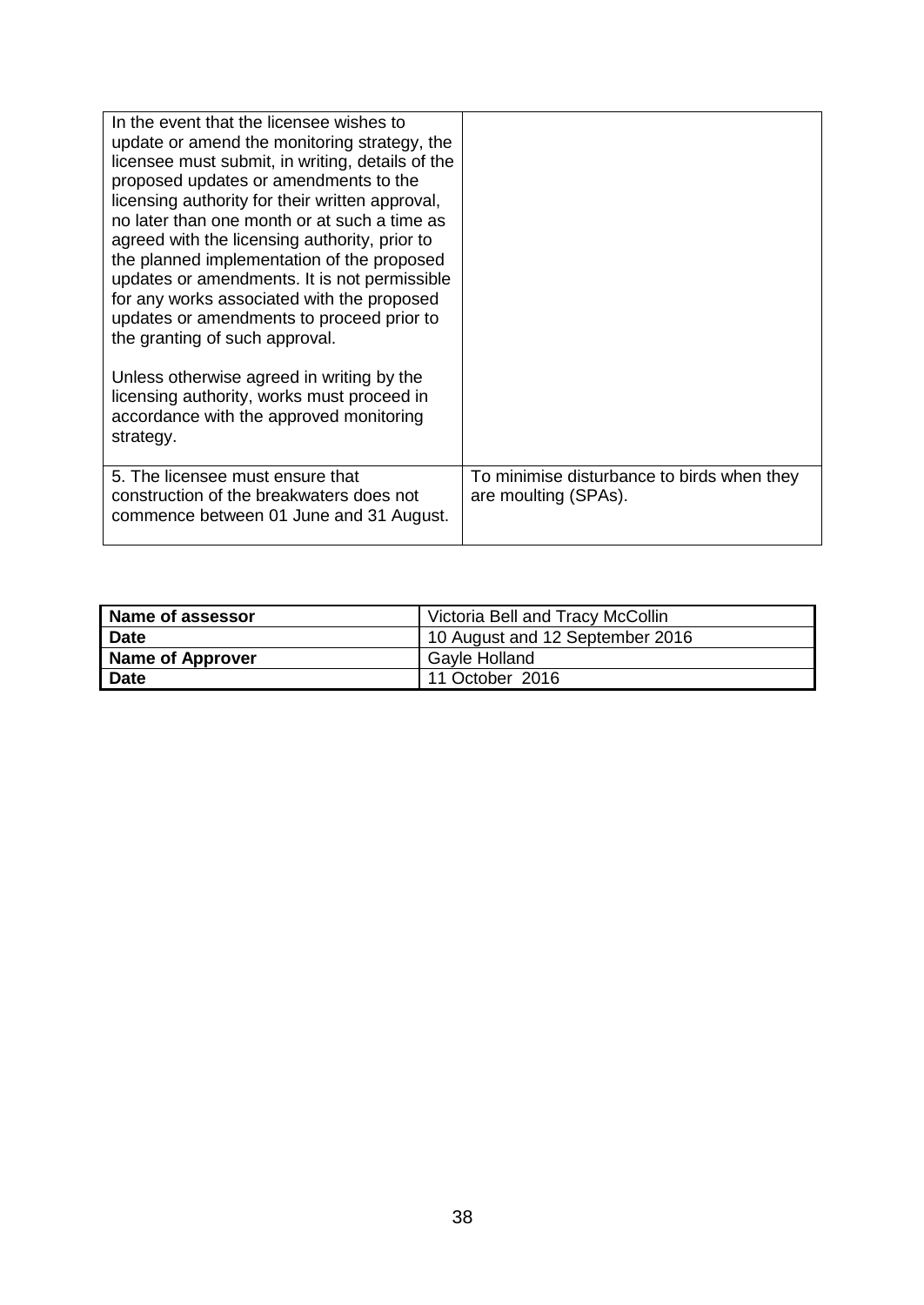| In the event that the licensee wishes to<br>update or amend the monitoring strategy, the<br>licensee must submit, in writing, details of the<br>proposed updates or amendments to the<br>licensing authority for their written approval,<br>no later than one month or at such a time as<br>agreed with the licensing authority, prior to<br>the planned implementation of the proposed<br>updates or amendments. It is not permissible<br>for any works associated with the proposed<br>updates or amendments to proceed prior to<br>the granting of such approval.<br>Unless otherwise agreed in writing by the<br>licensing authority, works must proceed in<br>accordance with the approved monitoring |                                                                    |
|------------------------------------------------------------------------------------------------------------------------------------------------------------------------------------------------------------------------------------------------------------------------------------------------------------------------------------------------------------------------------------------------------------------------------------------------------------------------------------------------------------------------------------------------------------------------------------------------------------------------------------------------------------------------------------------------------------|--------------------------------------------------------------------|
| strategy.                                                                                                                                                                                                                                                                                                                                                                                                                                                                                                                                                                                                                                                                                                  |                                                                    |
| 5. The licensee must ensure that<br>construction of the breakwaters does not<br>commence between 01 June and 31 August.                                                                                                                                                                                                                                                                                                                                                                                                                                                                                                                                                                                    | To minimise disturbance to birds when they<br>are moulting (SPAs). |

| Name of assessor | Victoria Bell and Tracy McCollin |
|------------------|----------------------------------|
| <b>Date</b>      | 10 August and 12 September 2016  |
| Name of Approver | Gayle Holland                    |
| <b>Date</b>      | 11 October 2016                  |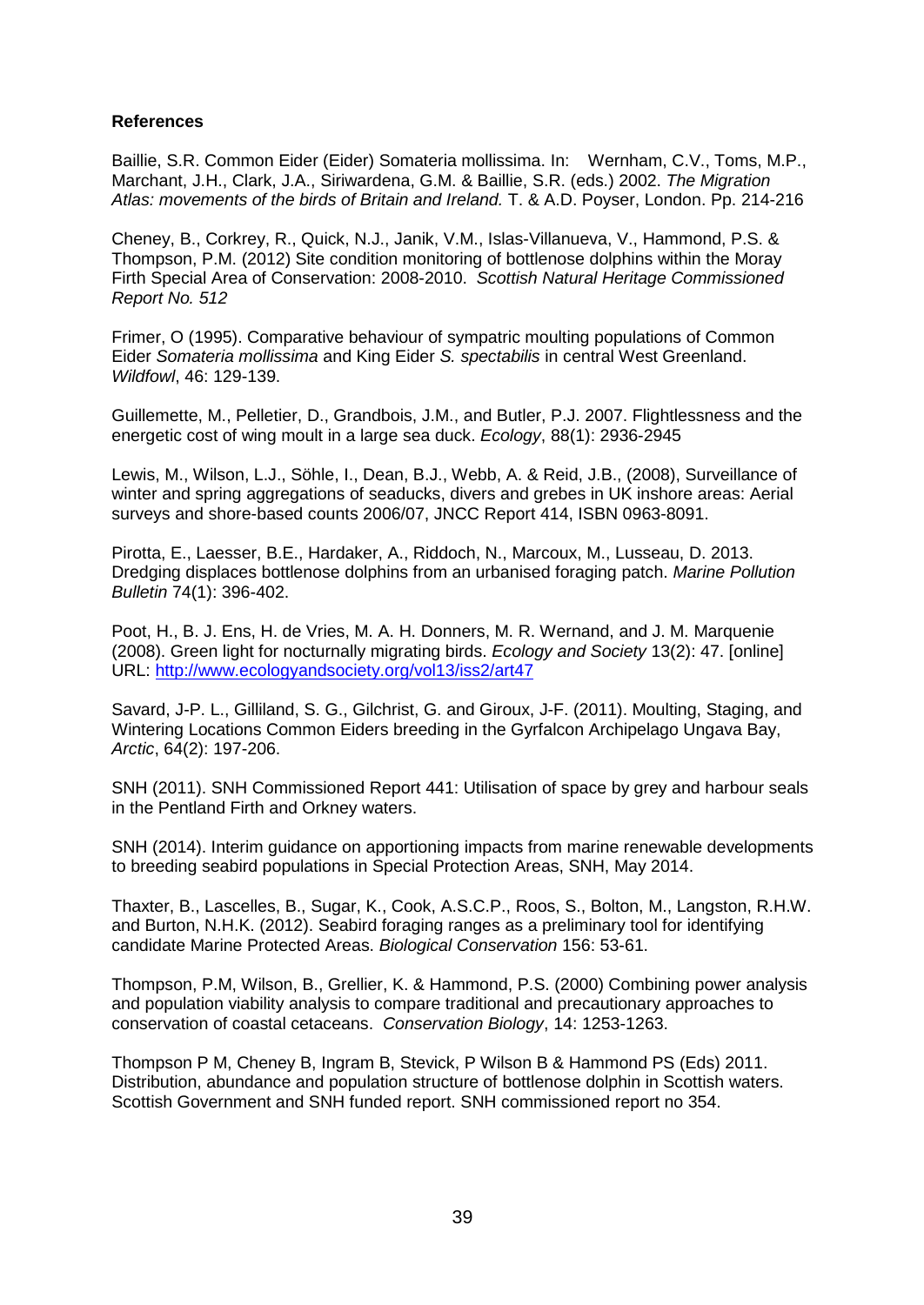### **References**

Baillie, S.R. Common Eider (Eider) Somateria mollissima. In: Wernham, C.V., Toms, M.P., Marchant, J.H., Clark, J.A., Siriwardena, G.M. & Baillie, S.R. (eds.) 2002. *The Migration Atlas: movements of the birds of Britain and Ireland.* T. & A.D. Poyser, London. Pp. 214-216

Cheney, B., Corkrey, R., Quick, N.J., Janik, V.M., Islas-Villanueva, V., Hammond, P.S. & Thompson, P.M. (2012) Site condition monitoring of bottlenose dolphins within the Moray Firth Special Area of Conservation: 2008-2010. *Scottish Natural Heritage Commissioned Report No. 512*

Frimer, O (1995). Comparative behaviour of sympatric moulting populations of Common Eider *Somateria mollissima* and King Eider *S. spectabilis* in central West Greenland. *Wildfowl*, 46: 129-139.

Guillemette, M., Pelletier, D., Grandbois, J.M., and Butler, P.J. 2007. Flightlessness and the energetic cost of wing moult in a large sea duck. *Ecology*, 88(1): 2936-2945

Lewis, M., Wilson, L.J., Söhle, I., Dean, B.J., Webb, A. & Reid, J.B., (2008), Surveillance of winter and spring aggregations of seaducks, divers and grebes in UK inshore areas: Aerial surveys and shore-based counts 2006/07, JNCC Report 414, ISBN 0963-8091.

Pirotta, E., Laesser, B.E., Hardaker, A., Riddoch, N., Marcoux, M., Lusseau, D. 2013. Dredging displaces bottlenose dolphins from an urbanised foraging patch. *Marine Pollution Bulletin* 74(1): 396-402.

Poot, H., B. J. Ens, H. de Vries, M. A. H. Donners, M. R. Wernand, and J. M. Marquenie (2008). Green light for nocturnally migrating birds. *Ecology and Society* 13(2): 47. [online] URL:<http://www.ecologyandsociety.org/vol13/iss2/art47>

Savard, J-P. L., Gilliland, S. G., Gilchrist, G. and Giroux, J-F. (2011). Moulting, Staging, and Wintering Locations Common Eiders breeding in the Gyrfalcon Archipelago Ungava Bay, *Arctic*, 64(2): 197-206.

SNH (2011). SNH Commissioned Report 441: Utilisation of space by grey and harbour seals in the Pentland Firth and Orkney waters.

SNH (2014). Interim guidance on apportioning impacts from marine renewable developments to breeding seabird populations in Special Protection Areas, SNH, May 2014.

Thaxter, B., Lascelles, B., Sugar, K., Cook, A.S.C.P., Roos, S., Bolton, M., Langston, R.H.W. and Burton, N.H.K. (2012). Seabird foraging ranges as a preliminary tool for identifying candidate Marine Protected Areas. *Biological Conservation* 156: 53-61.

Thompson, P.M, Wilson, B., Grellier, K. & Hammond, P.S. (2000) Combining power analysis and population viability analysis to compare traditional and precautionary approaches to conservation of coastal cetaceans. *Conservation Biology*, 14: 1253-1263.

Thompson P M, Cheney B, Ingram B, Stevick, P Wilson B & Hammond PS (Eds) 2011. Distribution, abundance and population structure of bottlenose dolphin in Scottish waters. Scottish Government and SNH funded report. SNH commissioned report no 354.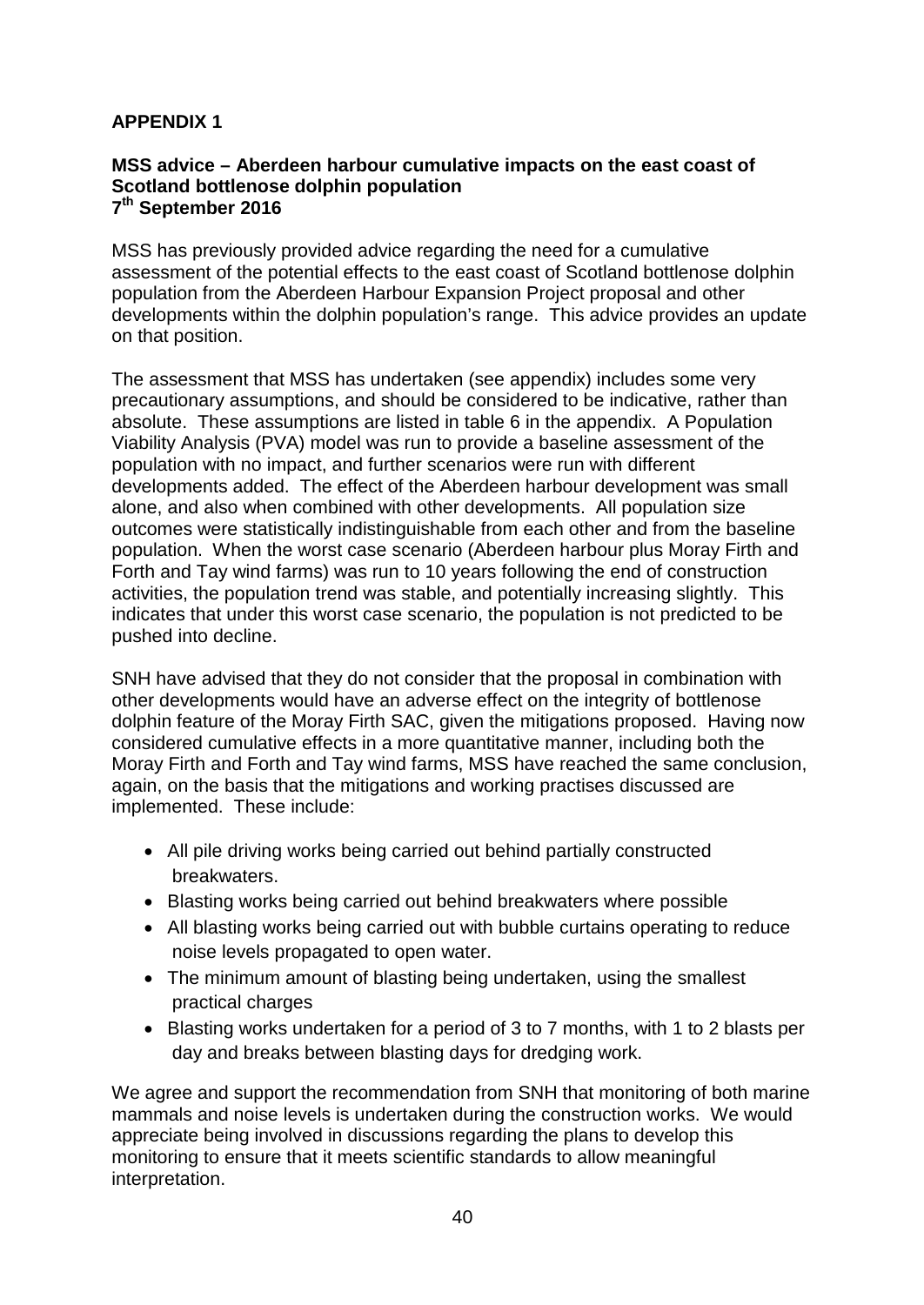# **APPENDIX 1**

### **MSS advice – Aberdeen harbour cumulative impacts on the east coast of Scotland bottlenose dolphin population 7th September 2016**

MSS has previously provided advice regarding the need for a cumulative assessment of the potential effects to the east coast of Scotland bottlenose dolphin population from the Aberdeen Harbour Expansion Project proposal and other developments within the dolphin population's range. This advice provides an update on that position.

The assessment that MSS has undertaken (see appendix) includes some very precautionary assumptions, and should be considered to be indicative, rather than absolute. These assumptions are listed in table 6 in the appendix. A Population Viability Analysis (PVA) model was run to provide a baseline assessment of the population with no impact, and further scenarios were run with different developments added. The effect of the Aberdeen harbour development was small alone, and also when combined with other developments. All population size outcomes were statistically indistinguishable from each other and from the baseline population. When the worst case scenario (Aberdeen harbour plus Moray Firth and Forth and Tay wind farms) was run to 10 years following the end of construction activities, the population trend was stable, and potentially increasing slightly. This indicates that under this worst case scenario, the population is not predicted to be pushed into decline.

SNH have advised that they do not consider that the proposal in combination with other developments would have an adverse effect on the integrity of bottlenose dolphin feature of the Moray Firth SAC, given the mitigations proposed. Having now considered cumulative effects in a more quantitative manner, including both the Moray Firth and Forth and Tay wind farms, MSS have reached the same conclusion, again, on the basis that the mitigations and working practises discussed are implemented. These include:

- All pile driving works being carried out behind partially constructed breakwaters.
- Blasting works being carried out behind breakwaters where possible
- All blasting works being carried out with bubble curtains operating to reduce noise levels propagated to open water.
- The minimum amount of blasting being undertaken, using the smallest practical charges
- Blasting works undertaken for a period of 3 to 7 months, with 1 to 2 blasts per day and breaks between blasting days for dredging work.

We agree and support the recommendation from SNH that monitoring of both marine mammals and noise levels is undertaken during the construction works. We would appreciate being involved in discussions regarding the plans to develop this monitoring to ensure that it meets scientific standards to allow meaningful interpretation.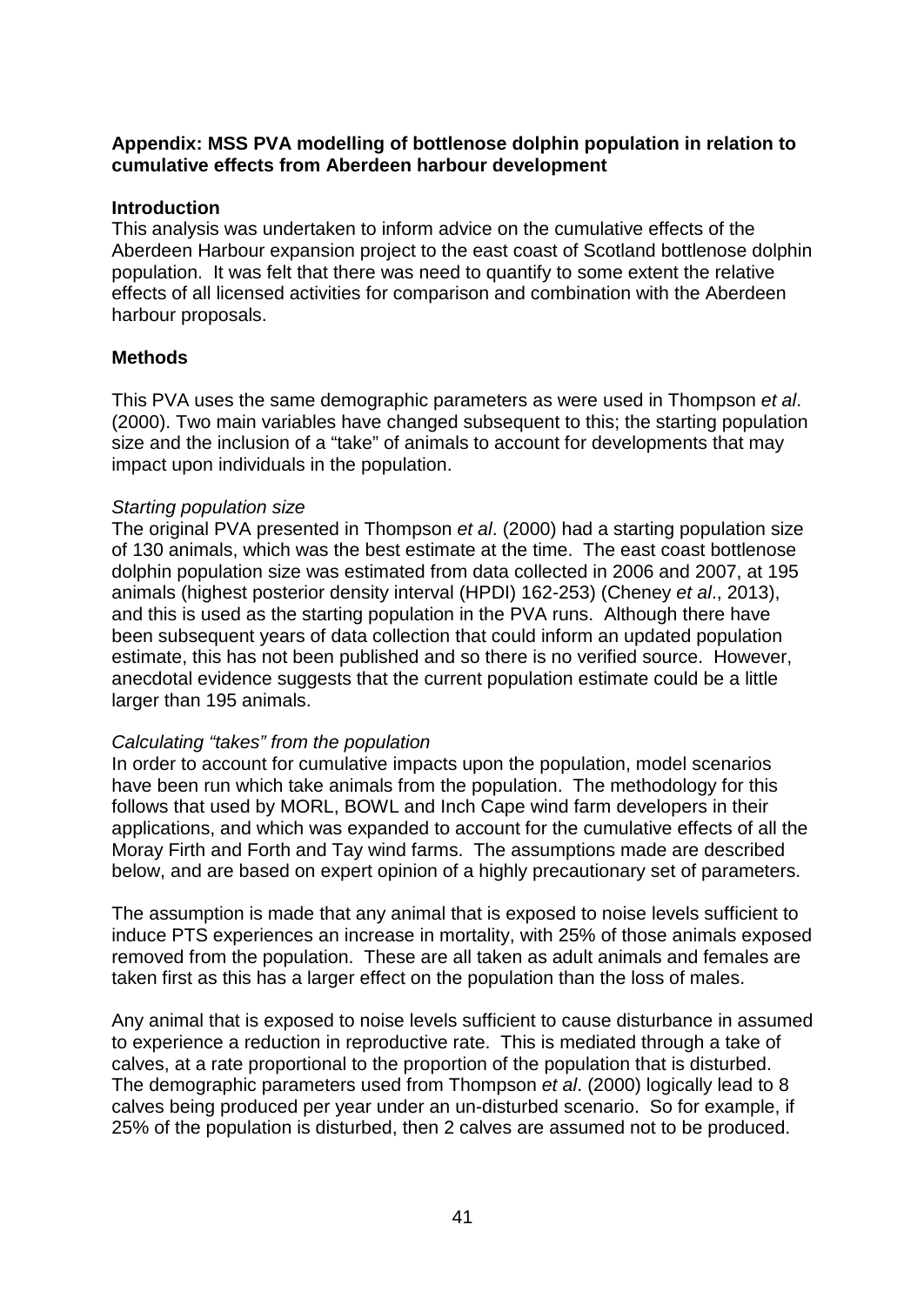# **Appendix: MSS PVA modelling of bottlenose dolphin population in relation to cumulative effects from Aberdeen harbour development**

## **Introduction**

This analysis was undertaken to inform advice on the cumulative effects of the Aberdeen Harbour expansion project to the east coast of Scotland bottlenose dolphin population. It was felt that there was need to quantify to some extent the relative effects of all licensed activities for comparison and combination with the Aberdeen harbour proposals.

## **Methods**

This PVA uses the same demographic parameters as were used in Thompson *et al*. (2000). Two main variables have changed subsequent to this; the starting population size and the inclusion of a "take" of animals to account for developments that may impact upon individuals in the population.

## *Starting population size*

The original PVA presented in Thompson *et al*. (2000) had a starting population size of 130 animals, which was the best estimate at the time. The east coast bottlenose dolphin population size was estimated from data collected in 2006 and 2007, at 195 animals [\(highest posterior density interval](https://www.google.co.uk/search?safe=strict&biw=1536&bih=843&q=highest+posterior+density+interval&sa=X&ved=0ahUKEwj4wdCx_InPAhUqJMAKHXCRAjoQ1QIISygA) (HPDI) 162-253) (Cheney *et al*., 2013), and this is used as the starting population in the PVA runs. Although there have been subsequent years of data collection that could inform an updated population estimate, this has not been published and so there is no verified source. However, anecdotal evidence suggests that the current population estimate could be a little larger than 195 animals.

### *Calculating "takes" from the population*

In order to account for cumulative impacts upon the population, model scenarios have been run which take animals from the population. The methodology for this follows that used by MORL, BOWL and Inch Cape wind farm developers in their applications, and which was expanded to account for the cumulative effects of all the Moray Firth and Forth and Tay wind farms. The assumptions made are described below, and are based on expert opinion of a highly precautionary set of parameters.

The assumption is made that any animal that is exposed to noise levels sufficient to induce PTS experiences an increase in mortality, with 25% of those animals exposed removed from the population. These are all taken as adult animals and females are taken first as this has a larger effect on the population than the loss of males.

Any animal that is exposed to noise levels sufficient to cause disturbance in assumed to experience a reduction in reproductive rate. This is mediated through a take of calves, at a rate proportional to the proportion of the population that is disturbed. The demographic parameters used from Thompson *et al*. (2000) logically lead to 8 calves being produced per year under an un-disturbed scenario. So for example, if 25% of the population is disturbed, then 2 calves are assumed not to be produced.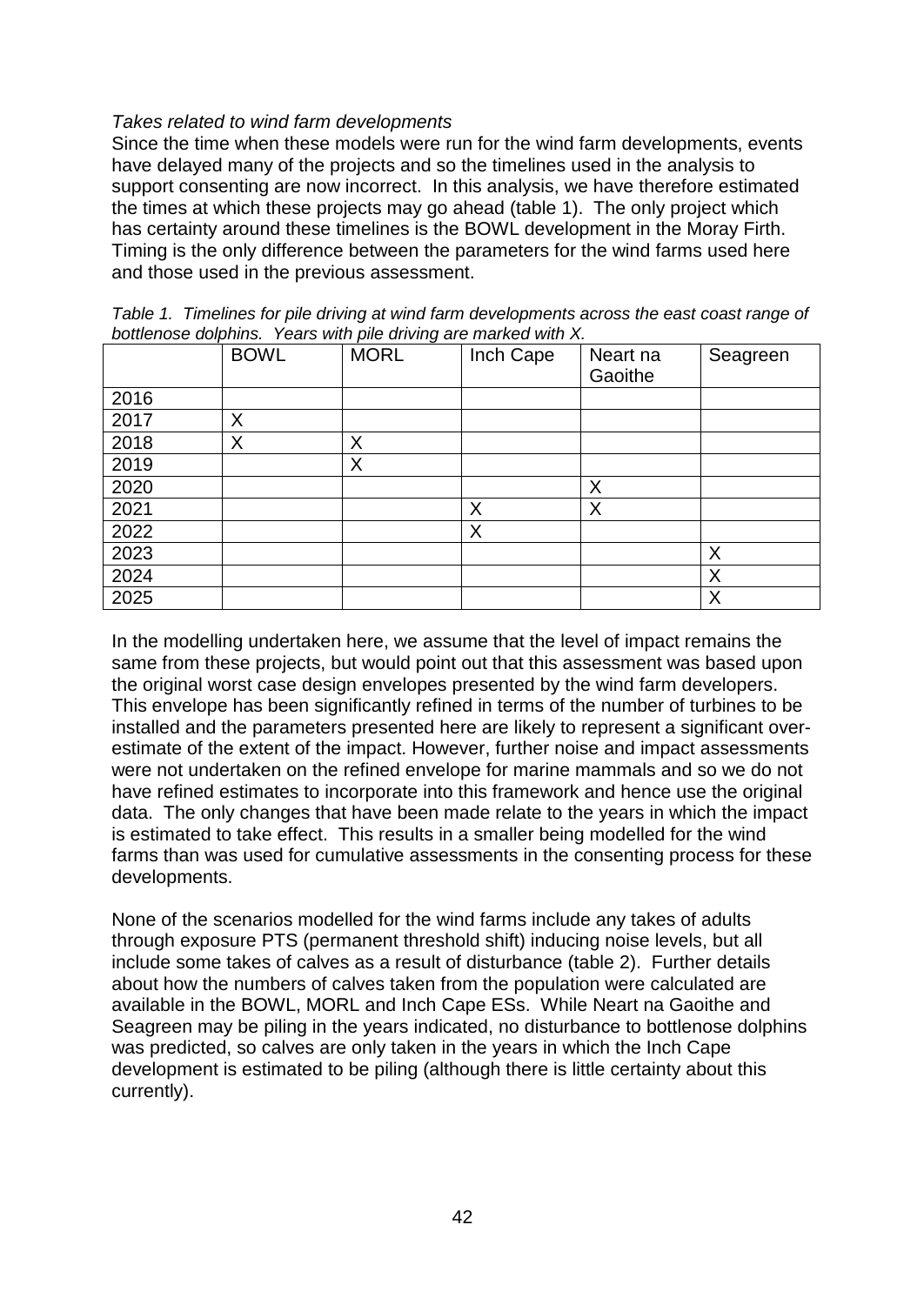## *Takes related to wind farm developments*

Since the time when these models were run for the wind farm developments, events have delayed many of the projects and so the timelines used in the analysis to support consenting are now incorrect. In this analysis, we have therefore estimated the times at which these projects may go ahead (table 1). The only project which has certainty around these timelines is the BOWL development in the Moray Firth. Timing is the only difference between the parameters for the wind farms used here and those used in the previous assessment.

|      | <b>BOWL</b> | <b>MORL</b> | Inch Cape | Neart na<br>Gaoithe | Seagreen |
|------|-------------|-------------|-----------|---------------------|----------|
| 2016 |             |             |           |                     |          |
| 2017 | X           |             |           |                     |          |
| 2018 | X           | X           |           |                     |          |
| 2019 |             | X           |           |                     |          |
| 2020 |             |             |           | Χ                   |          |
| 2021 |             |             | X         | Χ                   |          |
| 2022 |             |             | X         |                     |          |
| 2023 |             |             |           |                     | X        |
| 2024 |             |             |           |                     | Χ        |
| 2025 |             |             |           |                     | X        |

*Table 1. Timelines for pile driving at wind farm developments across the east coast range of bottlenose dolphins. Years with pile driving are marked with X.* 

In the modelling undertaken here, we assume that the level of impact remains the same from these projects, but would point out that this assessment was based upon the original worst case design envelopes presented by the wind farm developers. This envelope has been significantly refined in terms of the number of turbines to be installed and the parameters presented here are likely to represent a significant overestimate of the extent of the impact. However, further noise and impact assessments were not undertaken on the refined envelope for marine mammals and so we do not have refined estimates to incorporate into this framework and hence use the original data. The only changes that have been made relate to the years in which the impact is estimated to take effect. This results in a smaller being modelled for the wind farms than was used for cumulative assessments in the consenting process for these developments.

None of the scenarios modelled for the wind farms include any takes of adults through exposure PTS (permanent threshold shift) inducing noise levels, but all include some takes of calves as a result of disturbance (table 2). Further details about how the numbers of calves taken from the population were calculated are available in the BOWL, MORL and Inch Cape ESs. While Neart na Gaoithe and Seagreen may be piling in the years indicated, no disturbance to bottlenose dolphins was predicted, so calves are only taken in the years in which the Inch Cape development is estimated to be piling (although there is little certainty about this currently).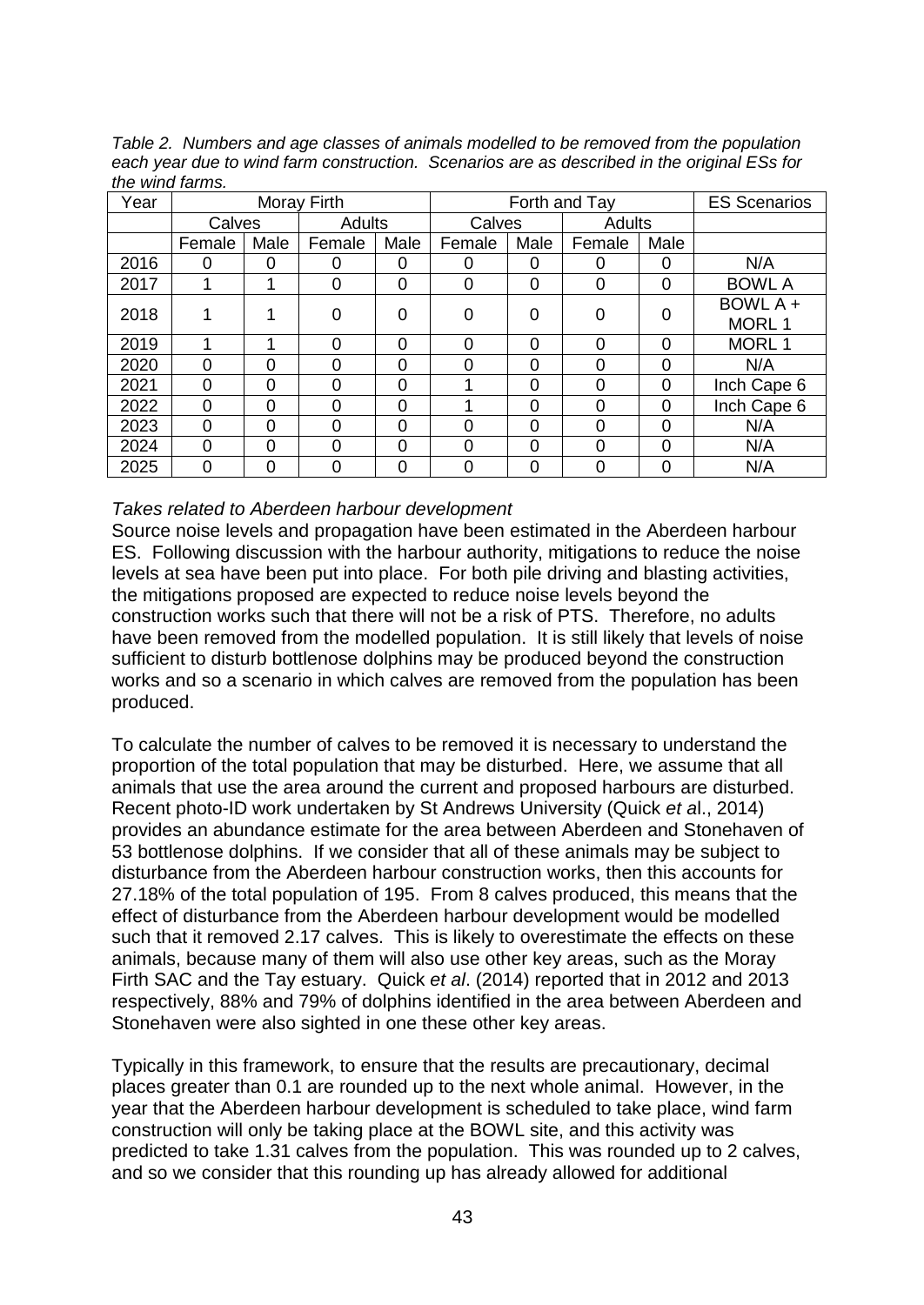*Table 2. Numbers and age classes of animals modelled to be removed from the population each year due to wind farm construction. Scenarios are as described in the original ESs for the wind farms.* 

| Year | Moray Firth |      |               |          | Forth and Tay |          |          |          | <b>ES Scenarios</b> |  |
|------|-------------|------|---------------|----------|---------------|----------|----------|----------|---------------------|--|
|      | Calves      |      | <b>Adults</b> |          | Calves        |          | Adults   |          |                     |  |
|      | Female      | Male | Female        | Male     | Female        | Male     | Female   | Male     |                     |  |
| 2016 | 0           | 0    | 0             | 0        | 0             | 0        |          | 0        | N/A                 |  |
| 2017 |             |      | 0             | 0        | $\Omega$      | 0        | 0        | 0        | <b>BOWL A</b>       |  |
| 2018 |             |      | 0             | 0        | $\Omega$      | 0        | $\Omega$ | 0        | BOWL A +            |  |
|      |             |      |               |          |               |          |          |          | MORL 1              |  |
| 2019 |             |      | $\Omega$      | $\Omega$ | $\Omega$      | $\Omega$ | 0        | $\Omega$ | MORL 1              |  |
| 2020 | 0           | Ⴖ    | $\Omega$      | $\Omega$ | 0             | 0        |          | 0        | N/A                 |  |
| 2021 | 0           | 0    | $\Omega$      | $\Omega$ | 4             | 0        | 0        | 0        | Inch Cape 6         |  |
| 2022 | $\Omega$    | ი    | 0             | $\Omega$ |               | $\Omega$ | ∩        | $\Omega$ | Inch Cape 6         |  |
| 2023 | 0           | 0    | $\Omega$      | $\Omega$ | $\Omega$      | 0        | U        | 0        | N/A                 |  |
| 2024 | $\Omega$    | ი    | $\Omega$      | $\Omega$ | 0             | 0        | O        | 0        | N/A                 |  |
| 2025 | 0           | 0    | $\Omega$      | $\Omega$ | $\Omega$      | 0        | 0        | 0        | N/A                 |  |

## *Takes related to Aberdeen harbour development*

Source noise levels and propagation have been estimated in the Aberdeen harbour ES. Following discussion with the harbour authority, mitigations to reduce the noise levels at sea have been put into place. For both pile driving and blasting activities, the mitigations proposed are expected to reduce noise levels beyond the construction works such that there will not be a risk of PTS. Therefore, no adults have been removed from the modelled population. It is still likely that levels of noise sufficient to disturb bottlenose dolphins may be produced beyond the construction works and so a scenario in which calves are removed from the population has been produced.

To calculate the number of calves to be removed it is necessary to understand the proportion of the total population that may be disturbed. Here, we assume that all animals that use the area around the current and proposed harbours are disturbed. Recent photo-ID work undertaken by St Andrews University (Quick *et a*l., 2014) provides an abundance estimate for the area between Aberdeen and Stonehaven of 53 bottlenose dolphins. If we consider that all of these animals may be subject to disturbance from the Aberdeen harbour construction works, then this accounts for 27.18% of the total population of 195. From 8 calves produced, this means that the effect of disturbance from the Aberdeen harbour development would be modelled such that it removed 2.17 calves. This is likely to overestimate the effects on these animals, because many of them will also use other key areas, such as the Moray Firth SAC and the Tay estuary. Quick *et al*. (2014) reported that in 2012 and 2013 respectively, 88% and 79% of dolphins identified in the area between Aberdeen and Stonehaven were also sighted in one these other key areas.

Typically in this framework, to ensure that the results are precautionary, decimal places greater than 0.1 are rounded up to the next whole animal. However, in the year that the Aberdeen harbour development is scheduled to take place, wind farm construction will only be taking place at the BOWL site, and this activity was predicted to take 1.31 calves from the population. This was rounded up to 2 calves, and so we consider that this rounding up has already allowed for additional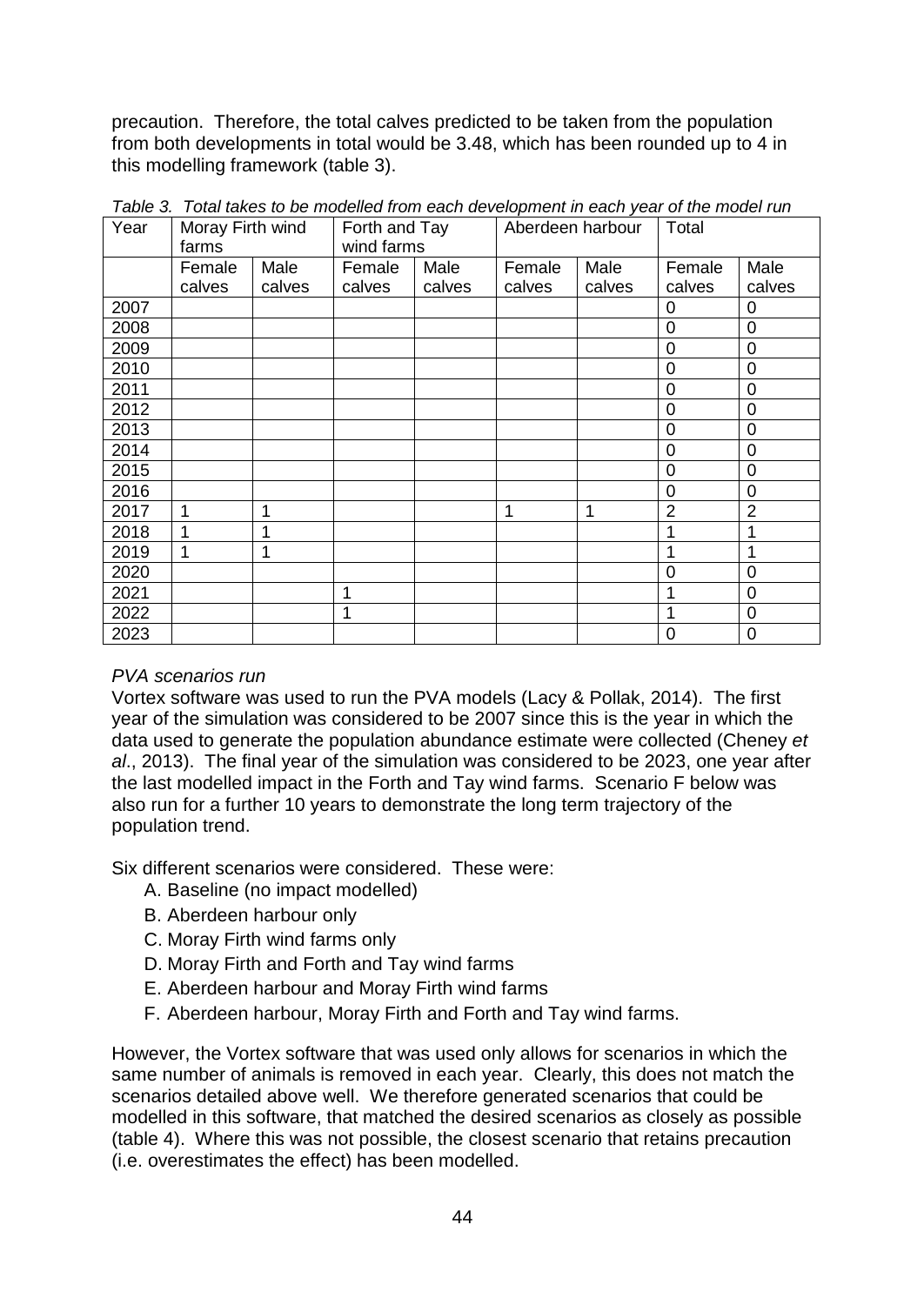precaution. Therefore, the total calves predicted to be taken from the population from both developments in total would be 3.48, which has been rounded up to 4 in this modelling framework (table 3).

| Year | Moray Firth wind<br>farms |        | Forth and Tay<br>wind farms |        | Aberdeen harbour |        | Total          |                |
|------|---------------------------|--------|-----------------------------|--------|------------------|--------|----------------|----------------|
|      | Female                    | Male   | Female                      | Male   | Female           | Male   | Female         | Male           |
|      | calves                    | calves | calves                      | calves | calves           | calves | calves         | calves         |
| 2007 |                           |        |                             |        |                  |        | 0              | 0              |
| 2008 |                           |        |                             |        |                  |        | 0              | $\mathbf 0$    |
| 2009 |                           |        |                             |        |                  |        | 0              | $\overline{0}$ |
| 2010 |                           |        |                             |        |                  |        | 0              | 0              |
| 2011 |                           |        |                             |        |                  |        | 0              | 0              |
| 2012 |                           |        |                             |        |                  |        | 0              | 0              |
| 2013 |                           |        |                             |        |                  |        | 0              | 0              |
| 2014 |                           |        |                             |        |                  |        | 0              | 0              |
| 2015 |                           |        |                             |        |                  |        | 0              | 0              |
| 2016 |                           |        |                             |        |                  |        | 0              | $\overline{0}$ |
| 2017 | 1                         | 1      |                             |        | 1                | 1      | $\overline{2}$ | $\overline{2}$ |
| 2018 | 1                         | 1      |                             |        |                  |        |                |                |
| 2019 | 1                         | 1      |                             |        |                  |        |                |                |
| 2020 |                           |        |                             |        |                  |        | 0              | 0              |
| 2021 |                           |        | 1                           |        |                  |        |                | 0              |
| 2022 |                           |        | 1                           |        |                  |        |                | 0              |
| 2023 |                           |        |                             |        |                  |        | $\mathbf 0$    | 0              |

*Table 3. Total takes to be modelled from each development in each year of the model run*

# *PVA scenarios run*

Vortex software was used to run the PVA models (Lacy & Pollak, 2014). The first year of the simulation was considered to be 2007 since this is the year in which the data used to generate the population abundance estimate were collected (Cheney *et al*., 2013). The final year of the simulation was considered to be 2023, one year after the last modelled impact in the Forth and Tay wind farms. Scenario F below was also run for a further 10 years to demonstrate the long term trajectory of the population trend.

Six different scenarios were considered. These were:

- A. Baseline (no impact modelled)
- B. Aberdeen harbour only
- C. Moray Firth wind farms only
- D. Moray Firth and Forth and Tay wind farms
- E. Aberdeen harbour and Moray Firth wind farms
- F. Aberdeen harbour, Moray Firth and Forth and Tay wind farms.

However, the Vortex software that was used only allows for scenarios in which the same number of animals is removed in each year. Clearly, this does not match the scenarios detailed above well. We therefore generated scenarios that could be modelled in this software, that matched the desired scenarios as closely as possible (table 4). Where this was not possible, the closest scenario that retains precaution (i.e. overestimates the effect) has been modelled.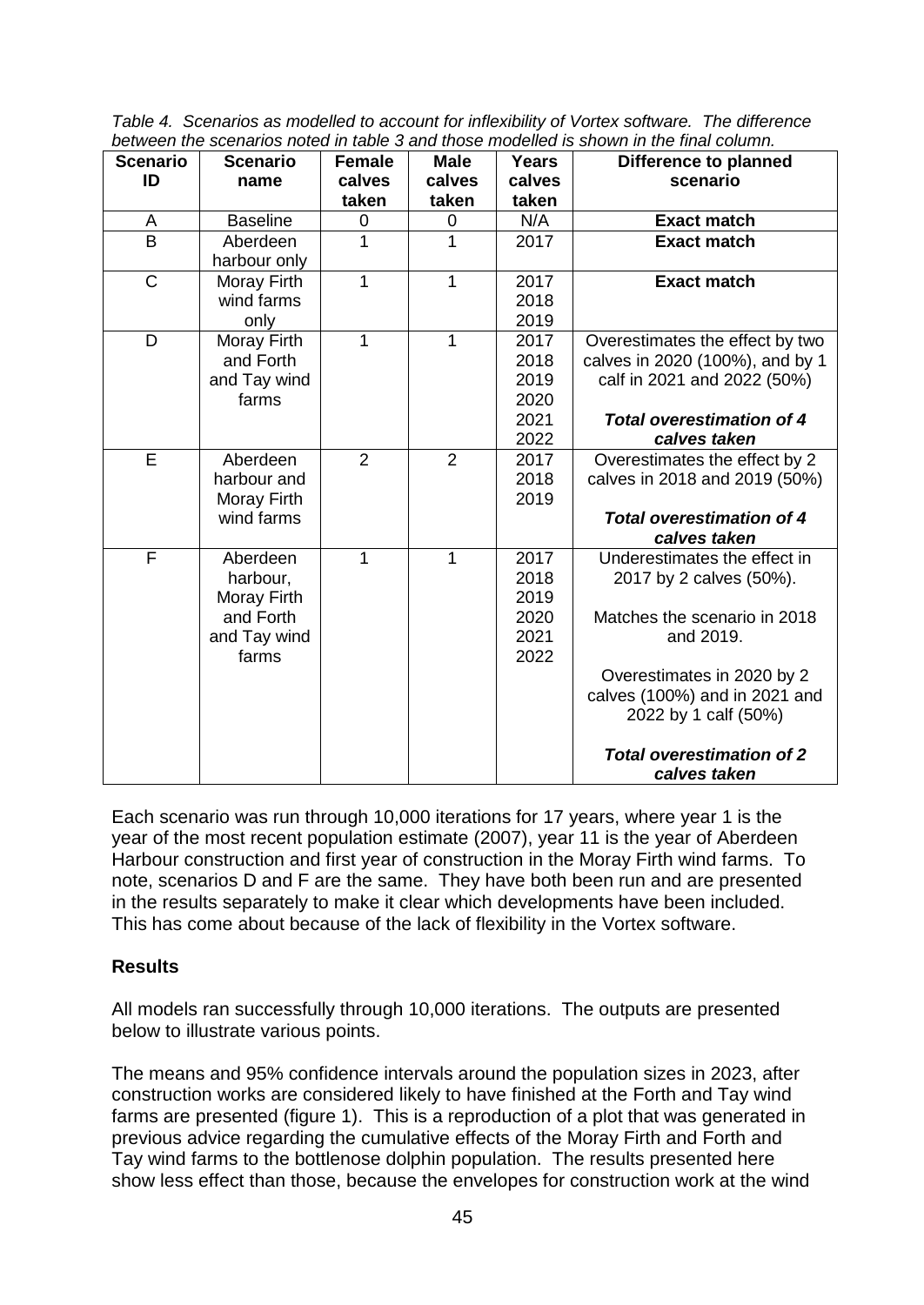*Table 4. Scenarios as modelled to account for inflexibility of Vortex software. The difference between the scenarios noted in table 3 and those modelled is shown in the final column.* 

| <b>Scenario</b><br>ID   | <b>Scenario</b><br>name                                                   | <b>Female</b><br>calves | <b>Male</b><br>calves | <b>Years</b><br>calves                       | <b>Difference to planned</b><br>scenario                                                                                                                                                                                        |
|-------------------------|---------------------------------------------------------------------------|-------------------------|-----------------------|----------------------------------------------|---------------------------------------------------------------------------------------------------------------------------------------------------------------------------------------------------------------------------------|
|                         |                                                                           | taken                   | taken                 | taken                                        |                                                                                                                                                                                                                                 |
| A                       | <b>Baseline</b>                                                           | 0                       | 0                     | N/A                                          | <b>Exact match</b>                                                                                                                                                                                                              |
| $\overline{B}$          | Aberdeen<br>harbour only                                                  | 1                       | 1                     | 2017                                         | <b>Exact match</b>                                                                                                                                                                                                              |
| $\mathsf{C}$            | Moray Firth<br>wind farms<br>only                                         | 1                       | 1                     | 2017<br>2018<br>2019                         | <b>Exact match</b>                                                                                                                                                                                                              |
| D                       | Moray Firth<br>and Forth<br>and Tay wind<br>farms                         | 1                       | 1                     | 2017<br>2018<br>2019<br>2020<br>2021<br>2022 | Overestimates the effect by two<br>calves in 2020 (100%), and by 1<br>calf in 2021 and 2022 (50%)<br><b>Total overestimation of 4</b><br>calves taken                                                                           |
| E                       | Aberdeen<br>harbour and<br>Moray Firth<br>wind farms                      | $\overline{2}$          | $\overline{2}$        | 2017<br>2018<br>2019                         | Overestimates the effect by 2<br>calves in 2018 and 2019 (50%)<br><b>Total overestimation of 4</b><br>calves taken                                                                                                              |
| $\overline{\mathsf{F}}$ | Aberdeen<br>harbour,<br>Moray Firth<br>and Forth<br>and Tay wind<br>farms | 1                       | 1                     | 2017<br>2018<br>2019<br>2020<br>2021<br>2022 | Underestimates the effect in<br>2017 by 2 calves (50%).<br>Matches the scenario in 2018<br>and 2019.<br>Overestimates in 2020 by 2<br>calves (100%) and in 2021 and<br>2022 by 1 calf (50%)<br><b>Total overestimation of 2</b> |
|                         |                                                                           |                         |                       |                                              | calves taken                                                                                                                                                                                                                    |

Each scenario was run through 10,000 iterations for 17 years, where year 1 is the year of the most recent population estimate (2007), year 11 is the year of Aberdeen Harbour construction and first year of construction in the Moray Firth wind farms. To note, scenarios D and F are the same. They have both been run and are presented in the results separately to make it clear which developments have been included. This has come about because of the lack of flexibility in the Vortex software.

# **Results**

All models ran successfully through 10,000 iterations. The outputs are presented below to illustrate various points.

The means and 95% confidence intervals around the population sizes in 2023, after construction works are considered likely to have finished at the Forth and Tay wind farms are presented (figure 1). This is a reproduction of a plot that was generated in previous advice regarding the cumulative effects of the Moray Firth and Forth and Tay wind farms to the bottlenose dolphin population. The results presented here show less effect than those, because the envelopes for construction work at the wind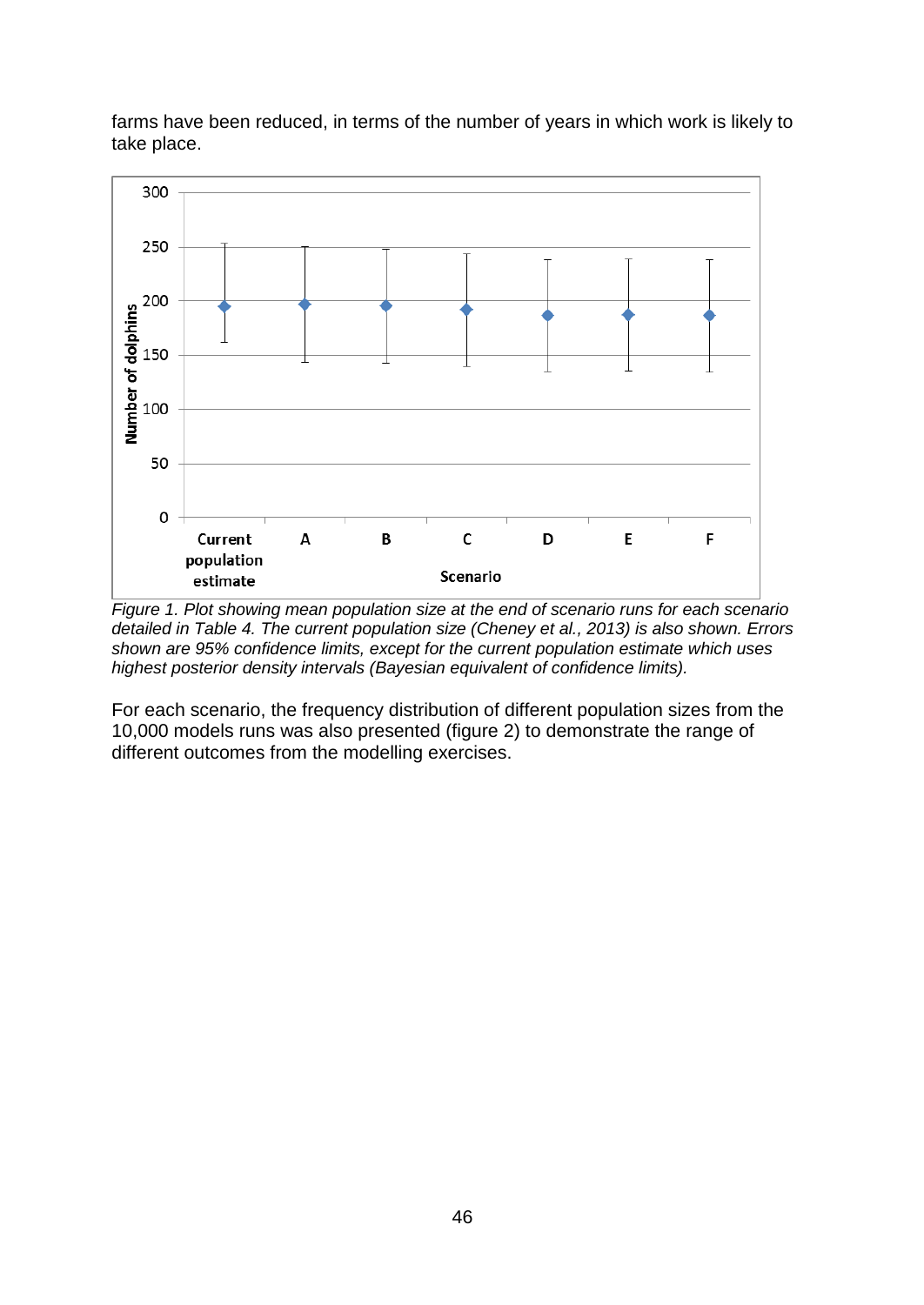

farms have been reduced, in terms of the number of years in which work is likely to take place.

*Figure 1. Plot showing mean population size at the end of scenario runs for each scenario detailed in Table 4. The current population size (Cheney et al., 2013) is also shown. Errors shown are 95% confidence limits, except for the current population estimate which uses highest posterior density intervals (Bayesian equivalent of confidence limits).*

For each scenario, the frequency distribution of different population sizes from the 10,000 models runs was also presented (figure 2) to demonstrate the range of different outcomes from the modelling exercises.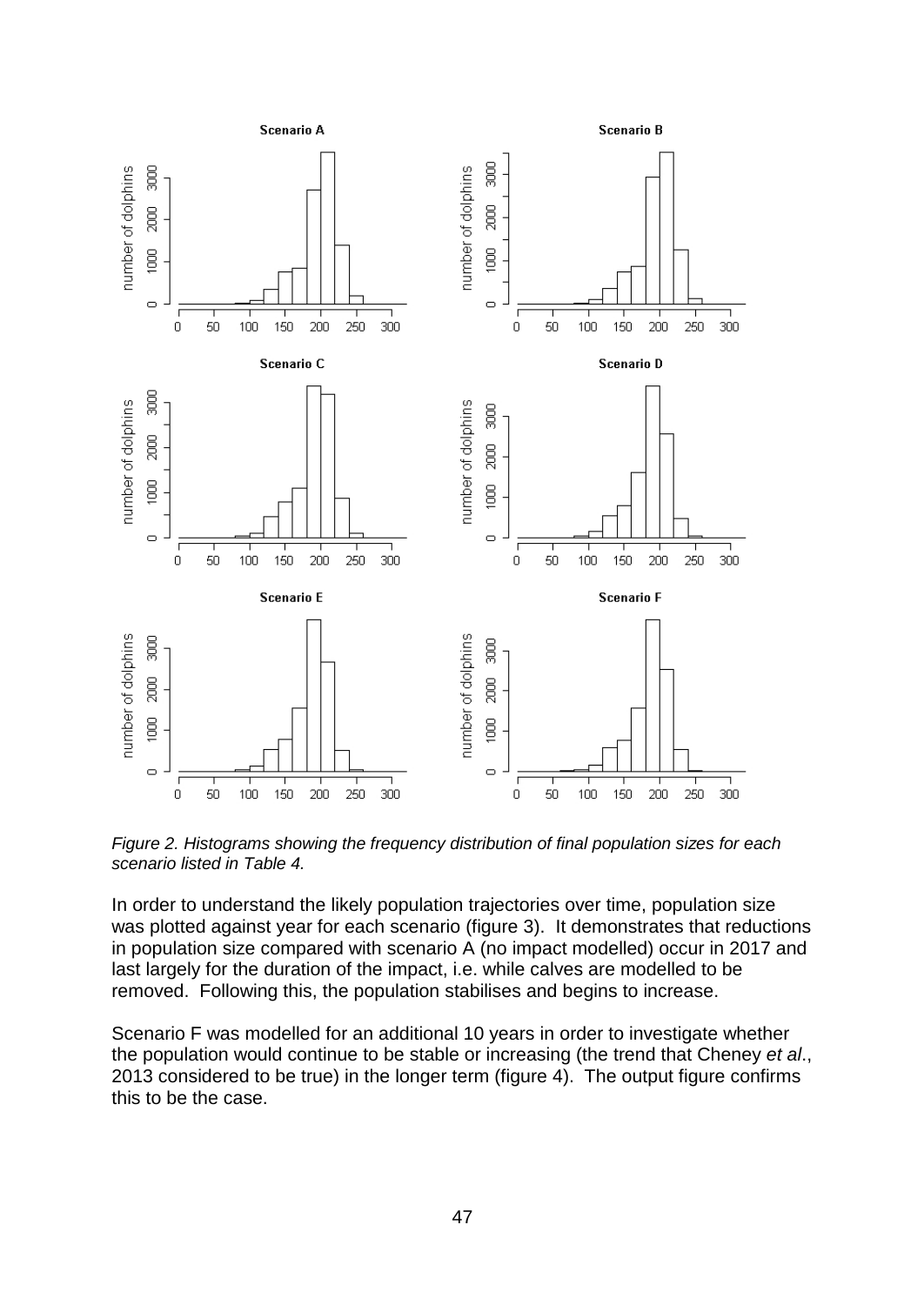

*Figure 2. Histograms showing the frequency distribution of final population sizes for each scenario listed in Table 4.*

In order to understand the likely population trajectories over time, population size was plotted against year for each scenario (figure 3). It demonstrates that reductions in population size compared with scenario A (no impact modelled) occur in 2017 and last largely for the duration of the impact, i.e. while calves are modelled to be removed. Following this, the population stabilises and begins to increase.

Scenario F was modelled for an additional 10 years in order to investigate whether the population would continue to be stable or increasing (the trend that Cheney *et al*., 2013 considered to be true) in the longer term (figure 4). The output figure confirms this to be the case.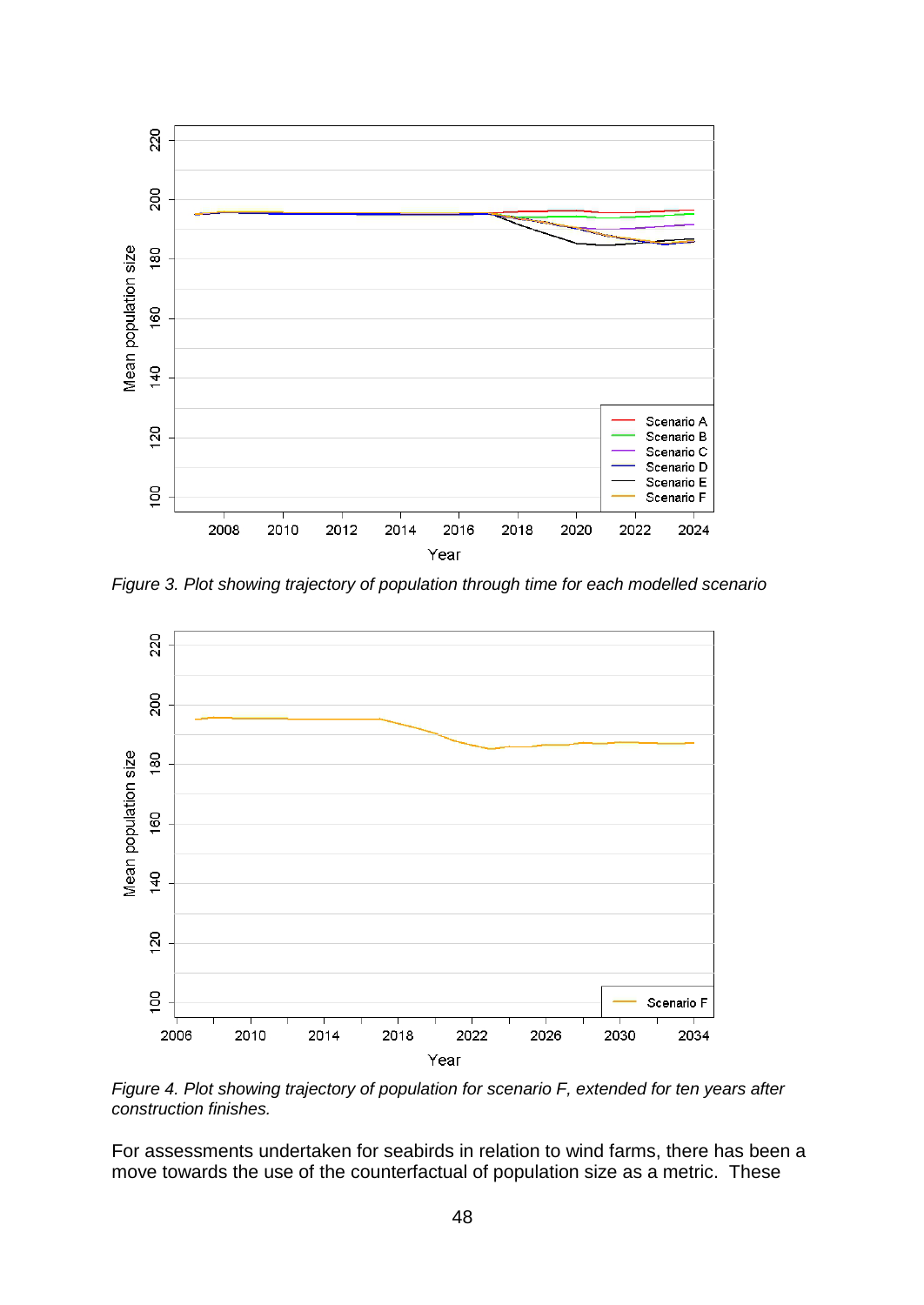

*Figure 3. Plot showing trajectory of population through time for each modelled scenario*



*Figure 4. Plot showing trajectory of population for scenario F, extended for ten years after construction finishes.*

For assessments undertaken for seabirds in relation to wind farms, there has been a move towards the use of the counterfactual of population size as a metric. These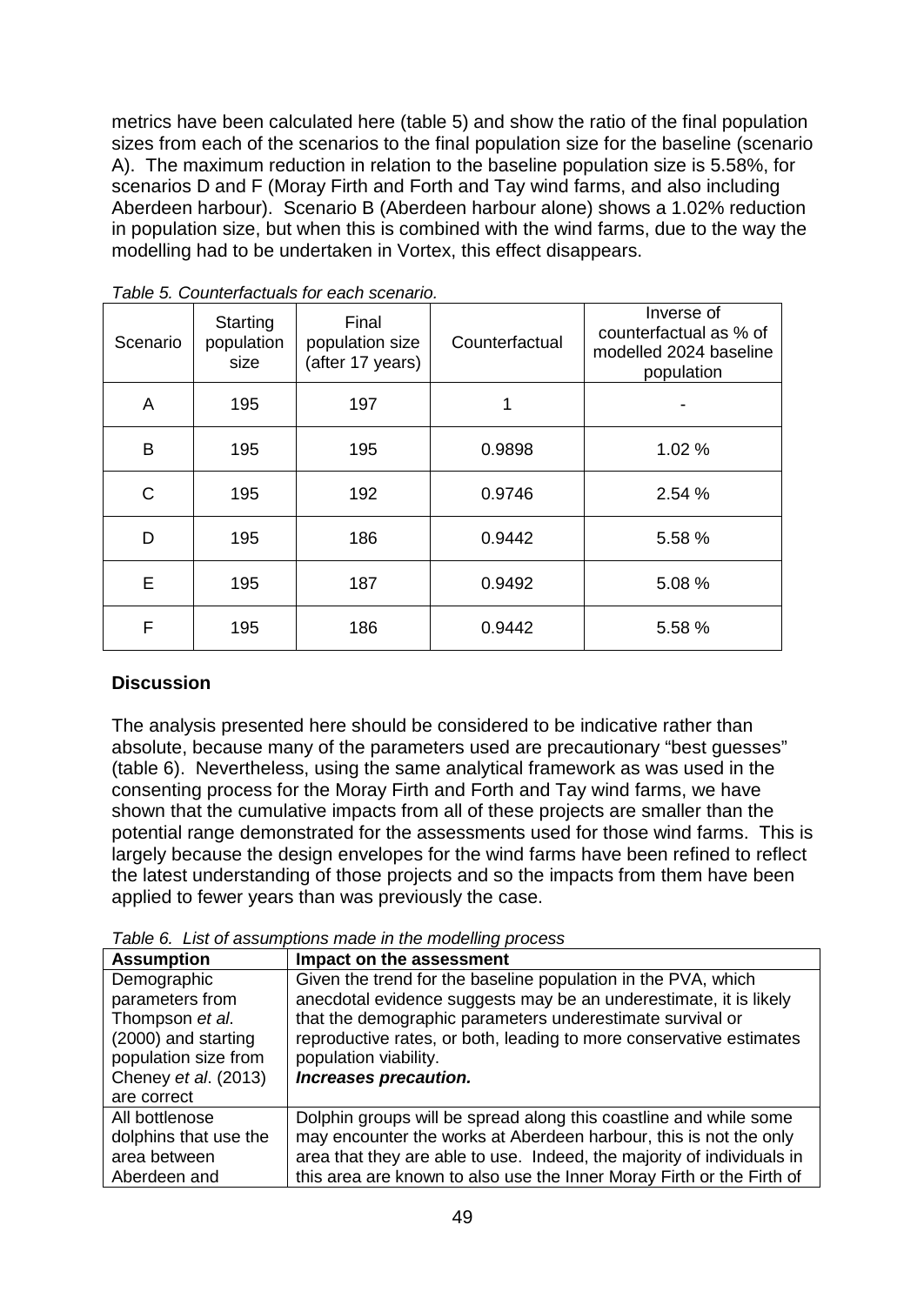metrics have been calculated here (table 5) and show the ratio of the final population sizes from each of the scenarios to the final population size for the baseline (scenario A). The maximum reduction in relation to the baseline population size is 5.58%, for scenarios D and F (Moray Firth and Forth and Tay wind farms, and also including Aberdeen harbour). Scenario B (Aberdeen harbour alone) shows a 1.02% reduction in population size, but when this is combined with the wind farms, due to the way the modelling had to be undertaken in Vortex, this effect disappears.

| Scenario | Starting<br>population<br>size | Final<br>population size<br>(after 17 years) | Counterfactual | Inverse of<br>counterfactual as % of<br>modelled 2024 baseline<br>population |
|----------|--------------------------------|----------------------------------------------|----------------|------------------------------------------------------------------------------|
| A        | 195                            | 197                                          | 1              |                                                                              |
| B        | 195                            | 195                                          | 0.9898         | 1.02%                                                                        |
| C        | 195                            | 192                                          | 0.9746         | 2.54%                                                                        |
| D        | 195                            | 186                                          | 0.9442         | 5.58 %                                                                       |
| E        | 195                            | 187                                          | 0.9492         | 5.08 %                                                                       |
| F        | 195                            | 186                                          | 0.9442         | 5.58 %                                                                       |

*Table 5. Counterfactuals for each scenario.*

# **Discussion**

The analysis presented here should be considered to be indicative rather than absolute, because many of the parameters used are precautionary "best guesses" (table 6). Nevertheless, using the same analytical framework as was used in the consenting process for the Moray Firth and Forth and Tay wind farms, we have shown that the cumulative impacts from all of these projects are smaller than the potential range demonstrated for the assessments used for those wind farms. This is largely because the design envelopes for the wind farms have been refined to reflect the latest understanding of those projects and so the impacts from them have been applied to fewer years than was previously the case.

*Table 6. List of assumptions made in the modelling process*

| <b>Assumption</b>     | Impact on the assessment                                               |
|-----------------------|------------------------------------------------------------------------|
| Demographic           | Given the trend for the baseline population in the PVA, which          |
| parameters from       | anecdotal evidence suggests may be an underestimate, it is likely      |
| Thompson et al.       | that the demographic parameters underestimate survival or              |
| (2000) and starting   | reproductive rates, or both, leading to more conservative estimates    |
| population size from  | population viability.                                                  |
| Cheney et al. (2013)  | Increases precaution.                                                  |
| are correct           |                                                                        |
| All bottlenose        | Dolphin groups will be spread along this coastline and while some      |
| dolphins that use the | may encounter the works at Aberdeen harbour, this is not the only      |
| area between          | area that they are able to use. Indeed, the majority of individuals in |
| Aberdeen and          | this area are known to also use the Inner Moray Firth or the Firth of  |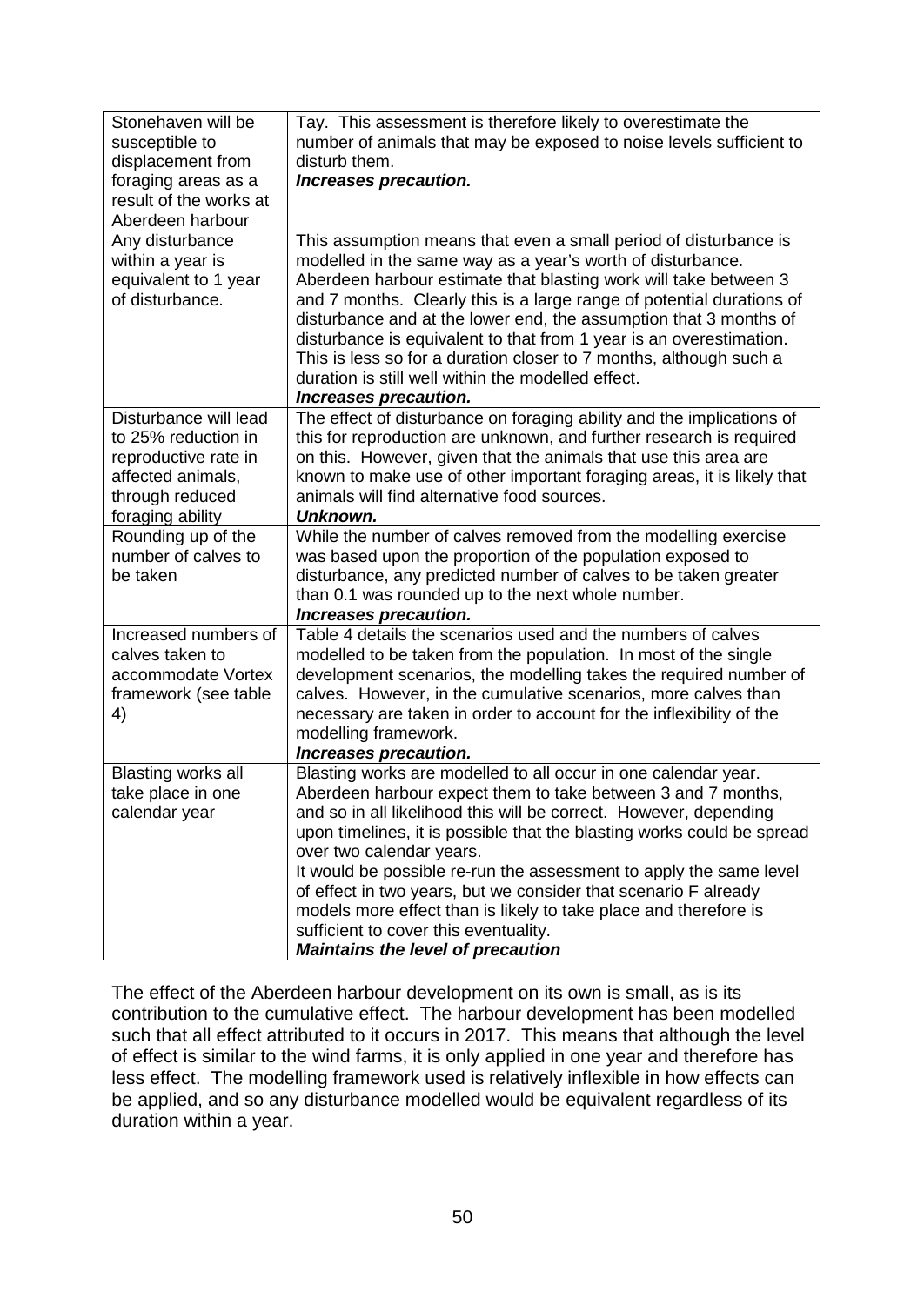| Stonehaven will be<br>susceptible to<br>displacement from<br>foraging areas as a<br>result of the works at<br>Aberdeen harbour   | Tay. This assessment is therefore likely to overestimate the<br>number of animals that may be exposed to noise levels sufficient to<br>disturb them.<br>Increases precaution.                                                                                                                                                                                                                                                                                                                                                                                                                               |
|----------------------------------------------------------------------------------------------------------------------------------|-------------------------------------------------------------------------------------------------------------------------------------------------------------------------------------------------------------------------------------------------------------------------------------------------------------------------------------------------------------------------------------------------------------------------------------------------------------------------------------------------------------------------------------------------------------------------------------------------------------|
| Any disturbance<br>within a year is<br>equivalent to 1 year<br>of disturbance.                                                   | This assumption means that even a small period of disturbance is<br>modelled in the same way as a year's worth of disturbance.<br>Aberdeen harbour estimate that blasting work will take between 3<br>and 7 months. Clearly this is a large range of potential durations of<br>disturbance and at the lower end, the assumption that 3 months of<br>disturbance is equivalent to that from 1 year is an overestimation.<br>This is less so for a duration closer to 7 months, although such a<br>duration is still well within the modelled effect.<br>Increases precaution.                                |
| Disturbance will lead<br>to 25% reduction in<br>reproductive rate in<br>affected animals,<br>through reduced<br>foraging ability | The effect of disturbance on foraging ability and the implications of<br>this for reproduction are unknown, and further research is required<br>on this. However, given that the animals that use this area are<br>known to make use of other important foraging areas, it is likely that<br>animals will find alternative food sources.<br>Unknown.                                                                                                                                                                                                                                                        |
| Rounding up of the<br>number of calves to<br>be taken                                                                            | While the number of calves removed from the modelling exercise<br>was based upon the proportion of the population exposed to<br>disturbance, any predicted number of calves to be taken greater<br>than 0.1 was rounded up to the next whole number.<br>Increases precaution.                                                                                                                                                                                                                                                                                                                               |
| Increased numbers of<br>calves taken to<br>accommodate Vortex<br>framework (see table<br>4)                                      | Table 4 details the scenarios used and the numbers of calves<br>modelled to be taken from the population. In most of the single<br>development scenarios, the modelling takes the required number of<br>calves. However, in the cumulative scenarios, more calves than<br>necessary are taken in order to account for the inflexibility of the<br>modelling framework.<br>Increases precaution.                                                                                                                                                                                                             |
| Blasting works all<br>take place in one<br>calendar year                                                                         | Blasting works are modelled to all occur in one calendar year.<br>Aberdeen harbour expect them to take between 3 and 7 months,<br>and so in all likelihood this will be correct. However, depending<br>upon timelines, it is possible that the blasting works could be spread<br>over two calendar years.<br>It would be possible re-run the assessment to apply the same level<br>of effect in two years, but we consider that scenario F already<br>models more effect than is likely to take place and therefore is<br>sufficient to cover this eventuality.<br><b>Maintains the level of precaution</b> |

The effect of the Aberdeen harbour development on its own is small, as is its contribution to the cumulative effect. The harbour development has been modelled such that all effect attributed to it occurs in 2017. This means that although the level of effect is similar to the wind farms, it is only applied in one year and therefore has less effect. The modelling framework used is relatively inflexible in how effects can be applied, and so any disturbance modelled would be equivalent regardless of its duration within a year.